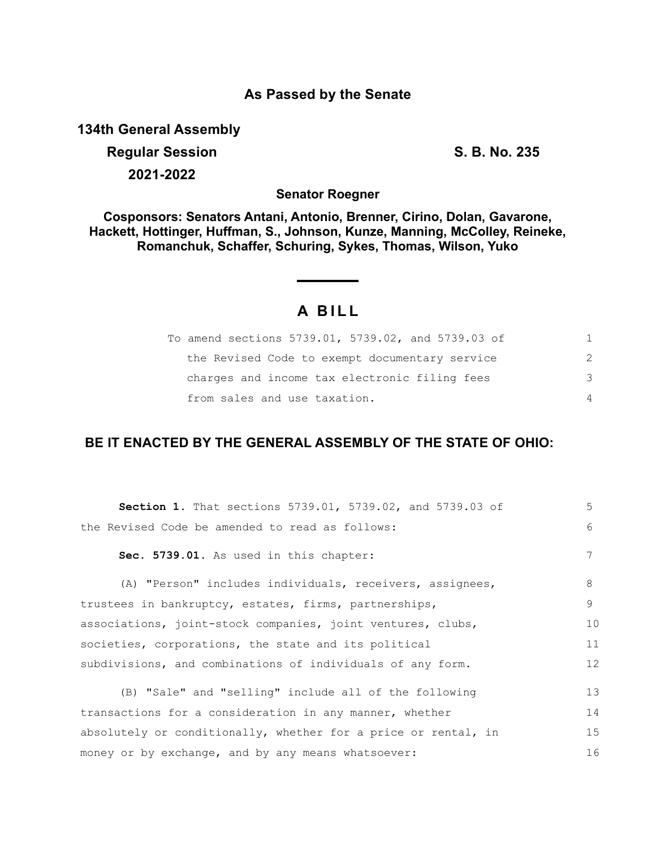## **As Passed by the Senate**

**134th General Assembly**

# **Regular Session S. B. No. 235 2021-2022**

**Senator Roegner**

**Cosponsors: Senators Antani, Antonio, Brenner, Cirino, Dolan, Gavarone, Hackett, Hottinger, Huffman, S., Johnson, Kunze, Manning, McColley, Reineke, Romanchuk, Schaffer, Schuring, Sykes, Thomas, Wilson, Yuko**

# **A B I L L**

| To amend sections 5739.01, 5739.02, and 5739.03 of | 1.            |
|----------------------------------------------------|---------------|
| the Revised Code to exempt documentary service     | $\mathcal{P}$ |
| charges and income tax electronic filing fees      | 3             |
| from sales and use taxation.                       | 4             |

# **BE IT ENACTED BY THE GENERAL ASSEMBLY OF THE STATE OF OHIO:**

| Section 1. That sections 5739.01, 5739.02, and 5739.03 of      | 5       |
|----------------------------------------------------------------|---------|
| the Revised Code be amended to read as follows:                | 6       |
| Sec. 5739.01. As used in this chapter:                         | 7       |
| (A) "Person" includes individuals, receivers, assignees,       | 8       |
| trustees in bankruptcy, estates, firms, partnerships,          | $\circ$ |
| associations, joint-stock companies, joint ventures, clubs,    | 10      |
| societies, corporations, the state and its political           | 11      |
| subdivisions, and combinations of individuals of any form.     | 12      |
| (B) "Sale" and "selling" include all of the following          | 13      |
| transactions for a consideration in any manner, whether        | 14      |
| absolutely or conditionally, whether for a price or rental, in | 15      |
| money or by exchange, and by any means whatsoever:             | 16      |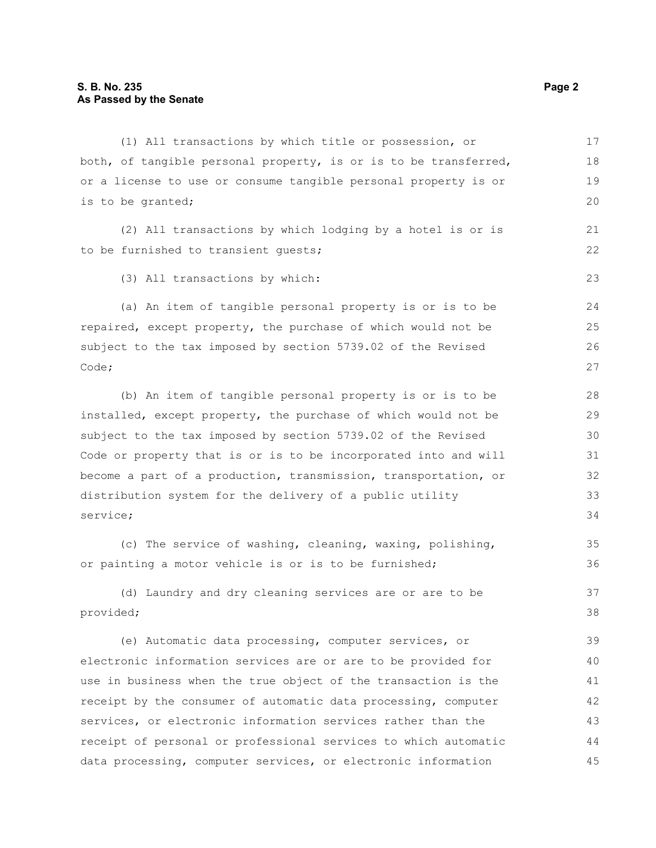## **S. B. No. 235 Page 2 As Passed by the Senate**

| (1) All transactions by which title or possession, or            | 17 |
|------------------------------------------------------------------|----|
| both, of tangible personal property, is or is to be transferred, | 18 |
| or a license to use or consume tangible personal property is or  | 19 |
| is to be granted;                                                | 20 |
| (2) All transactions by which lodging by a hotel is or is        | 21 |
| to be furnished to transient quests;                             | 22 |
| (3) All transactions by which:                                   | 23 |
| (a) An item of tangible personal property is or is to be         | 24 |
| repaired, except property, the purchase of which would not be    | 25 |
| subject to the tax imposed by section 5739.02 of the Revised     | 26 |
| Code;                                                            | 27 |
| (b) An item of tangible personal property is or is to be         | 28 |
| installed, except property, the purchase of which would not be   | 29 |
| subject to the tax imposed by section 5739.02 of the Revised     | 30 |
| Code or property that is or is to be incorporated into and will  | 31 |
| become a part of a production, transmission, transportation, or  | 32 |
| distribution system for the delivery of a public utility         | 33 |
| service;                                                         | 34 |
| (c) The service of washing, cleaning, waxing, polishing,         | 35 |
| or painting a motor vehicle is or is to be furnished;            | 36 |
| (d) Laundry and dry cleaning services are or are to be           | 37 |
| provided;                                                        | 38 |
| (e) Automatic data processing, computer services, or             | 39 |
| electronic information services are or are to be provided for    | 40 |
| use in business when the true object of the transaction is the   | 41 |
| receipt by the consumer of automatic data processing, computer   | 42 |
| services, or electronic information services rather than the     | 43 |

receipt of personal or professional services to which automatic data processing, computer services, or electronic information 43 44 45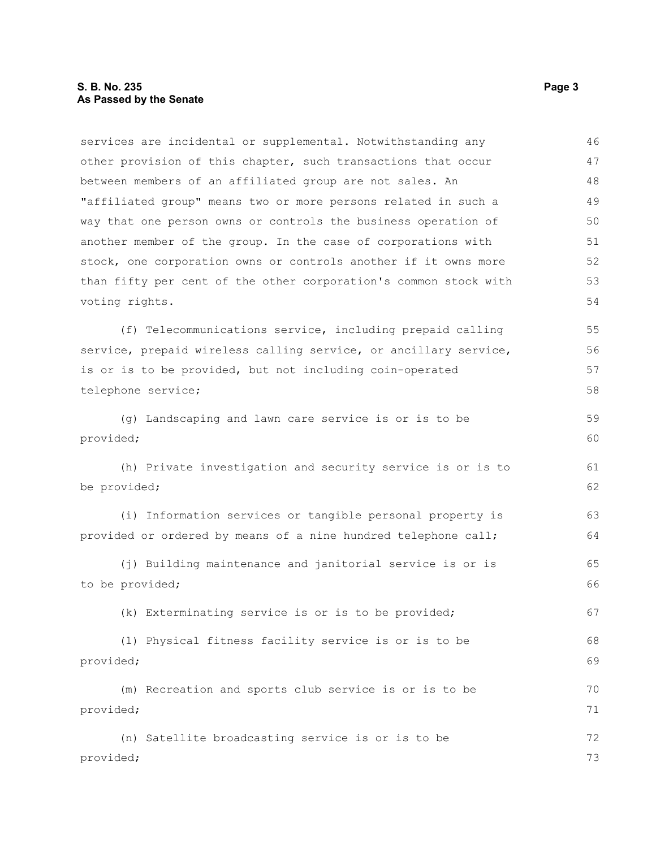### **S. B. No. 235** Page 3 **As Passed by the Senate**

services are incidental or supplemental. Notwithstanding any other provision of this chapter, such transactions that occur between members of an affiliated group are not sales. An "affiliated group" means two or more persons related in such a way that one person owns or controls the business operation of another member of the group. In the case of corporations with stock, one corporation owns or controls another if it owns more than fifty per cent of the other corporation's common stock with voting rights. (f) Telecommunications service, including prepaid calling service, prepaid wireless calling service, or ancillary service, is or is to be provided, but not including coin-operated telephone service; (g) Landscaping and lawn care service is or is to be provided; (h) Private investigation and security service is or is to be provided; (i) Information services or tangible personal property is provided or ordered by means of a nine hundred telephone call; (j) Building maintenance and janitorial service is or is to be provided; (k) Exterminating service is or is to be provided; (l) Physical fitness facility service is or is to be provided; (m) Recreation and sports club service is or is to be provided; (n) Satellite broadcasting service is or is to be provided; 46 47 48 49 50 51 52 53 54 55 56 57 58 59 60 61 62 63 64 65 66 67 68 69 70 71 72 73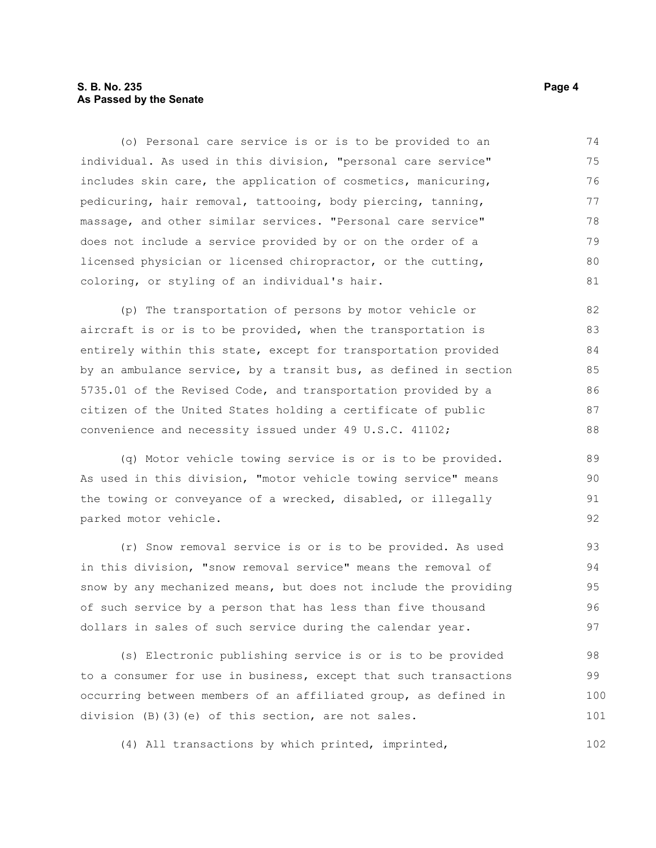### **S. B. No. 235** Page 4 **As Passed by the Senate**

(o) Personal care service is or is to be provided to an individual. As used in this division, "personal care service" includes skin care, the application of cosmetics, manicuring, pedicuring, hair removal, tattooing, body piercing, tanning, massage, and other similar services. "Personal care service" does not include a service provided by or on the order of a licensed physician or licensed chiropractor, or the cutting, coloring, or styling of an individual's hair. 74 75 76 77 78 79 80 81

(p) The transportation of persons by motor vehicle or aircraft is or is to be provided, when the transportation is entirely within this state, except for transportation provided by an ambulance service, by a transit bus, as defined in section 5735.01 of the Revised Code, and transportation provided by a citizen of the United States holding a certificate of public convenience and necessity issued under 49 U.S.C. 41102;

(q) Motor vehicle towing service is or is to be provided. As used in this division, "motor vehicle towing service" means the towing or conveyance of a wrecked, disabled, or illegally parked motor vehicle.

(r) Snow removal service is or is to be provided. As used in this division, "snow removal service" means the removal of snow by any mechanized means, but does not include the providing of such service by a person that has less than five thousand dollars in sales of such service during the calendar year. 93 94 95 96 97

(s) Electronic publishing service is or is to be provided to a consumer for use in business, except that such transactions occurring between members of an affiliated group, as defined in division (B)(3)(e) of this section, are not sales. 98 99 100 101

(4) All transactions by which printed, imprinted,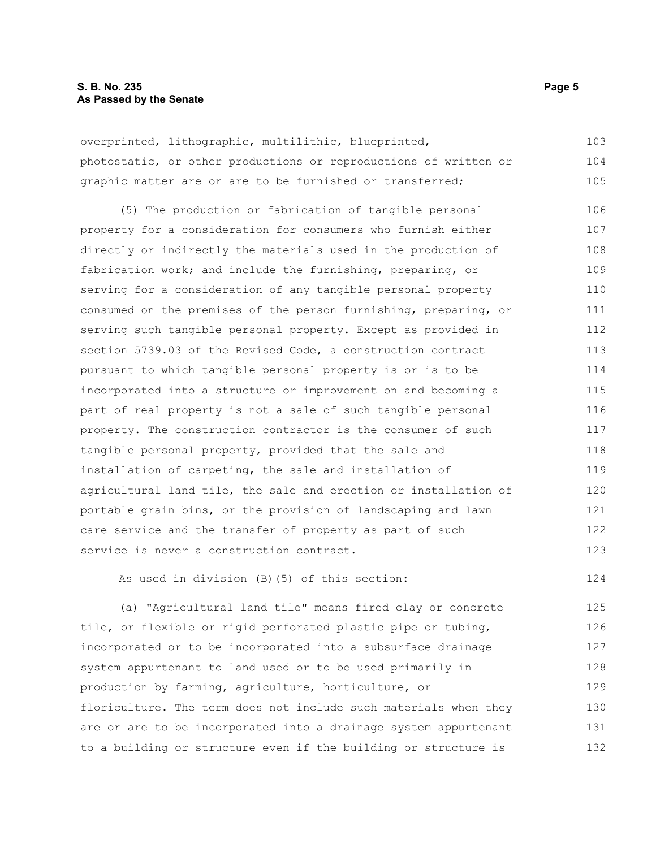#### **S. B. No. 235** Page 5 **As Passed by the Senate**

overprinted, lithographic, multilithic, blueprinted, photostatic, or other productions or reproductions of written or graphic matter are or are to be furnished or transferred; 103 104 105

(5) The production or fabrication of tangible personal property for a consideration for consumers who furnish either directly or indirectly the materials used in the production of fabrication work; and include the furnishing, preparing, or serving for a consideration of any tangible personal property consumed on the premises of the person furnishing, preparing, or serving such tangible personal property. Except as provided in section 5739.03 of the Revised Code, a construction contract pursuant to which tangible personal property is or is to be incorporated into a structure or improvement on and becoming a part of real property is not a sale of such tangible personal property. The construction contractor is the consumer of such tangible personal property, provided that the sale and installation of carpeting, the sale and installation of agricultural land tile, the sale and erection or installation of portable grain bins, or the provision of landscaping and lawn care service and the transfer of property as part of such service is never a construction contract. 106 107 108 109 110 111 112 113 114 115 116 117 118 119 120 121 122 123

As used in division (B)(5) of this section:

(a) "Agricultural land tile" means fired clay or concrete tile, or flexible or rigid perforated plastic pipe or tubing, incorporated or to be incorporated into a subsurface drainage system appurtenant to land used or to be used primarily in production by farming, agriculture, horticulture, or floriculture. The term does not include such materials when they are or are to be incorporated into a drainage system appurtenant to a building or structure even if the building or structure is 125 126 127 128 129 130 131 132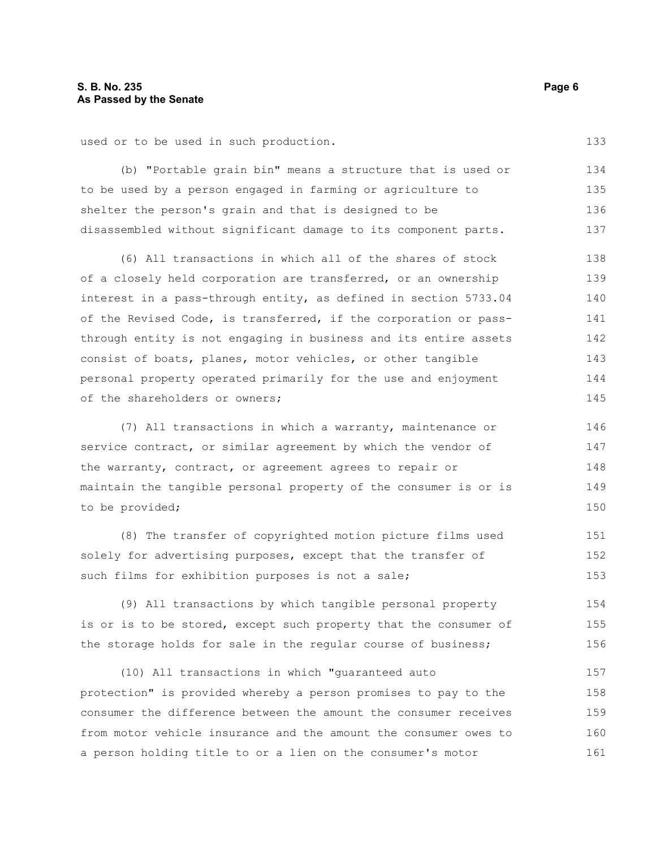used or to be used in such production.

(b) "Portable grain bin" means a structure that is used or to be used by a person engaged in farming or agriculture to shelter the person's grain and that is designed to be disassembled without significant damage to its component parts. 134 135 136 137

(6) All transactions in which all of the shares of stock of a closely held corporation are transferred, or an ownership interest in a pass-through entity, as defined in section 5733.04 of the Revised Code, is transferred, if the corporation or passthrough entity is not engaging in business and its entire assets consist of boats, planes, motor vehicles, or other tangible personal property operated primarily for the use and enjoyment of the shareholders or owners; 138 139 140 141 142 143 144 145

(7) All transactions in which a warranty, maintenance or service contract, or similar agreement by which the vendor of the warranty, contract, or agreement agrees to repair or maintain the tangible personal property of the consumer is or is to be provided; 146 147 148 149 150

(8) The transfer of copyrighted motion picture films used solely for advertising purposes, except that the transfer of such films for exhibition purposes is not a sale; 151 152 153

(9) All transactions by which tangible personal property is or is to be stored, except such property that the consumer of the storage holds for sale in the regular course of business; 154 155 156

(10) All transactions in which "guaranteed auto protection" is provided whereby a person promises to pay to the consumer the difference between the amount the consumer receives from motor vehicle insurance and the amount the consumer owes to a person holding title to or a lien on the consumer's motor 157 158 159 160 161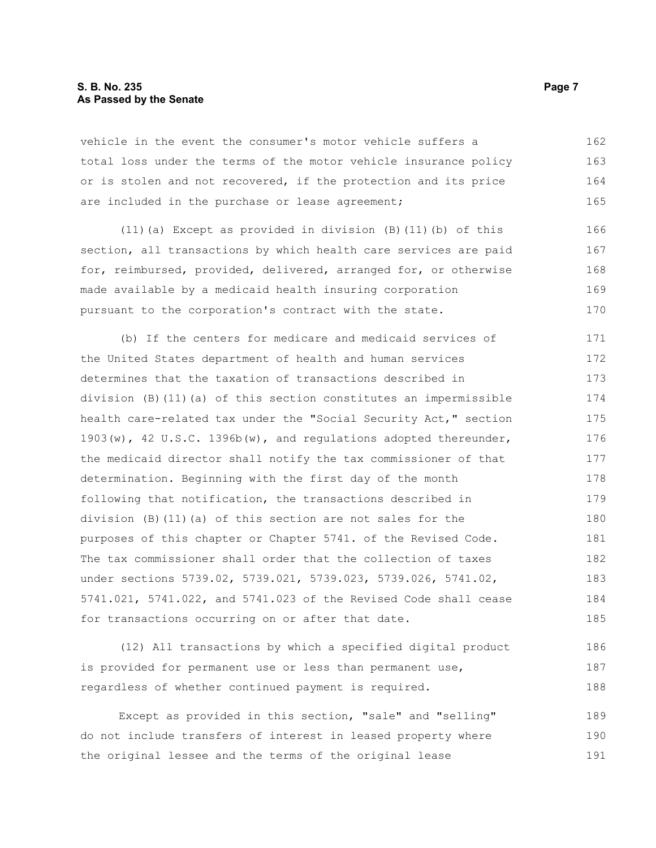#### **S. B. No. 235** Page 7 **As Passed by the Senate**

vehicle in the event the consumer's motor vehicle suffers a total loss under the terms of the motor vehicle insurance policy or is stolen and not recovered, if the protection and its price are included in the purchase or lease agreement; 162 163 164 165

(11)(a) Except as provided in division (B)(11)(b) of this section, all transactions by which health care services are paid for, reimbursed, provided, delivered, arranged for, or otherwise made available by a medicaid health insuring corporation pursuant to the corporation's contract with the state. 166 167 168 169 170

(b) If the centers for medicare and medicaid services of the United States department of health and human services determines that the taxation of transactions described in division (B)(11)(a) of this section constitutes an impermissible health care-related tax under the "Social Security Act," section 1903(w), 42 U.S.C. 1396b(w), and regulations adopted thereunder, the medicaid director shall notify the tax commissioner of that determination. Beginning with the first day of the month following that notification, the transactions described in division (B)(11)(a) of this section are not sales for the purposes of this chapter or Chapter 5741. of the Revised Code. The tax commissioner shall order that the collection of taxes under sections 5739.02, 5739.021, 5739.023, 5739.026, 5741.02, 5741.021, 5741.022, and 5741.023 of the Revised Code shall cease for transactions occurring on or after that date. 171 172 173 174 175 176 177 178 179 180 181 182 183 184 185

(12) All transactions by which a specified digital product is provided for permanent use or less than permanent use, regardless of whether continued payment is required. 186 187 188

Except as provided in this section, "sale" and "selling" do not include transfers of interest in leased property where the original lessee and the terms of the original lease 189 190 191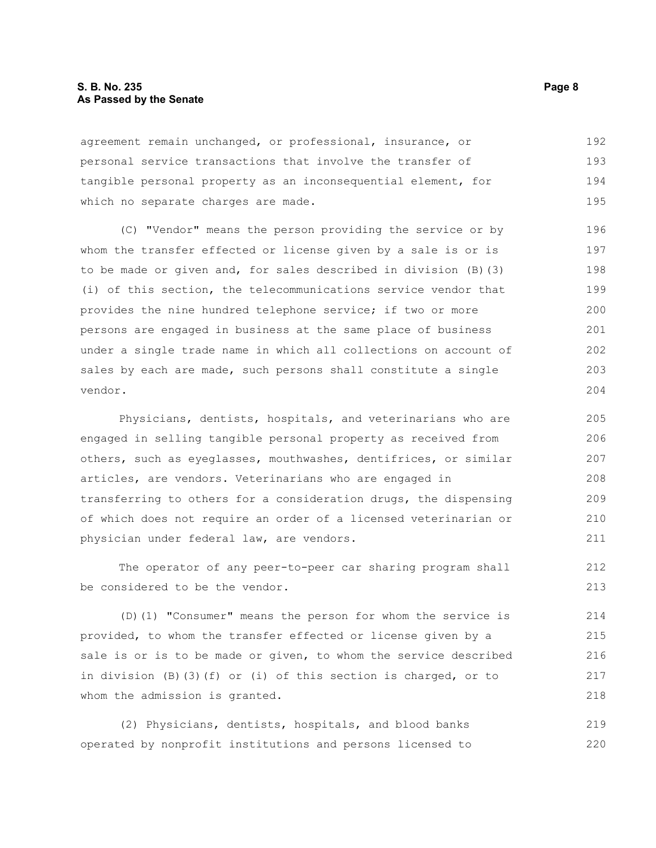#### **S. B. No. 235** Page 8 **As Passed by the Senate**

agreement remain unchanged, or professional, insurance, or personal service transactions that involve the transfer of tangible personal property as an inconsequential element, for which no separate charges are made. 192 193 194 195

(C) "Vendor" means the person providing the service or by whom the transfer effected or license given by a sale is or is to be made or given and, for sales described in division (B)(3) (i) of this section, the telecommunications service vendor that provides the nine hundred telephone service; if two or more persons are engaged in business at the same place of business under a single trade name in which all collections on account of sales by each are made, such persons shall constitute a single vendor. 196 197 198 199 200 201 202 203 204

Physicians, dentists, hospitals, and veterinarians who are engaged in selling tangible personal property as received from others, such as eyeglasses, mouthwashes, dentifrices, or similar articles, are vendors. Veterinarians who are engaged in transferring to others for a consideration drugs, the dispensing of which does not require an order of a licensed veterinarian or physician under federal law, are vendors.

The operator of any peer-to-peer car sharing program shall be considered to be the vendor. 212 213

(D)(1) "Consumer" means the person for whom the service is provided, to whom the transfer effected or license given by a sale is or is to be made or given, to whom the service described in division (B)(3)(f) or (i) of this section is charged, or to whom the admission is granted. 214 215 216 217 218

(2) Physicians, dentists, hospitals, and blood banks operated by nonprofit institutions and persons licensed to 219 220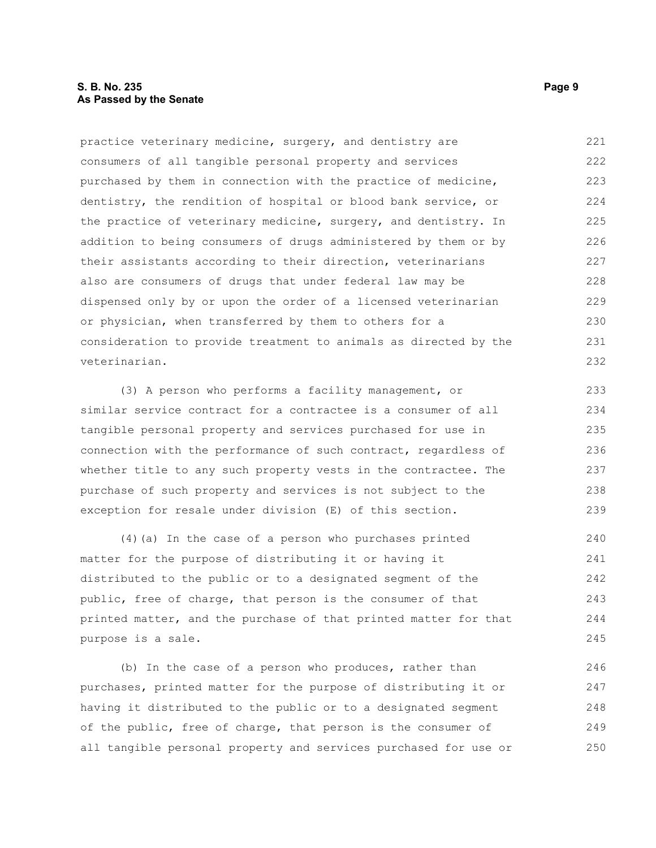### **S. B. No. 235** Page 9 **As Passed by the Senate**

practice veterinary medicine, surgery, and dentistry are consumers of all tangible personal property and services purchased by them in connection with the practice of medicine, dentistry, the rendition of hospital or blood bank service, or the practice of veterinary medicine, surgery, and dentistry. In addition to being consumers of drugs administered by them or by their assistants according to their direction, veterinarians also are consumers of drugs that under federal law may be dispensed only by or upon the order of a licensed veterinarian or physician, when transferred by them to others for a consideration to provide treatment to animals as directed by the veterinarian. 221 222 223 224 225 226 227 228 229 230 231 232

(3) A person who performs a facility management, or similar service contract for a contractee is a consumer of all tangible personal property and services purchased for use in connection with the performance of such contract, regardless of whether title to any such property vests in the contractee. The purchase of such property and services is not subject to the exception for resale under division (E) of this section. 233 234 236 237 238 239

(4)(a) In the case of a person who purchases printed matter for the purpose of distributing it or having it distributed to the public or to a designated segment of the public, free of charge, that person is the consumer of that printed matter, and the purchase of that printed matter for that purpose is a sale. 240 241 242 243 244 245

(b) In the case of a person who produces, rather than purchases, printed matter for the purpose of distributing it or having it distributed to the public or to a designated segment of the public, free of charge, that person is the consumer of all tangible personal property and services purchased for use or 246 247 248 249 250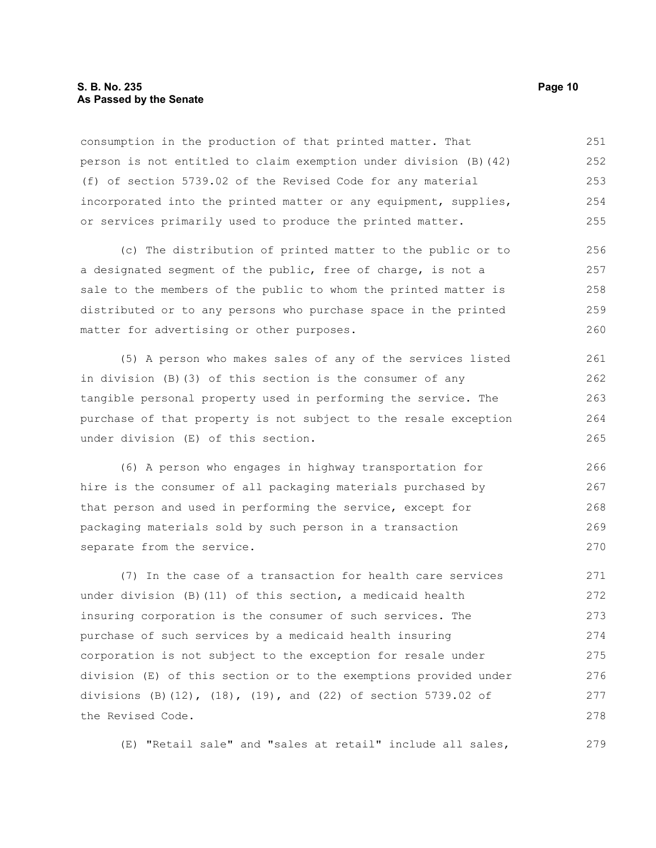#### **S. B. No. 235 Page 10 As Passed by the Senate**

consumption in the production of that printed matter. That person is not entitled to claim exemption under division (B)(42) (f) of section 5739.02 of the Revised Code for any material incorporated into the printed matter or any equipment, supplies, or services primarily used to produce the printed matter. 251 252 253 254 255

(c) The distribution of printed matter to the public or to a designated segment of the public, free of charge, is not a sale to the members of the public to whom the printed matter is distributed or to any persons who purchase space in the printed matter for advertising or other purposes. 256 257 258 259 260

(5) A person who makes sales of any of the services listed in division (B)(3) of this section is the consumer of any tangible personal property used in performing the service. The purchase of that property is not subject to the resale exception under division (E) of this section. 261 262 263 264 265

(6) A person who engages in highway transportation for hire is the consumer of all packaging materials purchased by that person and used in performing the service, except for packaging materials sold by such person in a transaction separate from the service. 266 267 268 269 270

(7) In the case of a transaction for health care services under division (B)(11) of this section, a medicaid health insuring corporation is the consumer of such services. The purchase of such services by a medicaid health insuring corporation is not subject to the exception for resale under division (E) of this section or to the exemptions provided under divisions (B)(12), (18), (19), and (22) of section 5739.02 of the Revised Code. 271 272 273 274 275 276 277 278

(E) "Retail sale" and "sales at retail" include all sales,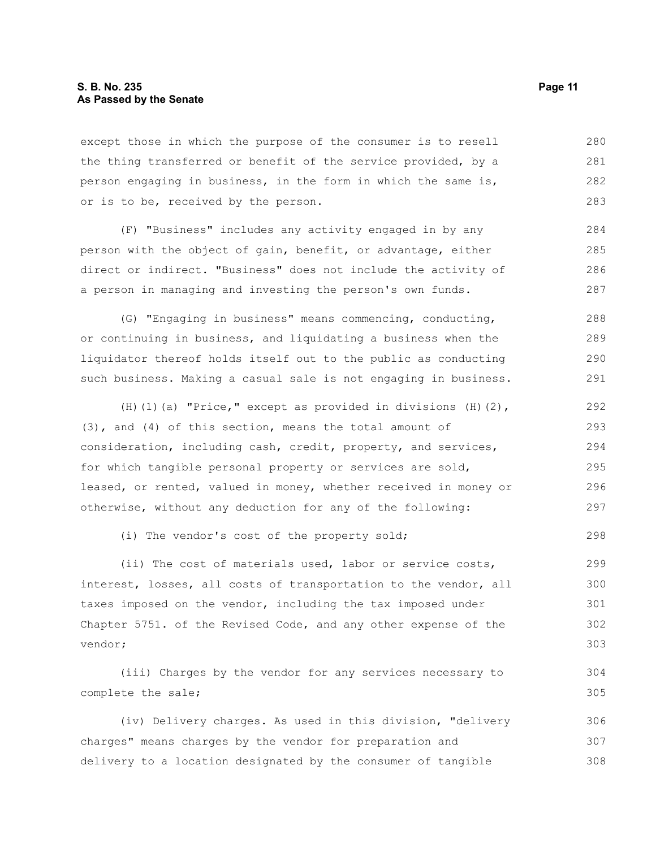#### **S. B. No. 235 Page 11 As Passed by the Senate**

except those in which the purpose of the consumer is to resell the thing transferred or benefit of the service provided, by a person engaging in business, in the form in which the same is, or is to be, received by the person. 280 281 282 283

(F) "Business" includes any activity engaged in by any person with the object of gain, benefit, or advantage, either direct or indirect. "Business" does not include the activity of a person in managing and investing the person's own funds.

(G) "Engaging in business" means commencing, conducting, or continuing in business, and liquidating a business when the liquidator thereof holds itself out to the public as conducting such business. Making a casual sale is not engaging in business. 288 289 290 291

| (H) (1) (a) "Price," except as provided in divisions $(H)$ (2),  | 292 |
|------------------------------------------------------------------|-----|
| $(3)$ , and $(4)$ of this section, means the total amount of     | 293 |
| consideration, including cash, credit, property, and services,   | 294 |
| for which tangible personal property or services are sold,       | 295 |
| leased, or rented, valued in money, whether received in money or | 296 |
| otherwise, without any deduction for any of the following:       | 297 |

(i) The vendor's cost of the property sold;

(ii) The cost of materials used, labor or service costs, interest, losses, all costs of transportation to the vendor, all taxes imposed on the vendor, including the tax imposed under Chapter 5751. of the Revised Code, and any other expense of the vendor; 299 300 301 302 303

(iii) Charges by the vendor for any services necessary to complete the sale;

(iv) Delivery charges. As used in this division, "delivery charges" means charges by the vendor for preparation and delivery to a location designated by the consumer of tangible 306 307 308

298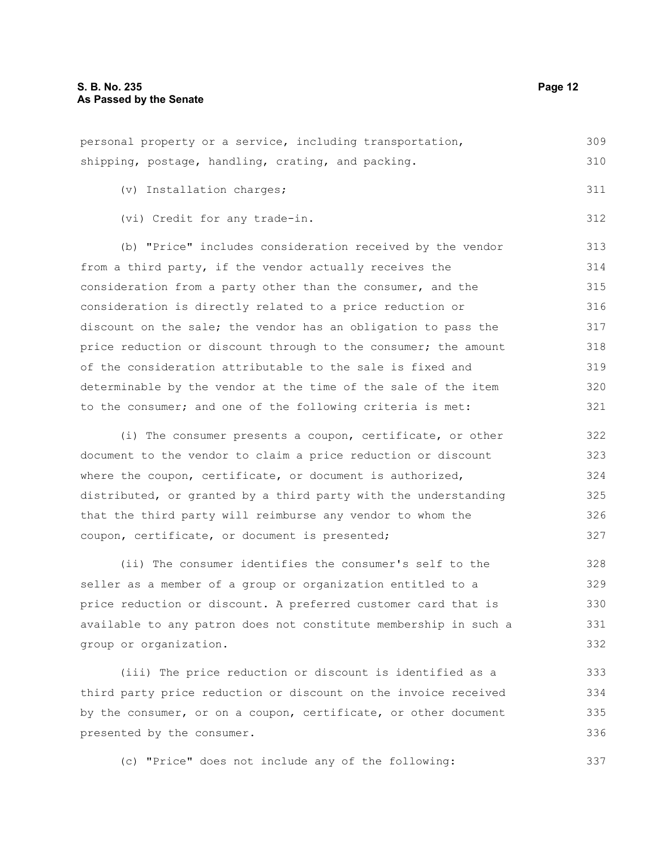personal property or a service, including transportation, shipping, postage, handling, crating, and packing. 309 310

(v) Installation charges; 311

(vi) Credit for any trade-in.

(b) "Price" includes consideration received by the vendor from a third party, if the vendor actually receives the consideration from a party other than the consumer, and the consideration is directly related to a price reduction or discount on the sale; the vendor has an obligation to pass the price reduction or discount through to the consumer; the amount of the consideration attributable to the sale is fixed and determinable by the vendor at the time of the sale of the item to the consumer; and one of the following criteria is met: 313 314 315 316 317 318 319 320 321

(i) The consumer presents a coupon, certificate, or other document to the vendor to claim a price reduction or discount where the coupon, certificate, or document is authorized, distributed, or granted by a third party with the understanding that the third party will reimburse any vendor to whom the coupon, certificate, or document is presented; 322 323 324 325 326 327

(ii) The consumer identifies the consumer's self to the seller as a member of a group or organization entitled to a price reduction or discount. A preferred customer card that is available to any patron does not constitute membership in such a group or organization. 328 329 330 331 332

(iii) The price reduction or discount is identified as a third party price reduction or discount on the invoice received by the consumer, or on a coupon, certificate, or other document presented by the consumer. 333 334 335 336

(c) "Price" does not include any of the following: 337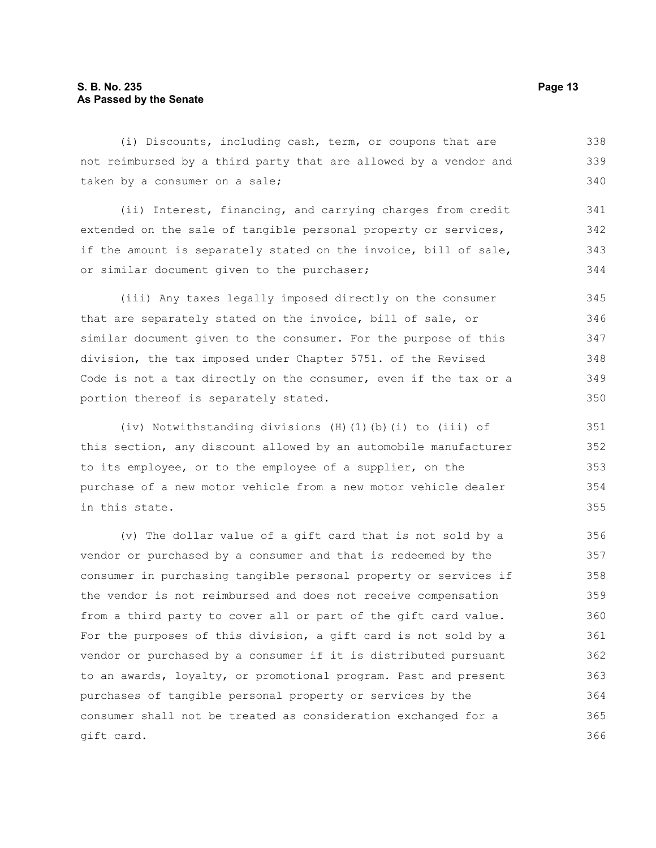#### **S. B. No. 235 Page 13 As Passed by the Senate**

(i) Discounts, including cash, term, or coupons that are not reimbursed by a third party that are allowed by a vendor and taken by a consumer on a sale; 338 339 340

(ii) Interest, financing, and carrying charges from credit extended on the sale of tangible personal property or services, if the amount is separately stated on the invoice, bill of sale, or similar document given to the purchaser; 341 342 343 344

(iii) Any taxes legally imposed directly on the consumer that are separately stated on the invoice, bill of sale, or similar document given to the consumer. For the purpose of this division, the tax imposed under Chapter 5751. of the Revised Code is not a tax directly on the consumer, even if the tax or a portion thereof is separately stated. 345 346 347 348 349 350

(iv) Notwithstanding divisions (H)(1)(b)(i) to (iii) of this section, any discount allowed by an automobile manufacturer to its employee, or to the employee of a supplier, on the purchase of a new motor vehicle from a new motor vehicle dealer in this state.

(v) The dollar value of a gift card that is not sold by a vendor or purchased by a consumer and that is redeemed by the consumer in purchasing tangible personal property or services if the vendor is not reimbursed and does not receive compensation from a third party to cover all or part of the gift card value. For the purposes of this division, a gift card is not sold by a vendor or purchased by a consumer if it is distributed pursuant to an awards, loyalty, or promotional program. Past and present purchases of tangible personal property or services by the consumer shall not be treated as consideration exchanged for a gift card. 356 357 358 359 360 361 362 363 364 365 366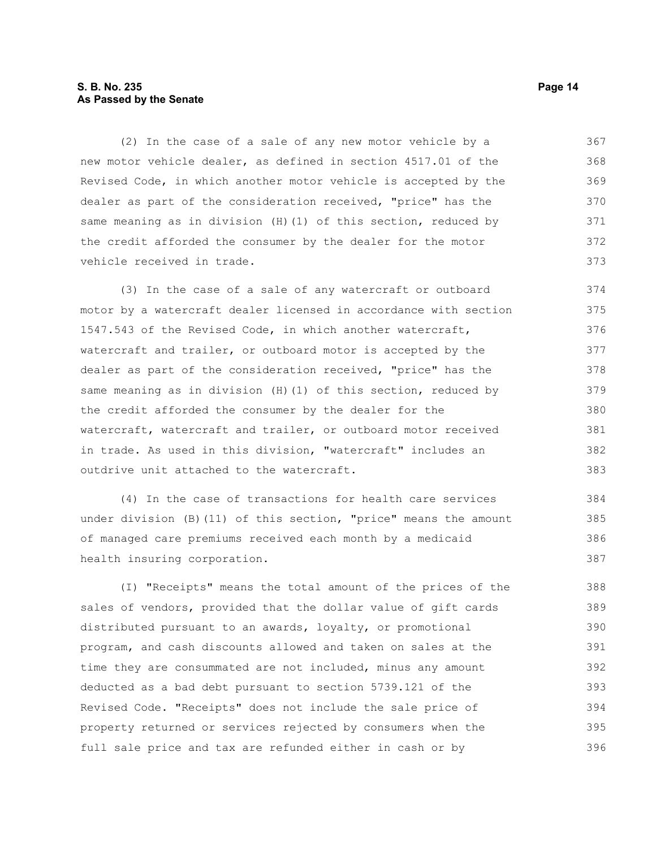#### **S. B. No. 235 Page 14 As Passed by the Senate**

(2) In the case of a sale of any new motor vehicle by a new motor vehicle dealer, as defined in section 4517.01 of the Revised Code, in which another motor vehicle is accepted by the dealer as part of the consideration received, "price" has the same meaning as in division (H)(1) of this section, reduced by the credit afforded the consumer by the dealer for the motor vehicle received in trade. 367 368 369 370 371 372 373

(3) In the case of a sale of any watercraft or outboard motor by a watercraft dealer licensed in accordance with section 1547.543 of the Revised Code, in which another watercraft, watercraft and trailer, or outboard motor is accepted by the dealer as part of the consideration received, "price" has the same meaning as in division (H)(1) of this section, reduced by the credit afforded the consumer by the dealer for the watercraft, watercraft and trailer, or outboard motor received in trade. As used in this division, "watercraft" includes an outdrive unit attached to the watercraft. 374 375 376 377 378 379 380 381 382 383

(4) In the case of transactions for health care services under division (B)(11) of this section, "price" means the amount of managed care premiums received each month by a medicaid health insuring corporation. 384 385 386 387

(I) "Receipts" means the total amount of the prices of the sales of vendors, provided that the dollar value of gift cards distributed pursuant to an awards, loyalty, or promotional program, and cash discounts allowed and taken on sales at the time they are consummated are not included, minus any amount deducted as a bad debt pursuant to section 5739.121 of the Revised Code. "Receipts" does not include the sale price of property returned or services rejected by consumers when the full sale price and tax are refunded either in cash or by 388 389 390 391 392 393 394 395 396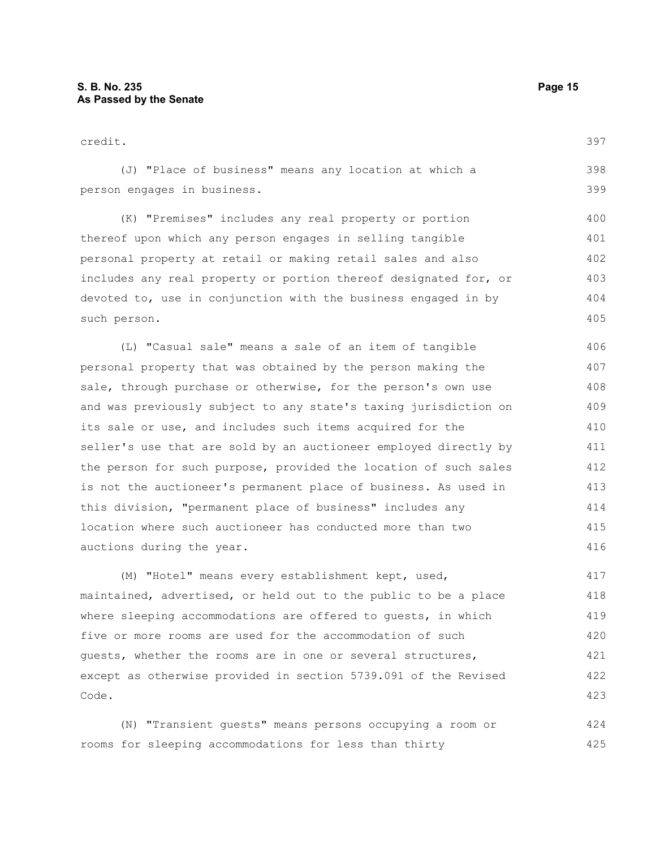Code.

423

| credit.                                                          | 397 |
|------------------------------------------------------------------|-----|
| (J) "Place of business" means any location at which a            | 398 |
| person engages in business.                                      | 399 |
| (K) "Premises" includes any real property or portion             | 400 |
| thereof upon which any person engages in selling tangible        | 401 |
| personal property at retail or making retail sales and also      | 402 |
| includes any real property or portion thereof designated for, or | 403 |
| devoted to, use in conjunction with the business engaged in by   | 404 |
| such person.                                                     | 405 |
| (L) "Casual sale" means a sale of an item of tangible            | 406 |
| personal property that was obtained by the person making the     | 407 |
| sale, through purchase or otherwise, for the person's own use    | 408 |
| and was previously subject to any state's taxing jurisdiction on | 409 |
| its sale or use, and includes such items acquired for the        | 410 |
| seller's use that are sold by an auctioneer employed directly by | 411 |
| the person for such purpose, provided the location of such sales | 412 |
| is not the auctioneer's permanent place of business. As used in  | 413 |
| this division, "permanent place of business" includes any        | 414 |
| location where such auctioneer has conducted more than two       | 415 |
| auctions during the year.                                        | 416 |
| (M) "Hotel" means every establishment kept, used,                | 417 |
| maintained, advertised, or held out to the public to be a place  | 418 |
| where sleeping accommodations are offered to quests, in which    | 419 |
| five or more rooms are used for the accommodation of such        | 420 |
| quests, whether the rooms are in one or several structures,      | 421 |
| except as otherwise provided in section 5739.091 of the Revised  | 422 |

(N) "Transient guests" means persons occupying a room or rooms for sleeping accommodations for less than thirty 424 425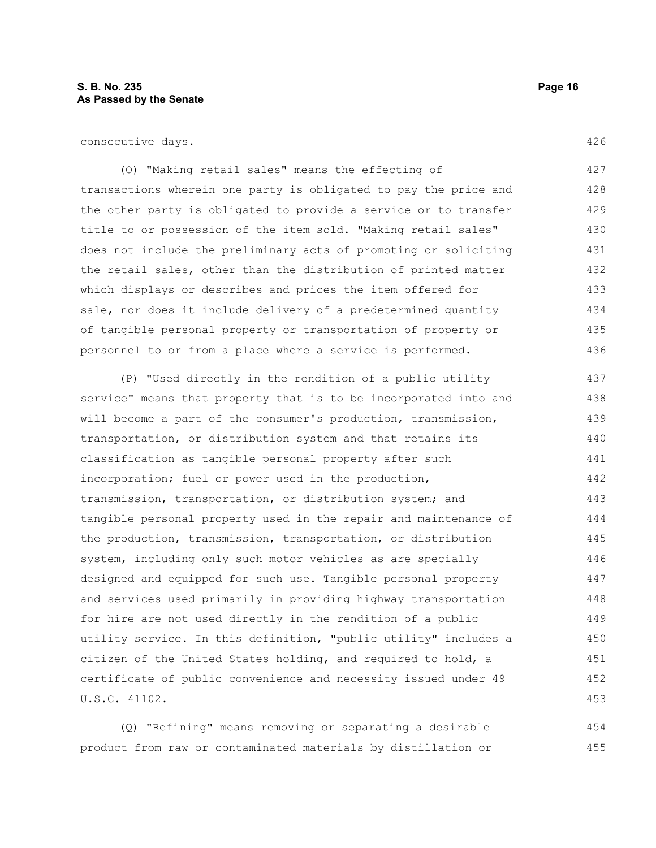consecutive days.

(O) "Making retail sales" means the effecting of transactions wherein one party is obligated to pay the price and the other party is obligated to provide a service or to transfer title to or possession of the item sold. "Making retail sales" does not include the preliminary acts of promoting or soliciting the retail sales, other than the distribution of printed matter which displays or describes and prices the item offered for sale, nor does it include delivery of a predetermined quantity of tangible personal property or transportation of property or personnel to or from a place where a service is performed. 427 428 429 430 431 432 433 434 435 436

(P) "Used directly in the rendition of a public utility service" means that property that is to be incorporated into and will become a part of the consumer's production, transmission, transportation, or distribution system and that retains its classification as tangible personal property after such incorporation; fuel or power used in the production, transmission, transportation, or distribution system; and tangible personal property used in the repair and maintenance of the production, transmission, transportation, or distribution system, including only such motor vehicles as are specially designed and equipped for such use. Tangible personal property and services used primarily in providing highway transportation for hire are not used directly in the rendition of a public utility service. In this definition, "public utility" includes a citizen of the United States holding, and required to hold, a certificate of public convenience and necessity issued under 49 U.S.C. 41102. 437 438 439 440 441 442 443 444 445 446 447 448 449 450 451 452 453

(Q) "Refining" means removing or separating a desirable product from raw or contaminated materials by distillation or 454 455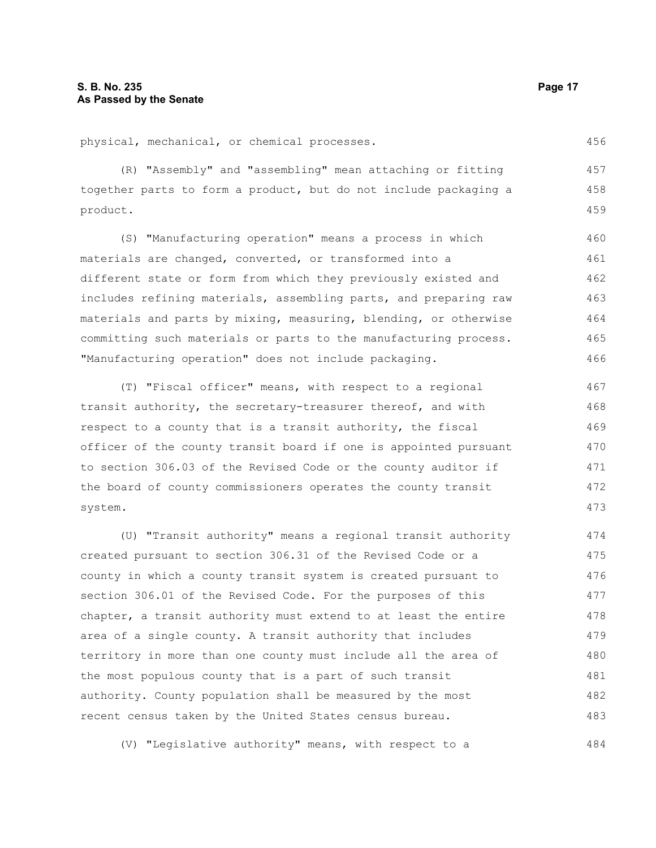physical, mechanical, or chemical processes.

(R) "Assembly" and "assembling" mean attaching or fitting together parts to form a product, but do not include packaging a product. 457 458 459

(S) "Manufacturing operation" means a process in which materials are changed, converted, or transformed into a different state or form from which they previously existed and includes refining materials, assembling parts, and preparing raw materials and parts by mixing, measuring, blending, or otherwise committing such materials or parts to the manufacturing process. "Manufacturing operation" does not include packaging. 460 461 462 463 464 465 466

(T) "Fiscal officer" means, with respect to a regional transit authority, the secretary-treasurer thereof, and with respect to a county that is a transit authority, the fiscal officer of the county transit board if one is appointed pursuant to section 306.03 of the Revised Code or the county auditor if the board of county commissioners operates the county transit system.

(U) "Transit authority" means a regional transit authority created pursuant to section 306.31 of the Revised Code or a county in which a county transit system is created pursuant to section 306.01 of the Revised Code. For the purposes of this chapter, a transit authority must extend to at least the entire area of a single county. A transit authority that includes territory in more than one county must include all the area of the most populous county that is a part of such transit authority. County population shall be measured by the most recent census taken by the United States census bureau. 474 475 476 477 478 479 480 481 482 483

(V) "Legislative authority" means, with respect to a

456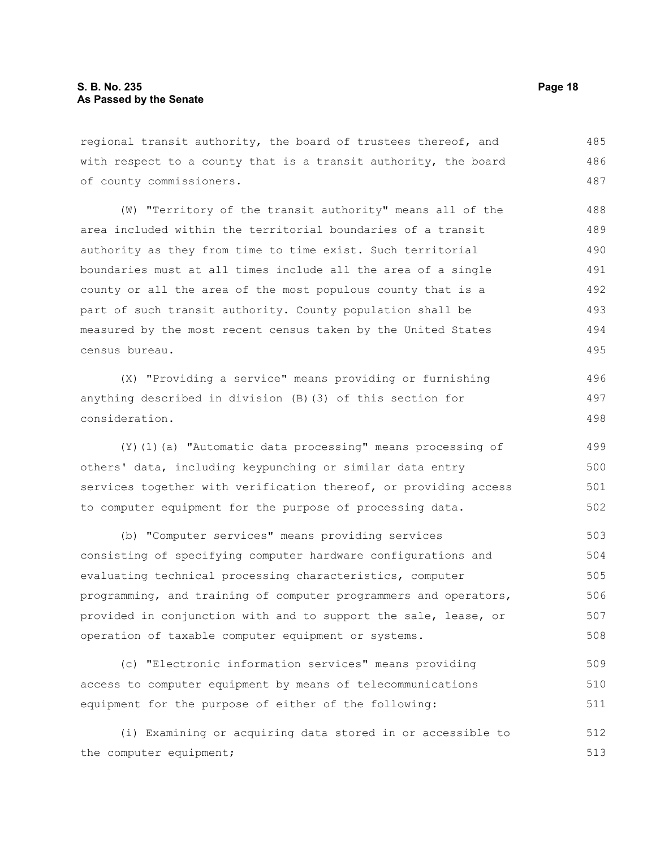regional transit authority, the board of trustees thereof, and with respect to a county that is a transit authority, the board of county commissioners. 485 486 487

(W) "Territory of the transit authority" means all of the area included within the territorial boundaries of a transit authority as they from time to time exist. Such territorial boundaries must at all times include all the area of a single county or all the area of the most populous county that is a part of such transit authority. County population shall be measured by the most recent census taken by the United States census bureau. 488 489 490 491 492 493 494 495

(X) "Providing a service" means providing or furnishing anything described in division (B)(3) of this section for consideration. 496 497 498

(Y)(1)(a) "Automatic data processing" means processing of others' data, including keypunching or similar data entry services together with verification thereof, or providing access to computer equipment for the purpose of processing data. 499 500 501 502

(b) "Computer services" means providing services consisting of specifying computer hardware configurations and evaluating technical processing characteristics, computer programming, and training of computer programmers and operators, provided in conjunction with and to support the sale, lease, or operation of taxable computer equipment or systems. 503 504 505 506 507 508

(c) "Electronic information services" means providing access to computer equipment by means of telecommunications equipment for the purpose of either of the following: 509 510 511

(i) Examining or acquiring data stored in or accessible to the computer equipment; 512 513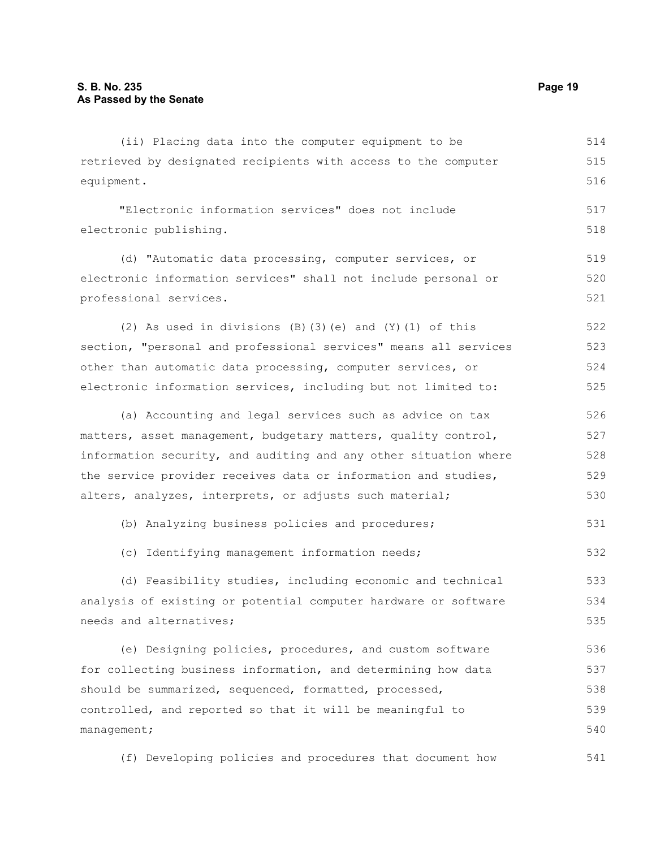(ii) Placing data into the computer equipment to be retrieved by designated recipients with access to the computer equipment. 514 515 516

"Electronic information services" does not include electronic publishing.

(d) "Automatic data processing, computer services, or electronic information services" shall not include personal or professional services. 519 520 521

(2) As used in divisions (B)(3)(e) and (Y)(1) of this section, "personal and professional services" means all services other than automatic data processing, computer services, or electronic information services, including but not limited to: 522 523 524 525

(a) Accounting and legal services such as advice on tax matters, asset management, budgetary matters, quality control, information security, and auditing and any other situation where the service provider receives data or information and studies, alters, analyzes, interprets, or adjusts such material; 526 527 528 529 530

(b) Analyzing business policies and procedures; 531

(c) Identifying management information needs; 532

(d) Feasibility studies, including economic and technical analysis of existing or potential computer hardware or software needs and alternatives; 533 534 535

(e) Designing policies, procedures, and custom software for collecting business information, and determining how data should be summarized, sequenced, formatted, processed, controlled, and reported so that it will be meaningful to management; 536 537 538 539 540

(f) Developing policies and procedures that document how 541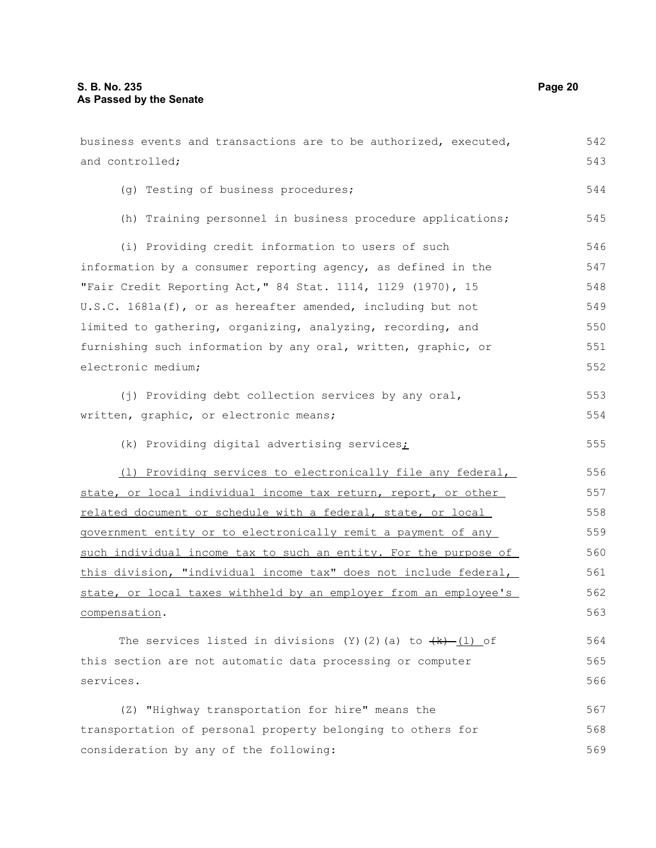business events and transactions are to be authorized, executed, and controlled; (g) Testing of business procedures; (h) Training personnel in business procedure applications; (i) Providing credit information to users of such information by a consumer reporting agency, as defined in the "Fair Credit Reporting Act," 84 Stat. 1114, 1129 (1970), 15 U.S.C. 1681a(f), or as hereafter amended, including but not limited to gathering, organizing, analyzing, recording, and furnishing such information by any oral, written, graphic, or electronic medium; (j) Providing debt collection services by any oral, written, graphic, or electronic means; (k) Providing digital advertising services; (l) Providing services to electronically file any federal, state, or local individual income tax return, report, or other related document or schedule with a federal, state, or local government entity or to electronically remit a payment of any such individual income tax to such an entity. For the purpose of this division, "individual income tax" does not include federal, state, or local taxes withheld by an employer from an employee's compensation. The services listed in divisions (Y)(2)(a) to  $\{k\}$  (l) of this section are not automatic data processing or computer services. (Z) "Highway transportation for hire" means the transportation of personal property belonging to others for consideration by any of the following: 542 543 544 545 546 547 548 549 550 551 552 553 554 555 556 557 558 559 560 561 562 563 564 565 566 567 568 569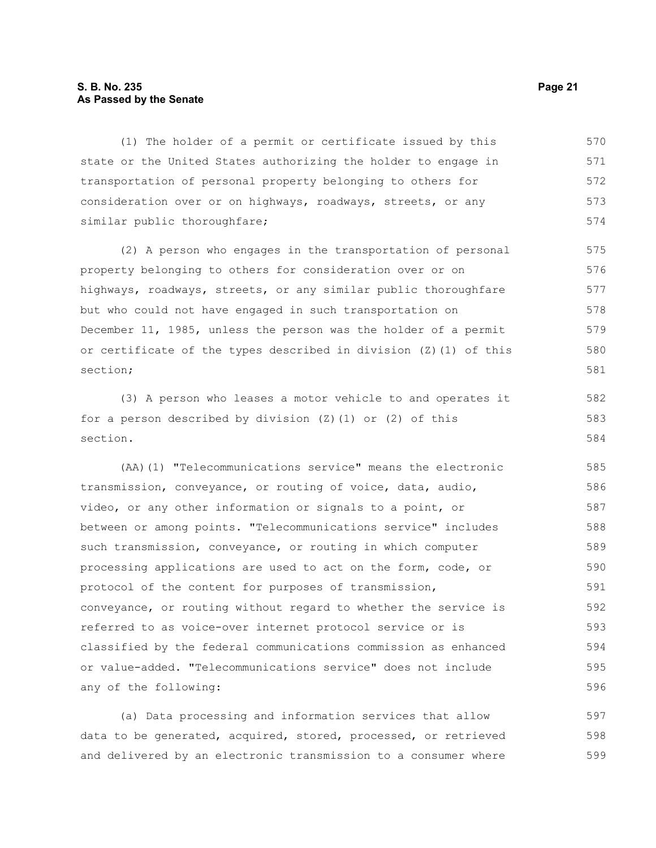#### **S. B. No. 235 Page 21 As Passed by the Senate**

(1) The holder of a permit or certificate issued by this state or the United States authorizing the holder to engage in transportation of personal property belonging to others for consideration over or on highways, roadways, streets, or any similar public thoroughfare; 570 571 572 573 574

(2) A person who engages in the transportation of personal property belonging to others for consideration over or on highways, roadways, streets, or any similar public thoroughfare but who could not have engaged in such transportation on December 11, 1985, unless the person was the holder of a permit or certificate of the types described in division (Z)(1) of this section; 575 576 577 578 579 580 581

(3) A person who leases a motor vehicle to and operates it for a person described by division  $(Z)$  (1) or  $(2)$  of this section.

(AA)(1) "Telecommunications service" means the electronic transmission, conveyance, or routing of voice, data, audio, video, or any other information or signals to a point, or between or among points. "Telecommunications service" includes such transmission, conveyance, or routing in which computer processing applications are used to act on the form, code, or protocol of the content for purposes of transmission, conveyance, or routing without regard to whether the service is referred to as voice-over internet protocol service or is classified by the federal communications commission as enhanced or value-added. "Telecommunications service" does not include any of the following: 585 586 587 588 589 590 591 592 593 594 595 596

(a) Data processing and information services that allow data to be generated, acquired, stored, processed, or retrieved and delivered by an electronic transmission to a consumer where 597 598 599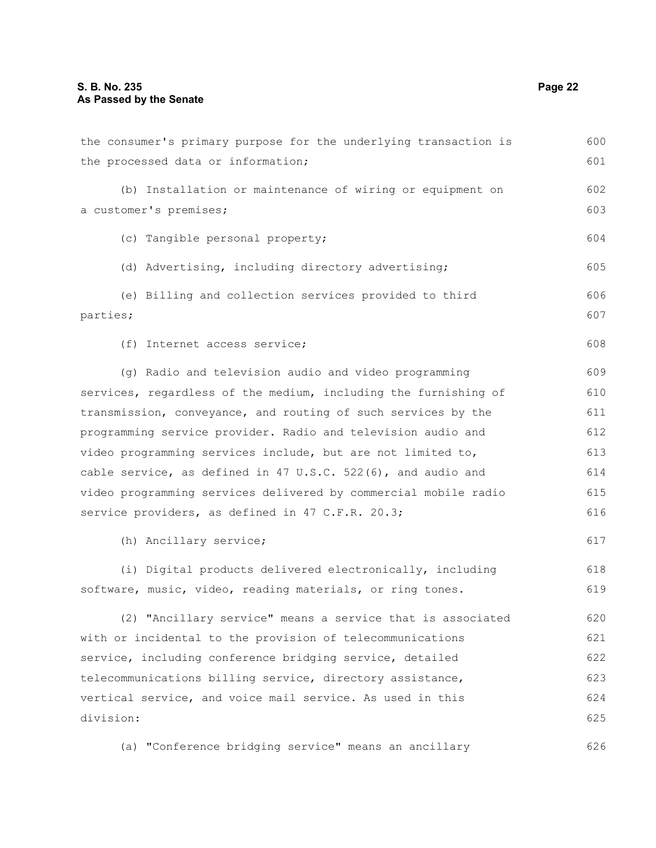| the consumer's primary purpose for the underlying transaction is | 600 |
|------------------------------------------------------------------|-----|
| the processed data or information;                               | 601 |
| (b) Installation or maintenance of wiring or equipment on        | 602 |
| a customer's premises;                                           | 603 |
| (c) Tangible personal property;                                  | 604 |
| (d) Advertising, including directory advertising;                | 605 |
| (e) Billing and collection services provided to third            | 606 |
| parties;                                                         | 607 |
| (f) Internet access service;                                     | 608 |
| (g) Radio and television audio and video programming             | 609 |
| services, regardless of the medium, including the furnishing of  | 610 |
| transmission, conveyance, and routing of such services by the    | 611 |
| programming service provider. Radio and television audio and     | 612 |
| video programming services include, but are not limited to,      | 613 |
| cable service, as defined in 47 U.S.C. 522(6), and audio and     | 614 |
| video programming services delivered by commercial mobile radio  | 615 |
| service providers, as defined in 47 C.F.R. 20.3;                 | 616 |
| (h) Ancillary service;                                           | 617 |
| (i) Digital products delivered electronically, including         | 618 |
| software, music, video, reading materials, or ring tones.        | 619 |
| (2) "Ancillary service" means a service that is associated       | 620 |
| with or incidental to the provision of telecommunications        | 621 |
| service, including conference bridging service, detailed         | 622 |
| telecommunications billing service, directory assistance,        | 623 |
| vertical service, and voice mail service. As used in this        | 624 |
| division:                                                        | 625 |
| (a) "Conference bridging service" means an ancillary             | 626 |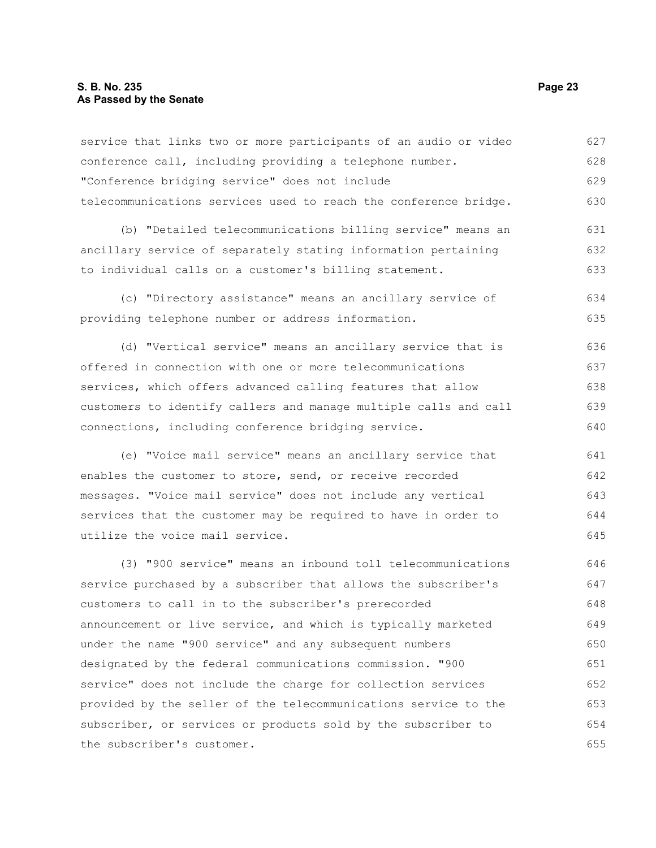#### **S. B. No. 235 Page 23 As Passed by the Senate**

the subscriber's customer.

service that links two or more participants of an audio or video conference call, including providing a telephone number. "Conference bridging service" does not include telecommunications services used to reach the conference bridge. (b) "Detailed telecommunications billing service" means an ancillary service of separately stating information pertaining to individual calls on a customer's billing statement. (c) "Directory assistance" means an ancillary service of providing telephone number or address information. (d) "Vertical service" means an ancillary service that is offered in connection with one or more telecommunications services, which offers advanced calling features that allow customers to identify callers and manage multiple calls and call connections, including conference bridging service. (e) "Voice mail service" means an ancillary service that enables the customer to store, send, or receive recorded messages. "Voice mail service" does not include any vertical services that the customer may be required to have in order to utilize the voice mail service. (3) "900 service" means an inbound toll telecommunications service purchased by a subscriber that allows the subscriber's customers to call in to the subscriber's prerecorded announcement or live service, and which is typically marketed under the name "900 service" and any subsequent numbers designated by the federal communications commission. "900 service" does not include the charge for collection services provided by the seller of the telecommunications service to the subscriber, or services or products sold by the subscriber to 627 628 629 630 631 632 633 634 635 636 637 638 639 640 641 642 643 644 645 646 647 648 649 650 651 652 653 654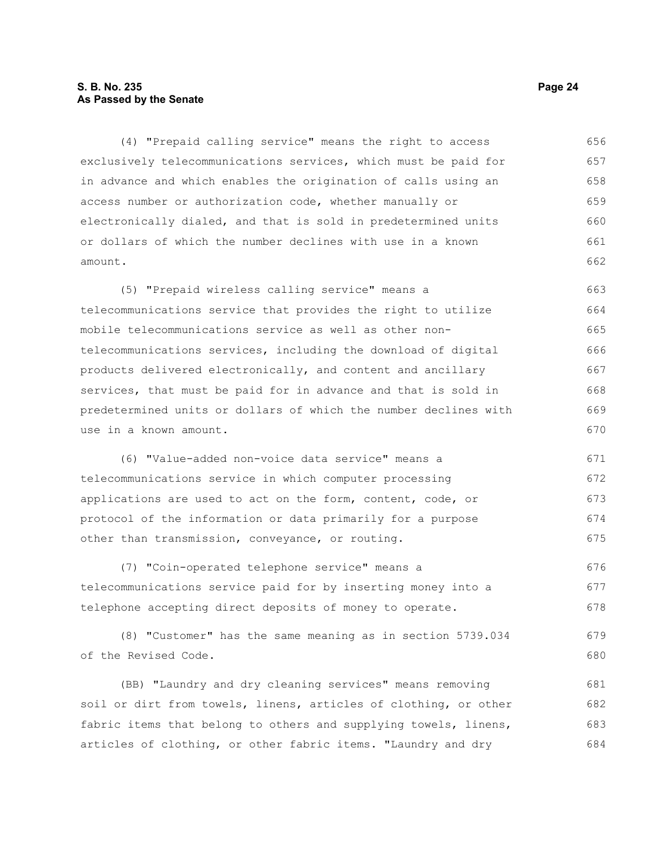### **S. B. No. 235 Page 24 As Passed by the Senate**

(4) "Prepaid calling service" means the right to access exclusively telecommunications services, which must be paid for in advance and which enables the origination of calls using an access number or authorization code, whether manually or electronically dialed, and that is sold in predetermined units or dollars of which the number declines with use in a known amount. 656 657 658 659 660 661 662

(5) "Prepaid wireless calling service" means a telecommunications service that provides the right to utilize mobile telecommunications service as well as other nontelecommunications services, including the download of digital products delivered electronically, and content and ancillary services, that must be paid for in advance and that is sold in predetermined units or dollars of which the number declines with use in a known amount. 663 664 665 666 667 668 669 670

(6) "Value-added non-voice data service" means a telecommunications service in which computer processing applications are used to act on the form, content, code, or protocol of the information or data primarily for a purpose other than transmission, conveyance, or routing. 671 672 673 674 675

(7) "Coin-operated telephone service" means a telecommunications service paid for by inserting money into a telephone accepting direct deposits of money to operate. 676 677 678

(8) "Customer" has the same meaning as in section 5739.034 of the Revised Code. 679 680

(BB) "Laundry and dry cleaning services" means removing soil or dirt from towels, linens, articles of clothing, or other fabric items that belong to others and supplying towels, linens, articles of clothing, or other fabric items. "Laundry and dry 681 682 683 684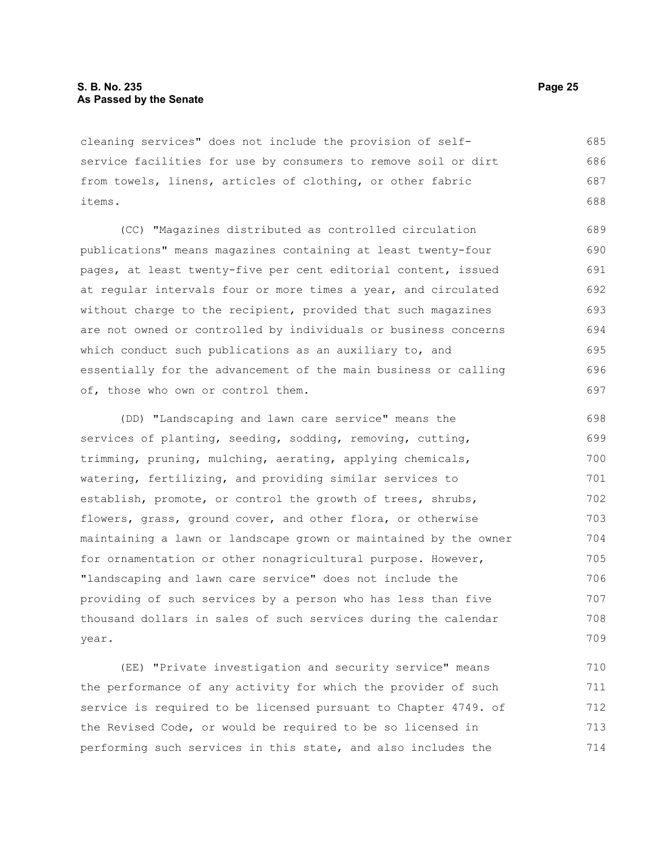cleaning services" does not include the provision of selfservice facilities for use by consumers to remove soil or dirt from towels, linens, articles of clothing, or other fabric items. 685 686 687 688

(CC) "Magazines distributed as controlled circulation publications" means magazines containing at least twenty-four pages, at least twenty-five per cent editorial content, issued at regular intervals four or more times a year, and circulated without charge to the recipient, provided that such magazines are not owned or controlled by individuals or business concerns which conduct such publications as an auxiliary to, and essentially for the advancement of the main business or calling of, those who own or control them.

(DD) "Landscaping and lawn care service" means the services of planting, seeding, sodding, removing, cutting, trimming, pruning, mulching, aerating, applying chemicals, watering, fertilizing, and providing similar services to establish, promote, or control the growth of trees, shrubs, flowers, grass, ground cover, and other flora, or otherwise maintaining a lawn or landscape grown or maintained by the owner for ornamentation or other nonagricultural purpose. However, "landscaping and lawn care service" does not include the providing of such services by a person who has less than five thousand dollars in sales of such services during the calendar year. 698 699 700 701 702 703 704 705 706 707 708 709

(EE) "Private investigation and security service" means the performance of any activity for which the provider of such service is required to be licensed pursuant to Chapter 4749. of the Revised Code, or would be required to be so licensed in performing such services in this state, and also includes the 710 711 712 713 714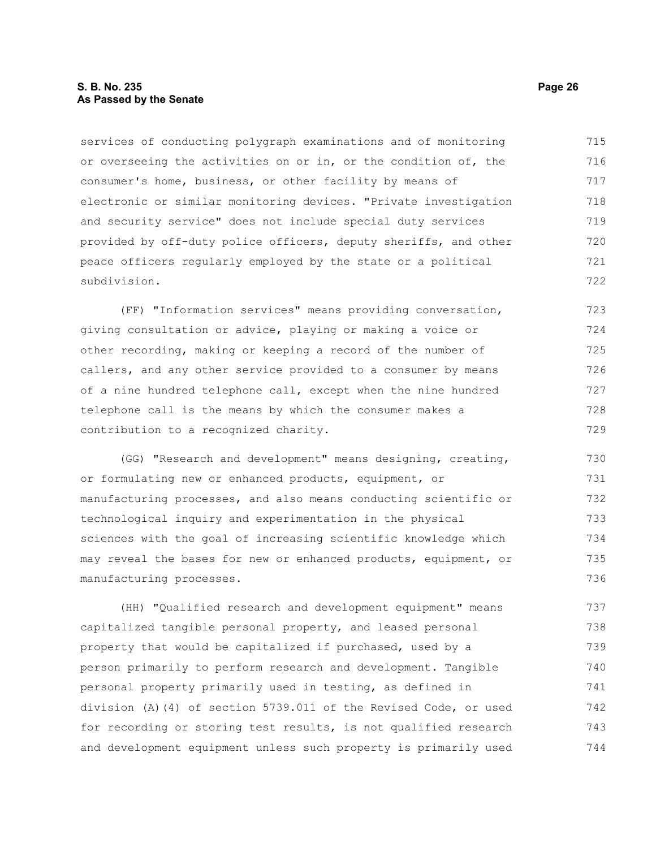#### **S. B. No. 235 Page 26 As Passed by the Senate**

services of conducting polygraph examinations and of monitoring or overseeing the activities on or in, or the condition of, the consumer's home, business, or other facility by means of electronic or similar monitoring devices. "Private investigation and security service" does not include special duty services provided by off-duty police officers, deputy sheriffs, and other peace officers regularly employed by the state or a political subdivision. 715 716 717 718 719 720 721 722

(FF) "Information services" means providing conversation, giving consultation or advice, playing or making a voice or other recording, making or keeping a record of the number of callers, and any other service provided to a consumer by means of a nine hundred telephone call, except when the nine hundred telephone call is the means by which the consumer makes a contribution to a recognized charity. 723 724 725 726 727 728 729

(GG) "Research and development" means designing, creating, or formulating new or enhanced products, equipment, or manufacturing processes, and also means conducting scientific or technological inquiry and experimentation in the physical sciences with the goal of increasing scientific knowledge which may reveal the bases for new or enhanced products, equipment, or manufacturing processes. 730 731 732 733 734 735 736

(HH) "Qualified research and development equipment" means capitalized tangible personal property, and leased personal property that would be capitalized if purchased, used by a person primarily to perform research and development. Tangible personal property primarily used in testing, as defined in division (A)(4) of section 5739.011 of the Revised Code, or used for recording or storing test results, is not qualified research and development equipment unless such property is primarily used 737 738 739 740 741 742 743 744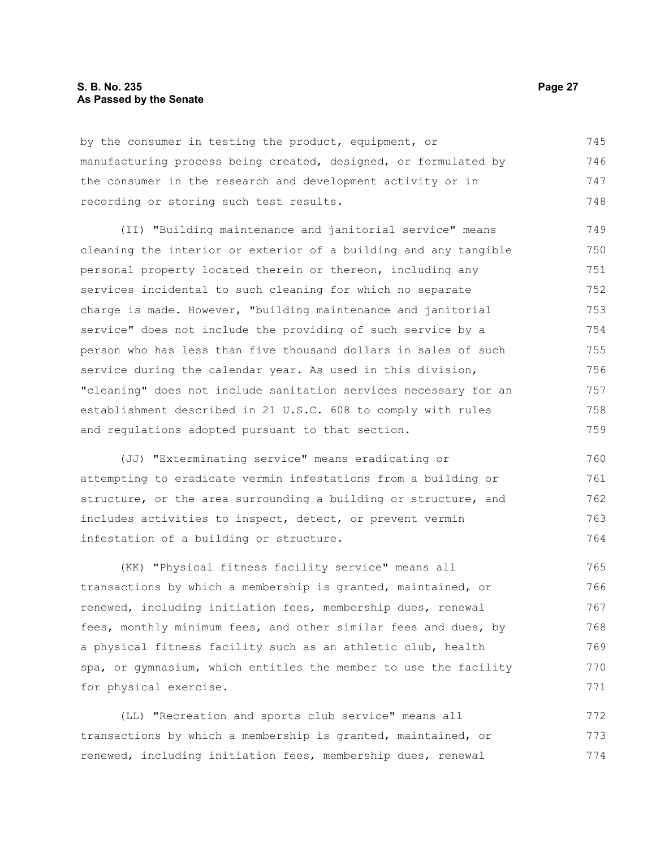#### **S. B. No. 235 Page 27 As Passed by the Senate**

by the consumer in testing the product, equipment, or manufacturing process being created, designed, or formulated by the consumer in the research and development activity or in recording or storing such test results. 745 746 747 748

(II) "Building maintenance and janitorial service" means cleaning the interior or exterior of a building and any tangible personal property located therein or thereon, including any services incidental to such cleaning for which no separate charge is made. However, "building maintenance and janitorial service" does not include the providing of such service by a person who has less than five thousand dollars in sales of such service during the calendar year. As used in this division, "cleaning" does not include sanitation services necessary for an establishment described in 21 U.S.C. 608 to comply with rules and regulations adopted pursuant to that section. 749 750 751 752 753 754 755 756 757 758 759

(JJ) "Exterminating service" means eradicating or attempting to eradicate vermin infestations from a building or structure, or the area surrounding a building or structure, and includes activities to inspect, detect, or prevent vermin infestation of a building or structure. 760 761 762 763 764

(KK) "Physical fitness facility service" means all transactions by which a membership is granted, maintained, or renewed, including initiation fees, membership dues, renewal fees, monthly minimum fees, and other similar fees and dues, by a physical fitness facility such as an athletic club, health spa, or gymnasium, which entitles the member to use the facility for physical exercise. 765 766 767 768 769 770 771

(LL) "Recreation and sports club service" means all transactions by which a membership is granted, maintained, or renewed, including initiation fees, membership dues, renewal 772 773 774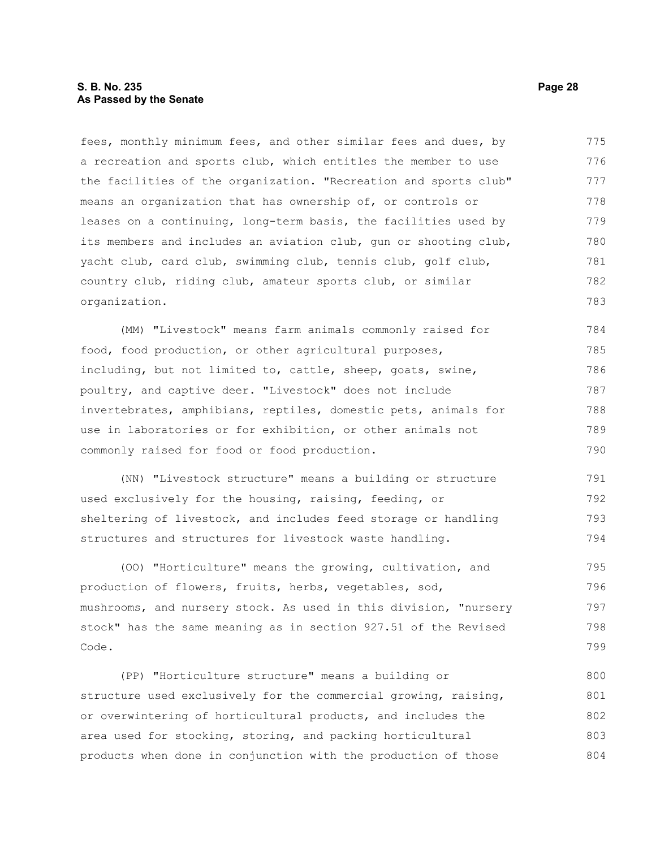#### **S. B. No. 235 Page 28 As Passed by the Senate**

fees, monthly minimum fees, and other similar fees and dues, by a recreation and sports club, which entitles the member to use the facilities of the organization. "Recreation and sports club" means an organization that has ownership of, or controls or leases on a continuing, long-term basis, the facilities used by its members and includes an aviation club, gun or shooting club, yacht club, card club, swimming club, tennis club, golf club, country club, riding club, amateur sports club, or similar organization. 775 776 777 778 779 780 781 782 783

(MM) "Livestock" means farm animals commonly raised for food, food production, or other agricultural purposes, including, but not limited to, cattle, sheep, goats, swine, poultry, and captive deer. "Livestock" does not include invertebrates, amphibians, reptiles, domestic pets, animals for use in laboratories or for exhibition, or other animals not commonly raised for food or food production. 784 785 786 787 788 789 790

(NN) "Livestock structure" means a building or structure used exclusively for the housing, raising, feeding, or sheltering of livestock, and includes feed storage or handling structures and structures for livestock waste handling. 791 792 793 794

(OO) "Horticulture" means the growing, cultivation, and production of flowers, fruits, herbs, vegetables, sod, mushrooms, and nursery stock. As used in this division, "nursery stock" has the same meaning as in section 927.51 of the Revised Code. 795 796 797 798 799

(PP) "Horticulture structure" means a building or structure used exclusively for the commercial growing, raising, or overwintering of horticultural products, and includes the area used for stocking, storing, and packing horticultural products when done in conjunction with the production of those 800 801 802 803 804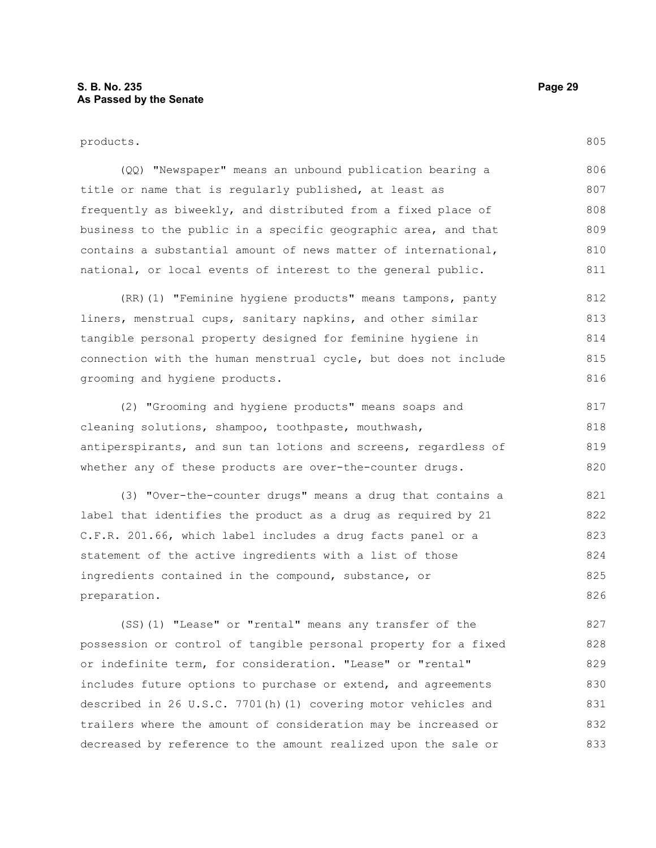805

(QQ) "Newspaper" means an unbound publication bearing a title or name that is regularly published, at least as frequently as biweekly, and distributed from a fixed place of business to the public in a specific geographic area, and that contains a substantial amount of news matter of international, national, or local events of interest to the general public. 806 807 808 809 810 811

(RR)(1) "Feminine hygiene products" means tampons, panty liners, menstrual cups, sanitary napkins, and other similar tangible personal property designed for feminine hygiene in connection with the human menstrual cycle, but does not include grooming and hygiene products. 812 813 814 815 816

(2) "Grooming and hygiene products" means soaps and cleaning solutions, shampoo, toothpaste, mouthwash, antiperspirants, and sun tan lotions and screens, regardless of whether any of these products are over-the-counter drugs. 817 818 819 820

(3) "Over-the-counter drugs" means a drug that contains a label that identifies the product as a drug as required by 21 C.F.R. 201.66, which label includes a drug facts panel or a statement of the active ingredients with a list of those ingredients contained in the compound, substance, or preparation. 821 822 823 824 825 826

(SS)(1) "Lease" or "rental" means any transfer of the possession or control of tangible personal property for a fixed or indefinite term, for consideration. "Lease" or "rental" includes future options to purchase or extend, and agreements described in 26 U.S.C. 7701(h)(1) covering motor vehicles and trailers where the amount of consideration may be increased or decreased by reference to the amount realized upon the sale or 827 828 829 830 831 832 833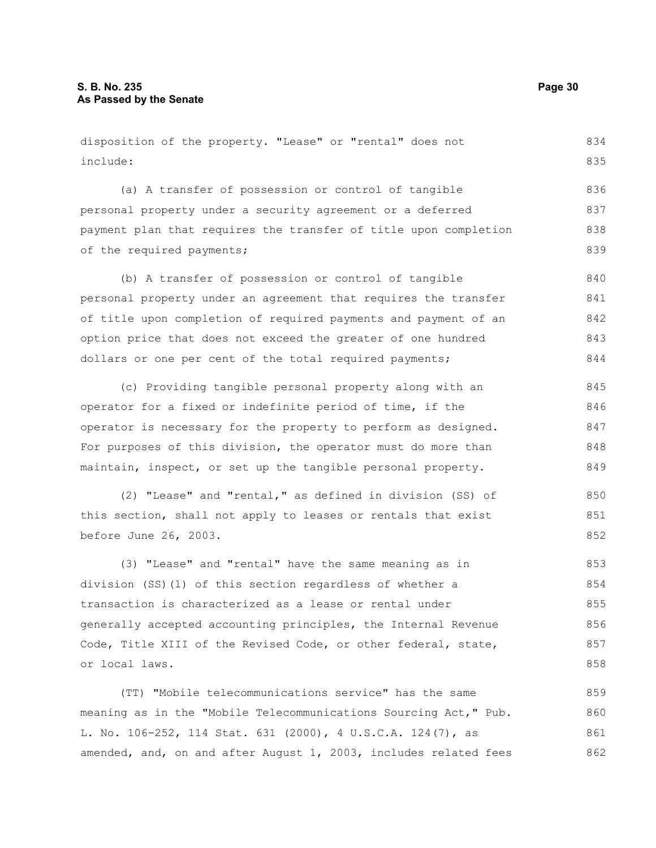disposition of the property. "Lease" or "rental" does not include: (a) A transfer of possession or control of tangible personal property under a security agreement or a deferred payment plan that requires the transfer of title upon completion of the required payments; (b) A transfer of possession or control of tangible personal property under an agreement that requires the transfer of title upon completion of required payments and payment of an option price that does not exceed the greater of one hundred dollars or one per cent of the total required payments; (c) Providing tangible personal property along with an operator for a fixed or indefinite period of time, if the operator is necessary for the property to perform as designed. For purposes of this division, the operator must do more than maintain, inspect, or set up the tangible personal property. (2) "Lease" and "rental," as defined in division (SS) of this section, shall not apply to leases or rentals that exist before June 26, 2003. (3) "Lease" and "rental" have the same meaning as in division (SS)(1) of this section regardless of whether a transaction is characterized as a lease or rental under generally accepted accounting principles, the Internal Revenue Code, Title XIII of the Revised Code, or other federal, state, or local laws. (TT) "Mobile telecommunications service" has the same 834 835 836 837 838 839 840 841 842 843 844 845 846 847 848 849 850 851 852 853 854 855 856 857 858 859

meaning as in the "Mobile Telecommunications Sourcing Act," Pub. L. No. 106-252, 114 Stat. 631 (2000), 4 U.S.C.A. 124(7), as amended, and, on and after August 1, 2003, includes related fees 860 861 862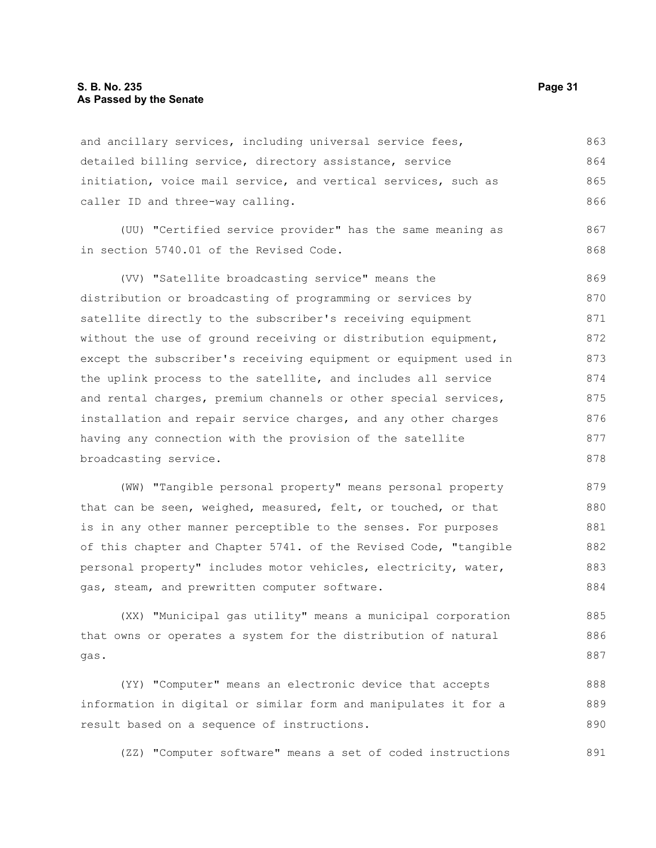#### **S. B. No. 235 Page 31 As Passed by the Senate**

and ancillary services, including universal service fees, detailed billing service, directory assistance, service initiation, voice mail service, and vertical services, such as caller ID and three-way calling. 863 864 865 866

(UU) "Certified service provider" has the same meaning as in section 5740.01 of the Revised Code.

(VV) "Satellite broadcasting service" means the distribution or broadcasting of programming or services by satellite directly to the subscriber's receiving equipment without the use of ground receiving or distribution equipment, except the subscriber's receiving equipment or equipment used in the uplink process to the satellite, and includes all service and rental charges, premium channels or other special services, installation and repair service charges, and any other charges having any connection with the provision of the satellite broadcasting service. 869 870 871 872 873 874 875 876 877 878

(WW) "Tangible personal property" means personal property that can be seen, weighed, measured, felt, or touched, or that is in any other manner perceptible to the senses. For purposes of this chapter and Chapter 5741. of the Revised Code, "tangible personal property" includes motor vehicles, electricity, water, gas, steam, and prewritten computer software. 879 880 881 882 883 884

(XX) "Municipal gas utility" means a municipal corporation that owns or operates a system for the distribution of natural gas. 885 886 887

(YY) "Computer" means an electronic device that accepts information in digital or similar form and manipulates it for a result based on a sequence of instructions. 888 889 890

(ZZ) "Computer software" means a set of coded instructions 891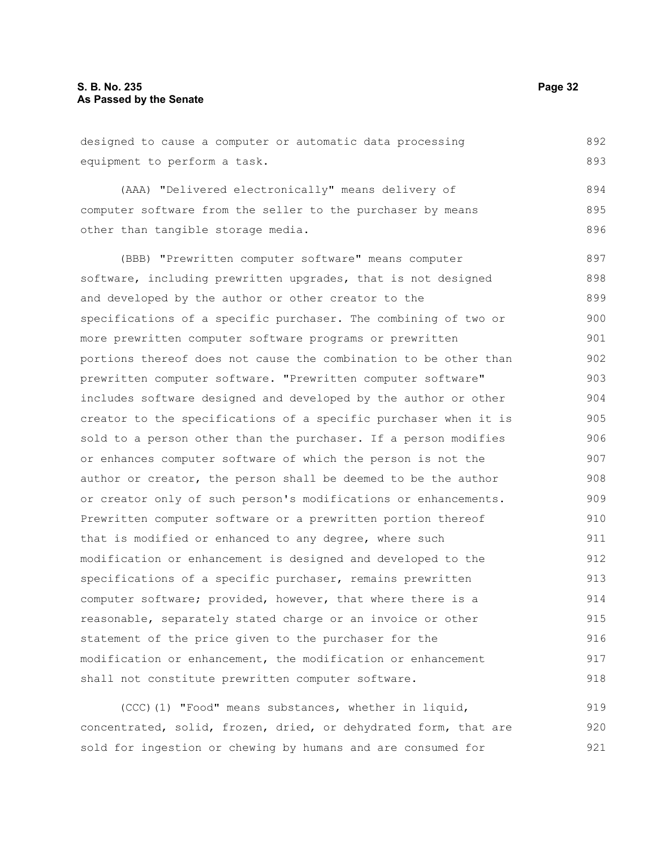designed to cause a computer or automatic data processing equipment to perform a task. 892 893

(AAA) "Delivered electronically" means delivery of computer software from the seller to the purchaser by means other than tangible storage media. 894 895 896

(BBB) "Prewritten computer software" means computer software, including prewritten upgrades, that is not designed and developed by the author or other creator to the specifications of a specific purchaser. The combining of two or more prewritten computer software programs or prewritten portions thereof does not cause the combination to be other than prewritten computer software. "Prewritten computer software" includes software designed and developed by the author or other creator to the specifications of a specific purchaser when it is sold to a person other than the purchaser. If a person modifies or enhances computer software of which the person is not the author or creator, the person shall be deemed to be the author or creator only of such person's modifications or enhancements. Prewritten computer software or a prewritten portion thereof that is modified or enhanced to any degree, where such modification or enhancement is designed and developed to the specifications of a specific purchaser, remains prewritten computer software; provided, however, that where there is a reasonable, separately stated charge or an invoice or other statement of the price given to the purchaser for the modification or enhancement, the modification or enhancement shall not constitute prewritten computer software. 897 898 899 900 901 902 903 904 905 906 907 908 909 910 911 912 913 914 915 916 917 918

(CCC)(1) "Food" means substances, whether in liquid, concentrated, solid, frozen, dried, or dehydrated form, that are sold for ingestion or chewing by humans and are consumed for 919 920 921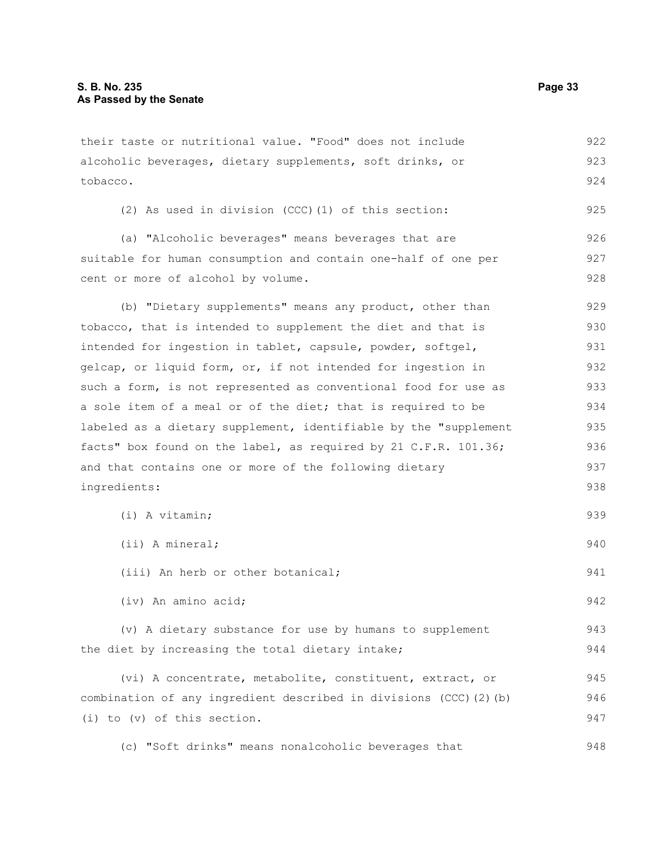alcoholic beverages, dietary supplements, soft drinks, or tobacco. (2) As used in division (CCC)(1) of this section: (a) "Alcoholic beverages" means beverages that are suitable for human consumption and contain one-half of one per cent or more of alcohol by volume. (b) "Dietary supplements" means any product, other than tobacco, that is intended to supplement the diet and that is intended for ingestion in tablet, capsule, powder, softgel, gelcap, or liquid form, or, if not intended for ingestion in such a form, is not represented as conventional food for use as a sole item of a meal or of the diet; that is required to be labeled as a dietary supplement, identifiable by the "supplement facts" box found on the label, as required by 21 C.F.R. 101.36; and that contains one or more of the following dietary ingredients: (i) A vitamin; (ii) A mineral; (iii) An herb or other botanical; (iv) An amino acid; (v) A dietary substance for use by humans to supplement the diet by increasing the total dietary intake; (vi) A concentrate, metabolite, constituent, extract, or combination of any ingredient described in divisions (CCC)(2)(b) (i) to (v) of this section. 923 924 925 926 927 928 929 930 931 932 933 934 935 936 937 938 939 940 941 942 943 944 945 946 947

their taste or nutritional value. "Food" does not include

(c) "Soft drinks" means nonalcoholic beverages that 948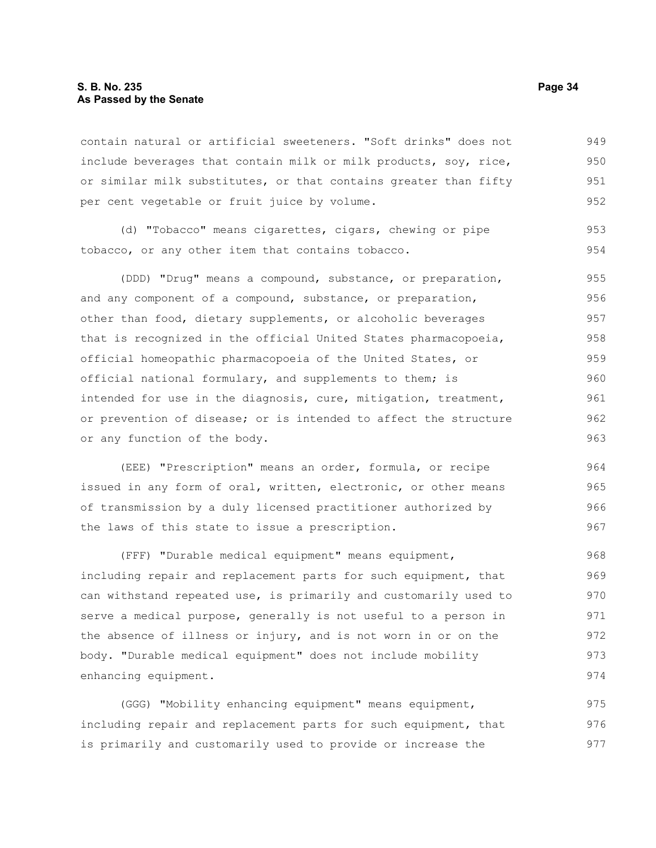#### **S. B. No. 235 Page 34 As Passed by the Senate**

contain natural or artificial sweeteners. "Soft drinks" does not include beverages that contain milk or milk products, soy, rice, or similar milk substitutes, or that contains greater than fifty per cent vegetable or fruit juice by volume. 949 950 951 952

(d) "Tobacco" means cigarettes, cigars, chewing or pipe tobacco, or any other item that contains tobacco. 953 954

(DDD) "Drug" means a compound, substance, or preparation, and any component of a compound, substance, or preparation, other than food, dietary supplements, or alcoholic beverages that is recognized in the official United States pharmacopoeia, official homeopathic pharmacopoeia of the United States, or official national formulary, and supplements to them; is intended for use in the diagnosis, cure, mitigation, treatment, or prevention of disease; or is intended to affect the structure or any function of the body. 955 956 957 958 959 960 961 962 963

(EEE) "Prescription" means an order, formula, or recipe issued in any form of oral, written, electronic, or other means of transmission by a duly licensed practitioner authorized by the laws of this state to issue a prescription.

(FFF) "Durable medical equipment" means equipment, including repair and replacement parts for such equipment, that can withstand repeated use, is primarily and customarily used to serve a medical purpose, generally is not useful to a person in the absence of illness or injury, and is not worn in or on the body. "Durable medical equipment" does not include mobility enhancing equipment. 968 969 970 971 972 973 974

(GGG) "Mobility enhancing equipment" means equipment, including repair and replacement parts for such equipment, that is primarily and customarily used to provide or increase the 975 976 977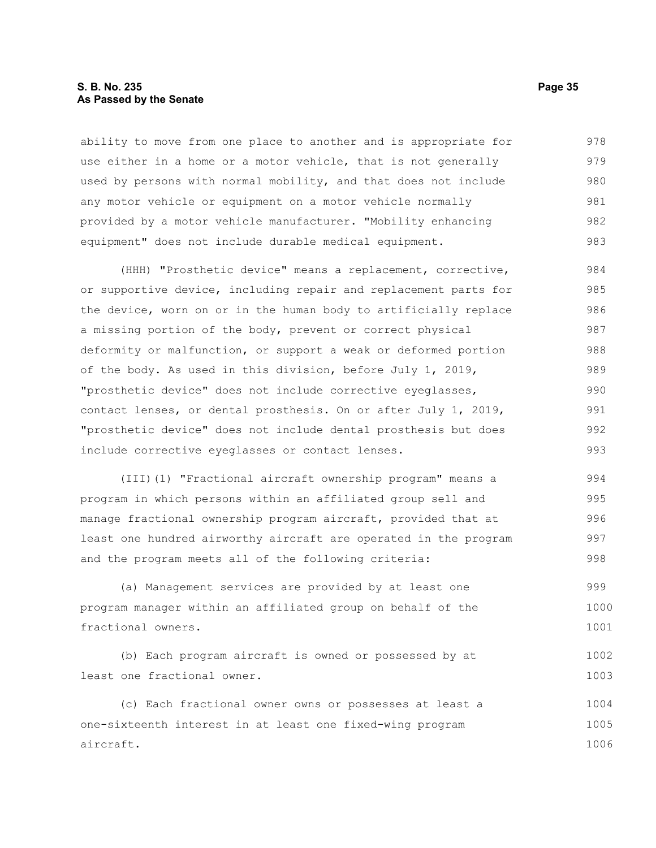#### **S. B. No. 235 Page 35 As Passed by the Senate**

ability to move from one place to another and is appropriate for use either in a home or a motor vehicle, that is not generally used by persons with normal mobility, and that does not include any motor vehicle or equipment on a motor vehicle normally provided by a motor vehicle manufacturer. "Mobility enhancing equipment" does not include durable medical equipment. 978 979 980 981 982 983

(HHH) "Prosthetic device" means a replacement, corrective, or supportive device, including repair and replacement parts for the device, worn on or in the human body to artificially replace a missing portion of the body, prevent or correct physical deformity or malfunction, or support a weak or deformed portion of the body. As used in this division, before July 1, 2019, "prosthetic device" does not include corrective eyeglasses, contact lenses, or dental prosthesis. On or after July 1, 2019, "prosthetic device" does not include dental prosthesis but does include corrective eyeglasses or contact lenses. 984 985 986 987 988 989 990 991 992 993

(III)(1) "Fractional aircraft ownership program" means a program in which persons within an affiliated group sell and manage fractional ownership program aircraft, provided that at least one hundred airworthy aircraft are operated in the program and the program meets all of the following criteria: 994 995 996 997 998

(a) Management services are provided by at least one program manager within an affiliated group on behalf of the fractional owners. 999 1000 1001

```
(b) Each program aircraft is owned or possessed by at
least one fractional owner. 
                                                                             1002
                                                                             1003
```
(c) Each fractional owner owns or possesses at least a one-sixteenth interest in at least one fixed-wing program aircraft. 1004 1005 1006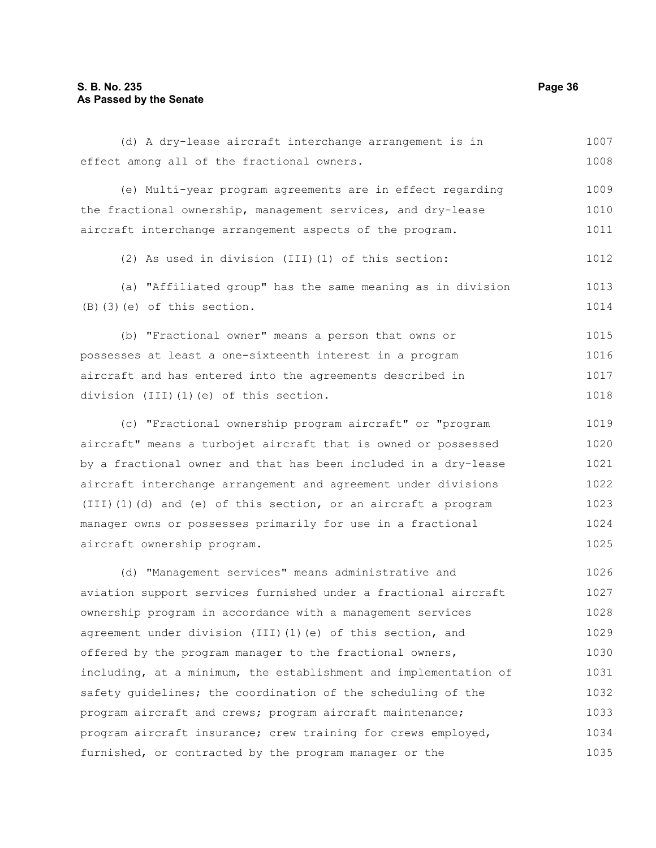#### **S. B. No. 235 Page 36 As Passed by the Senate**

(d) A dry-lease aircraft interchange arrangement is in effect among all of the fractional owners. 1007 1008

(e) Multi-year program agreements are in effect regarding the fractional ownership, management services, and dry-lease aircraft interchange arrangement aspects of the program. 1009 1010 1011

(2) As used in division (III)(1) of this section: 1012

(a) "Affiliated group" has the same meaning as in division (B)(3)(e) of this section. 1013 1014

(b) "Fractional owner" means a person that owns or possesses at least a one-sixteenth interest in a program aircraft and has entered into the agreements described in division (III)(1)(e) of this section. 1015 1016 1017 1018

(c) "Fractional ownership program aircraft" or "program aircraft" means a turbojet aircraft that is owned or possessed by a fractional owner and that has been included in a dry-lease aircraft interchange arrangement and agreement under divisions (III)(1)(d) and (e) of this section, or an aircraft a program manager owns or possesses primarily for use in a fractional aircraft ownership program. 1019 1020 1021 1022 1023 1024 1025

(d) "Management services" means administrative and aviation support services furnished under a fractional aircraft ownership program in accordance with a management services agreement under division (III)(1)(e) of this section, and offered by the program manager to the fractional owners, including, at a minimum, the establishment and implementation of safety guidelines; the coordination of the scheduling of the program aircraft and crews; program aircraft maintenance; program aircraft insurance; crew training for crews employed, furnished, or contracted by the program manager or the 1026 1027 1028 1029 1030 1031 1032 1033 1034 1035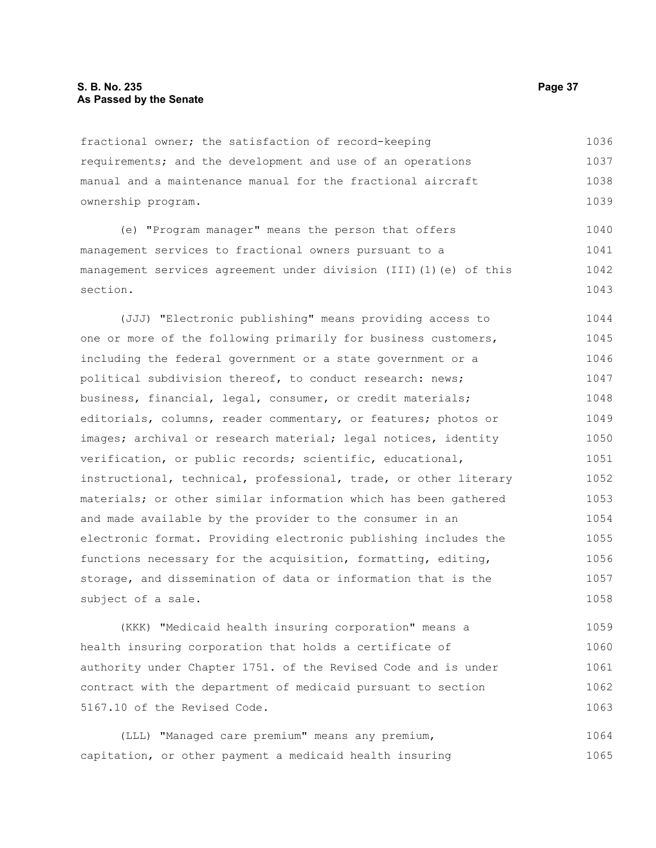# **S. B. No. 235 Page 37 As Passed by the Senate**

fractional owner; the satisfaction of record-keeping requirements; and the development and use of an operations manual and a maintenance manual for the fractional aircraft ownership program. 1036 1037 1038 1039

(e) "Program manager" means the person that offers management services to fractional owners pursuant to a management services agreement under division (III)(1)(e) of this section. 1040 1041 1042 1043

(JJJ) "Electronic publishing" means providing access to one or more of the following primarily for business customers, including the federal government or a state government or a political subdivision thereof, to conduct research: news; business, financial, legal, consumer, or credit materials; editorials, columns, reader commentary, or features; photos or images; archival or research material; legal notices, identity verification, or public records; scientific, educational, instructional, technical, professional, trade, or other literary materials; or other similar information which has been gathered and made available by the provider to the consumer in an electronic format. Providing electronic publishing includes the functions necessary for the acquisition, formatting, editing, storage, and dissemination of data or information that is the subject of a sale. 1044 1045 1046 1047 1048 1049 1050 1051 1052 1053 1054 1055 1056 1057 1058

(KKK) "Medicaid health insuring corporation" means a health insuring corporation that holds a certificate of authority under Chapter 1751. of the Revised Code and is under contract with the department of medicaid pursuant to section 5167.10 of the Revised Code. 1059 1060 1061 1062 1063

(LLL) "Managed care premium" means any premium, capitation, or other payment a medicaid health insuring 1064 1065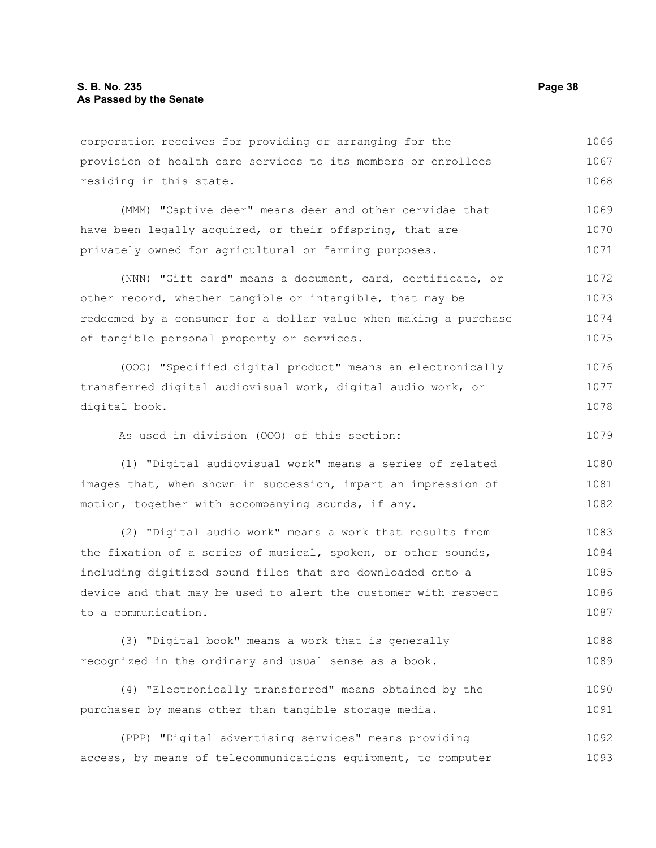corporation receives for providing or arranging for the provision of health care services to its members or enrollees residing in this state. 1066 1067 1068

(MMM) "Captive deer" means deer and other cervidae that have been legally acquired, or their offspring, that are privately owned for agricultural or farming purposes. 1069 1070 1071

(NNN) "Gift card" means a document, card, certificate, or other record, whether tangible or intangible, that may be redeemed by a consumer for a dollar value when making a purchase of tangible personal property or services. 1072 1073 1074 1075

(OOO) "Specified digital product" means an electronically transferred digital audiovisual work, digital audio work, or digital book. 1076 1077 1078

As used in division (OOO) of this section:

(1) "Digital audiovisual work" means a series of related images that, when shown in succession, impart an impression of motion, together with accompanying sounds, if any. 1080 1081 1082

(2) "Digital audio work" means a work that results from the fixation of a series of musical, spoken, or other sounds, including digitized sound files that are downloaded onto a device and that may be used to alert the customer with respect to a communication. 1083 1084 1085 1086 1087

(3) "Digital book" means a work that is generally recognized in the ordinary and usual sense as a book. 1088 1089

(4) "Electronically transferred" means obtained by the purchaser by means other than tangible storage media. 1090 1091

(PPP) "Digital advertising services" means providing access, by means of telecommunications equipment, to computer 1092 1093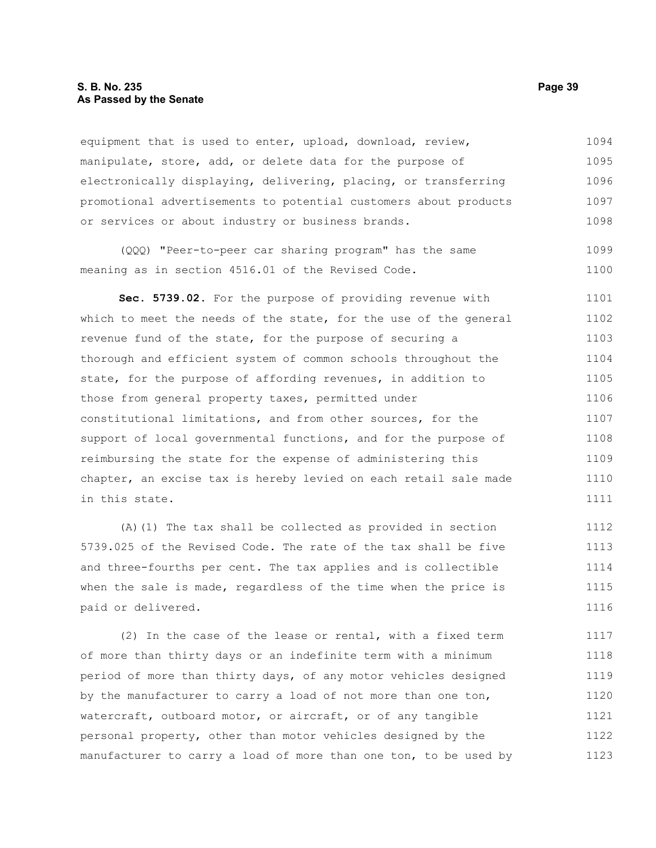# **S. B. No. 235 Page 39 As Passed by the Senate**

equipment that is used to enter, upload, download, review, manipulate, store, add, or delete data for the purpose of electronically displaying, delivering, placing, or transferring promotional advertisements to potential customers about products or services or about industry or business brands. 1094 1095 1096 1097 1098

(QQQ) "Peer-to-peer car sharing program" has the same meaning as in section 4516.01 of the Revised Code. 1099 1100

**Sec. 5739.02.** For the purpose of providing revenue with which to meet the needs of the state, for the use of the general revenue fund of the state, for the purpose of securing a thorough and efficient system of common schools throughout the state, for the purpose of affording revenues, in addition to those from general property taxes, permitted under constitutional limitations, and from other sources, for the support of local governmental functions, and for the purpose of reimbursing the state for the expense of administering this chapter, an excise tax is hereby levied on each retail sale made in this state. 1101 1102 1103 1104 1105 1106 1107 1108 1109 1110 1111

(A)(1) The tax shall be collected as provided in section 5739.025 of the Revised Code. The rate of the tax shall be five and three-fourths per cent. The tax applies and is collectible when the sale is made, regardless of the time when the price is paid or delivered. 1112 1113 1114 1115 1116

(2) In the case of the lease or rental, with a fixed term of more than thirty days or an indefinite term with a minimum period of more than thirty days, of any motor vehicles designed by the manufacturer to carry a load of not more than one ton, watercraft, outboard motor, or aircraft, or of any tangible personal property, other than motor vehicles designed by the manufacturer to carry a load of more than one ton, to be used by 1117 1118 1119 1120 1121 1122 1123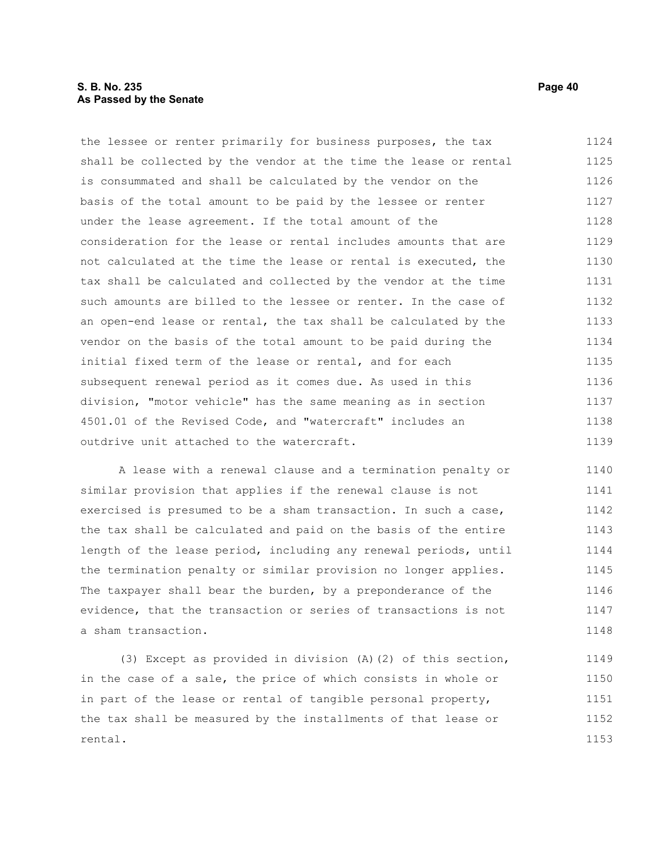# **S. B. No. 235 Page 40 As Passed by the Senate**

the lessee or renter primarily for business purposes, the tax shall be collected by the vendor at the time the lease or rental is consummated and shall be calculated by the vendor on the basis of the total amount to be paid by the lessee or renter under the lease agreement. If the total amount of the consideration for the lease or rental includes amounts that are not calculated at the time the lease or rental is executed, the tax shall be calculated and collected by the vendor at the time such amounts are billed to the lessee or renter. In the case of an open-end lease or rental, the tax shall be calculated by the vendor on the basis of the total amount to be paid during the initial fixed term of the lease or rental, and for each subsequent renewal period as it comes due. As used in this division, "motor vehicle" has the same meaning as in section 4501.01 of the Revised Code, and "watercraft" includes an outdrive unit attached to the watercraft. 1124 1125 1126 1127 1128 1129 1130 1131 1132 1133 1134 1135 1136 1137 1138 1139

A lease with a renewal clause and a termination penalty or similar provision that applies if the renewal clause is not exercised is presumed to be a sham transaction. In such a case, the tax shall be calculated and paid on the basis of the entire length of the lease period, including any renewal periods, until the termination penalty or similar provision no longer applies. The taxpayer shall bear the burden, by a preponderance of the evidence, that the transaction or series of transactions is not a sham transaction. 1140 1141 1142 1143 1144 1145 1146 1147 1148

(3) Except as provided in division (A)(2) of this section, in the case of a sale, the price of which consists in whole or in part of the lease or rental of tangible personal property, the tax shall be measured by the installments of that lease or rental. 1149 1150 1151 1152 1153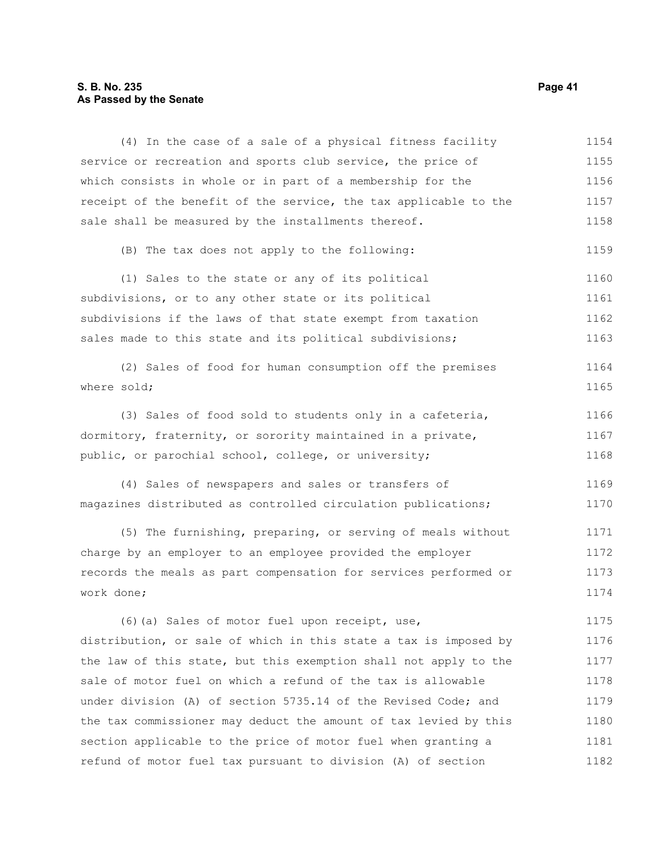# **S. B. No. 235** Page 41 **As Passed by the Senate**

| (4) In the case of a sale of a physical fitness facility         | 1154 |
|------------------------------------------------------------------|------|
| service or recreation and sports club service, the price of      | 1155 |
| which consists in whole or in part of a membership for the       | 1156 |
| receipt of the benefit of the service, the tax applicable to the | 1157 |
| sale shall be measured by the installments thereof.              | 1158 |
| (B) The tax does not apply to the following:                     | 1159 |
| (1) Sales to the state or any of its political                   | 1160 |
| subdivisions, or to any other state or its political             | 1161 |
| subdivisions if the laws of that state exempt from taxation      | 1162 |
| sales made to this state and its political subdivisions;         | 1163 |
| (2) Sales of food for human consumption off the premises         | 1164 |
| where sold;                                                      | 1165 |
| (3) Sales of food sold to students only in a cafeteria,          | 1166 |
| dormitory, fraternity, or sorority maintained in a private,      | 1167 |
| public, or parochial school, college, or university;             | 1168 |
| (4) Sales of newspapers and sales or transfers of                | 1169 |
| magazines distributed as controlled circulation publications;    | 1170 |
| (5) The furnishing, preparing, or serving of meals without       | 1171 |
| charge by an employer to an employee provided the employer       | 1172 |
| records the meals as part compensation for services performed or | 1173 |
| work done;                                                       | 1174 |
| (6) (a) Sales of motor fuel upon receipt, use,                   | 1175 |
| distribution, or sale of which in this state a tax is imposed by | 1176 |
| the law of this state, but this exemption shall not apply to the | 1177 |
| sale of motor fuel on which a refund of the tax is allowable     | 1178 |
| under division (A) of section 5735.14 of the Revised Code; and   | 1179 |
| the tax commissioner may deduct the amount of tax levied by this | 1180 |
| section applicable to the price of motor fuel when granting a    | 1181 |
| refund of motor fuel tax pursuant to division (A) of section     | 1182 |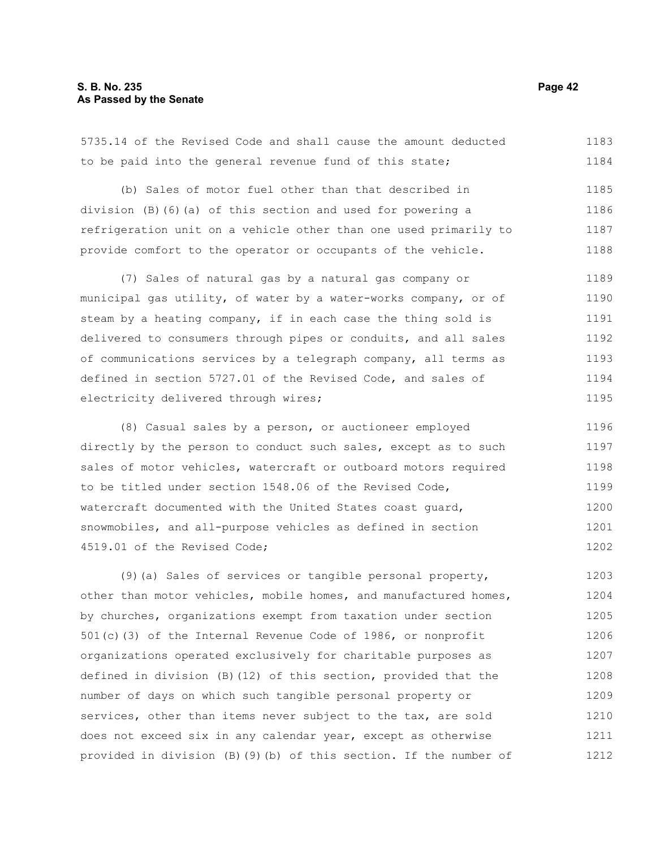# **S. B. No. 235 Page 42 As Passed by the Senate**

5735.14 of the Revised Code and shall cause the amount deducted to be paid into the general revenue fund of this state; 1183 1184

(b) Sales of motor fuel other than that described in division (B)(6)(a) of this section and used for powering a refrigeration unit on a vehicle other than one used primarily to provide comfort to the operator or occupants of the vehicle. 1185 1186 1187 1188

(7) Sales of natural gas by a natural gas company or municipal gas utility, of water by a water-works company, or of steam by a heating company, if in each case the thing sold is delivered to consumers through pipes or conduits, and all sales of communications services by a telegraph company, all terms as defined in section 5727.01 of the Revised Code, and sales of electricity delivered through wires; 1189 1190 1191 1192 1193 1194 1195

(8) Casual sales by a person, or auctioneer employed directly by the person to conduct such sales, except as to such sales of motor vehicles, watercraft or outboard motors required to be titled under section 1548.06 of the Revised Code, watercraft documented with the United States coast guard, snowmobiles, and all-purpose vehicles as defined in section 4519.01 of the Revised Code; 1196 1197 1198 1199 1200 1201 1202

(9)(a) Sales of services or tangible personal property, other than motor vehicles, mobile homes, and manufactured homes, by churches, organizations exempt from taxation under section 501(c)(3) of the Internal Revenue Code of 1986, or nonprofit organizations operated exclusively for charitable purposes as defined in division (B)(12) of this section, provided that the number of days on which such tangible personal property or services, other than items never subject to the tax, are sold does not exceed six in any calendar year, except as otherwise provided in division (B)(9)(b) of this section. If the number of 1203 1204 1205 1206 1207 1208 1209 1210 1211 1212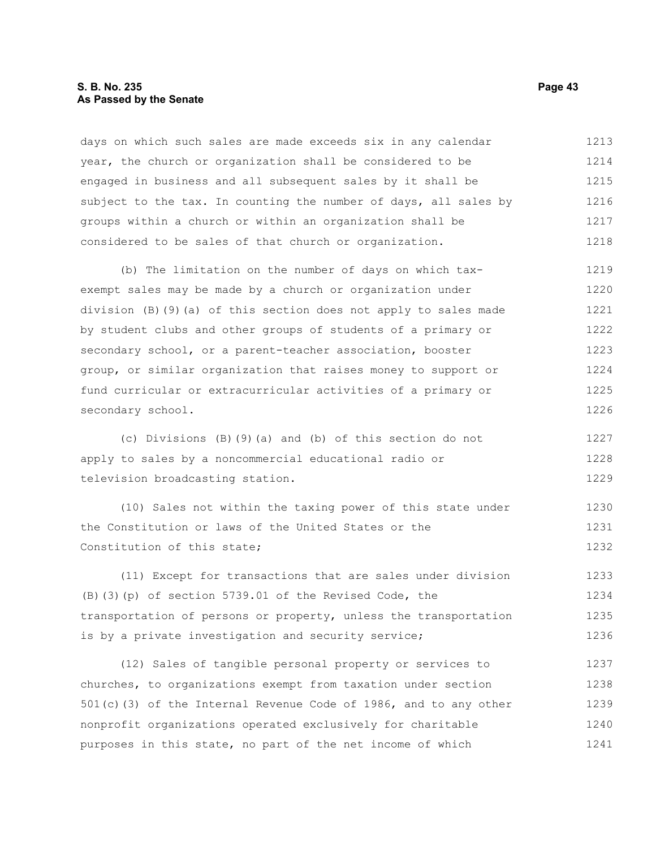# **S. B. No. 235 Page 43 As Passed by the Senate**

days on which such sales are made exceeds six in any calendar year, the church or organization shall be considered to be engaged in business and all subsequent sales by it shall be subject to the tax. In counting the number of days, all sales by groups within a church or within an organization shall be considered to be sales of that church or organization. 1213 1214 1215 1216 1217 1218

(b) The limitation on the number of days on which taxexempt sales may be made by a church or organization under division (B)(9)(a) of this section does not apply to sales made by student clubs and other groups of students of a primary or secondary school, or a parent-teacher association, booster group, or similar organization that raises money to support or fund curricular or extracurricular activities of a primary or secondary school. 1219 1220 1221 1222 1223 1224 1225 1226

(c) Divisions (B)(9)(a) and (b) of this section do not apply to sales by a noncommercial educational radio or television broadcasting station. 1227 1228 1229

(10) Sales not within the taxing power of this state under the Constitution or laws of the United States or the Constitution of this state; 1230 1231 1232

(11) Except for transactions that are sales under division (B)(3)(p) of section 5739.01 of the Revised Code, the transportation of persons or property, unless the transportation is by a private investigation and security service; 1233 1234 1235 1236

(12) Sales of tangible personal property or services to churches, to organizations exempt from taxation under section 501(c)(3) of the Internal Revenue Code of 1986, and to any other nonprofit organizations operated exclusively for charitable purposes in this state, no part of the net income of which 1237 1238 1239 1240 1241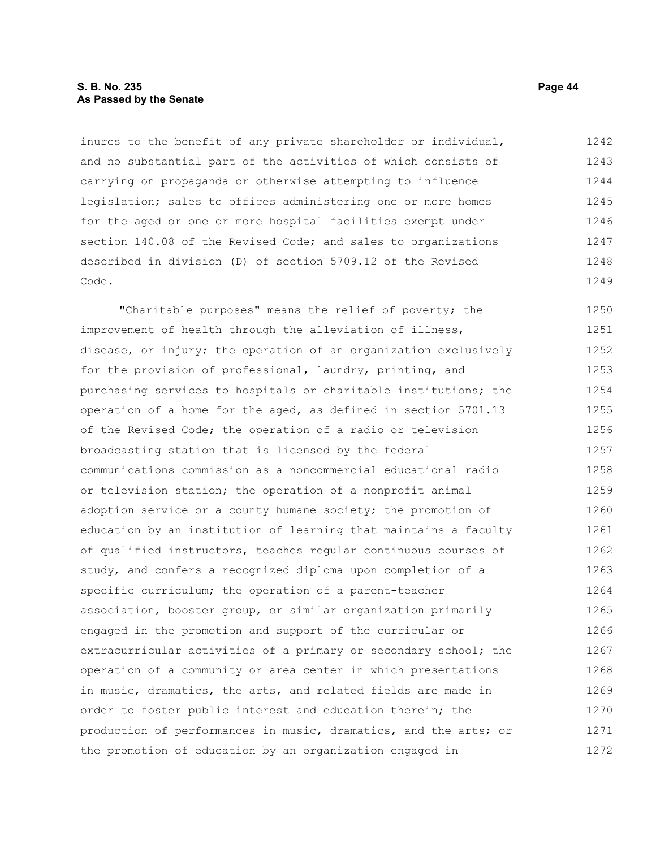# **S. B. No. 235 Page 44 As Passed by the Senate**

inures to the benefit of any private shareholder or individual, and no substantial part of the activities of which consists of carrying on propaganda or otherwise attempting to influence legislation; sales to offices administering one or more homes for the aged or one or more hospital facilities exempt under section 140.08 of the Revised Code; and sales to organizations described in division (D) of section 5709.12 of the Revised Code. 1242 1243 1244 1245 1246 1247 1248 1249

"Charitable purposes" means the relief of poverty; the improvement of health through the alleviation of illness, disease, or injury; the operation of an organization exclusively for the provision of professional, laundry, printing, and purchasing services to hospitals or charitable institutions; the operation of a home for the aged, as defined in section 5701.13 of the Revised Code; the operation of a radio or television broadcasting station that is licensed by the federal communications commission as a noncommercial educational radio or television station; the operation of a nonprofit animal adoption service or a county humane society; the promotion of education by an institution of learning that maintains a faculty of qualified instructors, teaches regular continuous courses of study, and confers a recognized diploma upon completion of a specific curriculum; the operation of a parent-teacher association, booster group, or similar organization primarily engaged in the promotion and support of the curricular or extracurricular activities of a primary or secondary school; the operation of a community or area center in which presentations in music, dramatics, the arts, and related fields are made in order to foster public interest and education therein; the production of performances in music, dramatics, and the arts; or the promotion of education by an organization engaged in 1250 1251 1252 1253 1254 1255 1256 1257 1258 1259 1260 1261 1262 1263 1264 1265 1266 1267 1268 1269 1270 1271 1272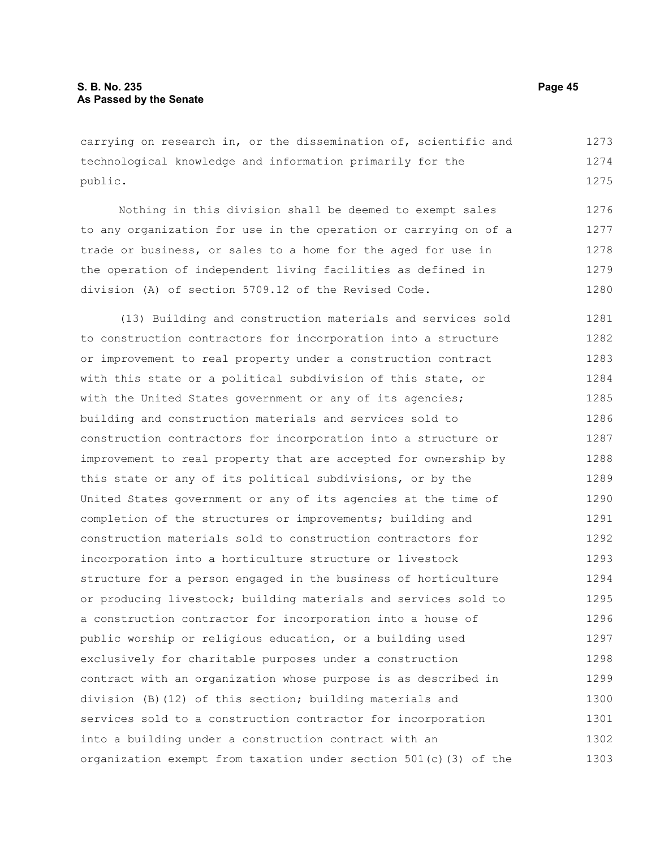carrying on research in, or the dissemination of, scientific and technological knowledge and information primarily for the public. 1273 1274 1275

Nothing in this division shall be deemed to exempt sales to any organization for use in the operation or carrying on of a trade or business, or sales to a home for the aged for use in the operation of independent living facilities as defined in division (A) of section 5709.12 of the Revised Code. 1276 1277 1278 1279 1280

(13) Building and construction materials and services sold to construction contractors for incorporation into a structure or improvement to real property under a construction contract with this state or a political subdivision of this state, or with the United States government or any of its agencies; building and construction materials and services sold to construction contractors for incorporation into a structure or improvement to real property that are accepted for ownership by this state or any of its political subdivisions, or by the United States government or any of its agencies at the time of completion of the structures or improvements; building and construction materials sold to construction contractors for incorporation into a horticulture structure or livestock structure for a person engaged in the business of horticulture or producing livestock; building materials and services sold to a construction contractor for incorporation into a house of public worship or religious education, or a building used exclusively for charitable purposes under a construction contract with an organization whose purpose is as described in division (B)(12) of this section; building materials and services sold to a construction contractor for incorporation into a building under a construction contract with an organization exempt from taxation under section 501(c)(3) of the 1281 1282 1283 1284 1285 1286 1287 1288 1289 1290 1291 1292 1293 1294 1295 1296 1297 1298 1299 1300 1301 1302 1303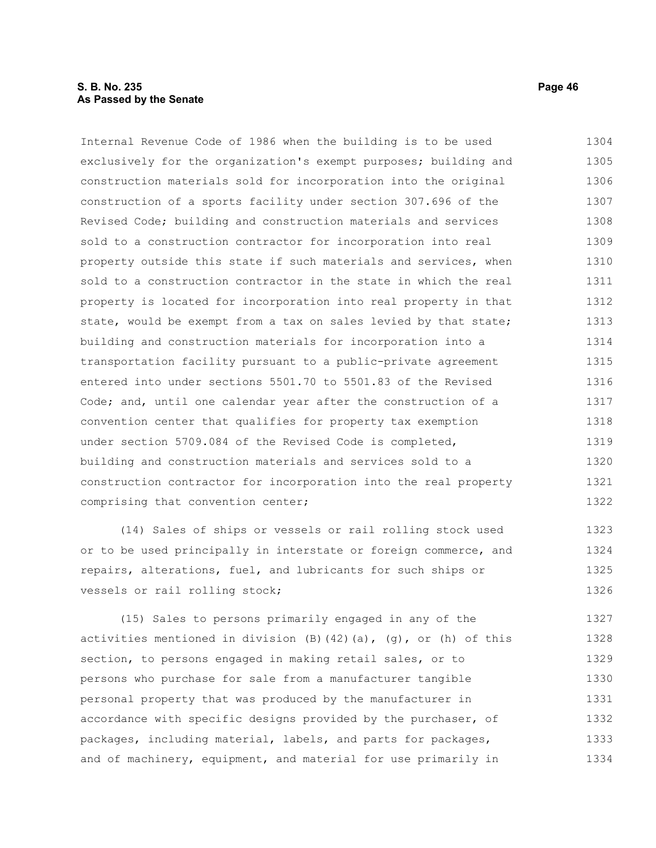# **S. B. No. 235 Page 46 As Passed by the Senate**

Internal Revenue Code of 1986 when the building is to be used exclusively for the organization's exempt purposes; building and construction materials sold for incorporation into the original construction of a sports facility under section 307.696 of the Revised Code; building and construction materials and services sold to a construction contractor for incorporation into real property outside this state if such materials and services, when sold to a construction contractor in the state in which the real property is located for incorporation into real property in that state, would be exempt from a tax on sales levied by that state; building and construction materials for incorporation into a transportation facility pursuant to a public-private agreement entered into under sections 5501.70 to 5501.83 of the Revised Code; and, until one calendar year after the construction of a convention center that qualifies for property tax exemption under section 5709.084 of the Revised Code is completed, building and construction materials and services sold to a construction contractor for incorporation into the real property comprising that convention center; 1304 1305 1306 1307 1308 1309 1310 1311 1312 1313 1314 1315 1316 1317 1318 1319 1320 1321 1322

(14) Sales of ships or vessels or rail rolling stock used or to be used principally in interstate or foreign commerce, and repairs, alterations, fuel, and lubricants for such ships or vessels or rail rolling stock; 1323 1324 1325 1326

(15) Sales to persons primarily engaged in any of the activities mentioned in division  $(B)$  (42)(a), (g), or (h) of this section, to persons engaged in making retail sales, or to persons who purchase for sale from a manufacturer tangible personal property that was produced by the manufacturer in accordance with specific designs provided by the purchaser, of packages, including material, labels, and parts for packages, and of machinery, equipment, and material for use primarily in 1327 1328 1329 1330 1331 1332 1333 1334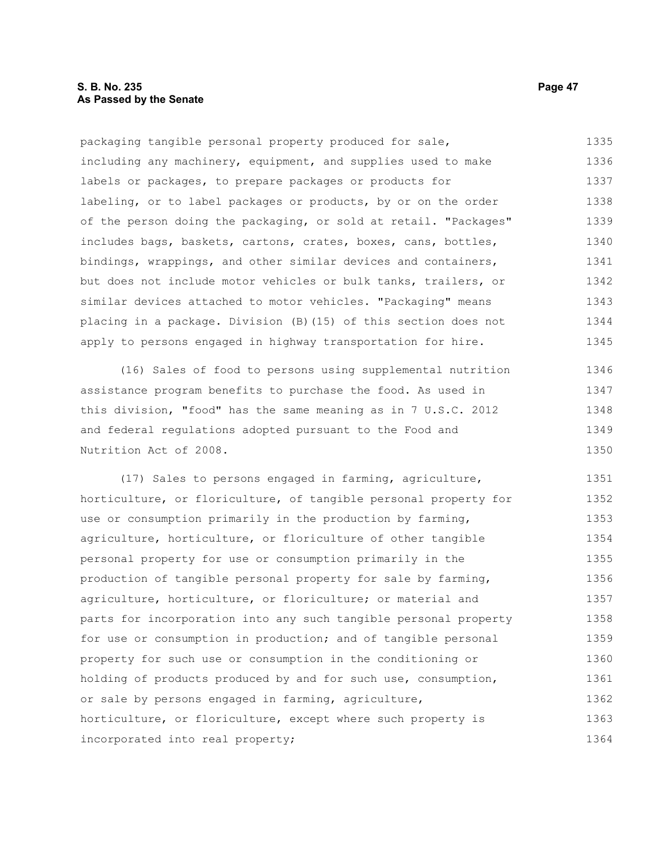packaging tangible personal property produced for sale, including any machinery, equipment, and supplies used to make labels or packages, to prepare packages or products for labeling, or to label packages or products, by or on the order of the person doing the packaging, or sold at retail. "Packages" includes bags, baskets, cartons, crates, boxes, cans, bottles, bindings, wrappings, and other similar devices and containers, but does not include motor vehicles or bulk tanks, trailers, or similar devices attached to motor vehicles. "Packaging" means placing in a package. Division (B)(15) of this section does not apply to persons engaged in highway transportation for hire. 1335 1336 1337 1338 1339 1340 1341 1342 1343 1344 1345

(16) Sales of food to persons using supplemental nutrition assistance program benefits to purchase the food. As used in this division, "food" has the same meaning as in 7 U.S.C. 2012 and federal regulations adopted pursuant to the Food and Nutrition Act of 2008. 1346 1347 1348 1349 1350

(17) Sales to persons engaged in farming, agriculture, horticulture, or floriculture, of tangible personal property for use or consumption primarily in the production by farming, agriculture, horticulture, or floriculture of other tangible personal property for use or consumption primarily in the production of tangible personal property for sale by farming, agriculture, horticulture, or floriculture; or material and parts for incorporation into any such tangible personal property for use or consumption in production; and of tangible personal property for such use or consumption in the conditioning or holding of products produced by and for such use, consumption, or sale by persons engaged in farming, agriculture, horticulture, or floriculture, except where such property is incorporated into real property; 1351 1352 1353 1354 1355 1356 1357 1358 1359 1360 1361 1362 1363 1364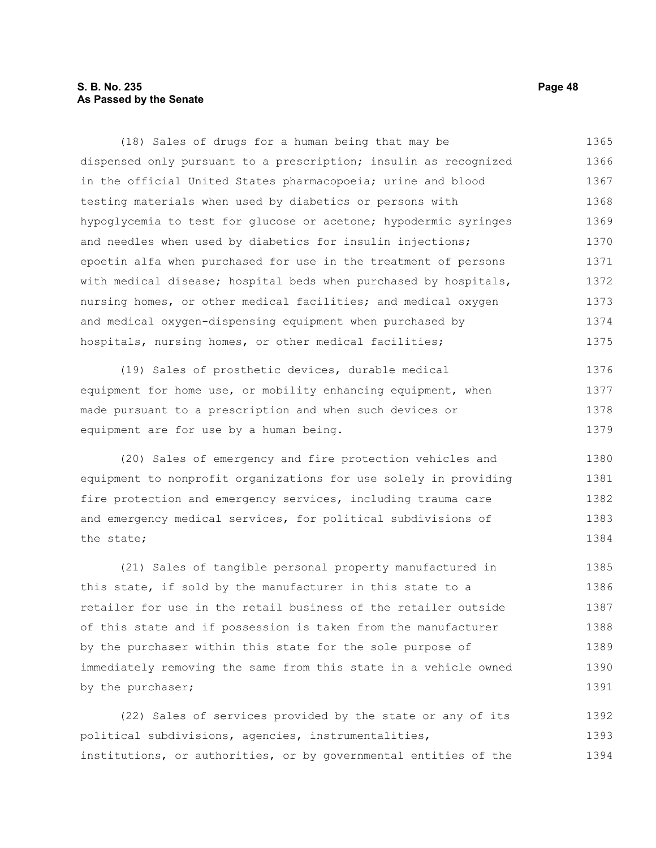# **S. B. No. 235 Page 48 As Passed by the Senate**

(18) Sales of drugs for a human being that may be dispensed only pursuant to a prescription; insulin as recognized in the official United States pharmacopoeia; urine and blood testing materials when used by diabetics or persons with hypoglycemia to test for glucose or acetone; hypodermic syringes and needles when used by diabetics for insulin injections; epoetin alfa when purchased for use in the treatment of persons with medical disease; hospital beds when purchased by hospitals, nursing homes, or other medical facilities; and medical oxygen and medical oxygen-dispensing equipment when purchased by hospitals, nursing homes, or other medical facilities; 1365 1366 1367 1368 1369 1370 1371 1372 1373 1374 1375

(19) Sales of prosthetic devices, durable medical equipment for home use, or mobility enhancing equipment, when made pursuant to a prescription and when such devices or equipment are for use by a human being. 1376 1377 1378 1379

(20) Sales of emergency and fire protection vehicles and equipment to nonprofit organizations for use solely in providing fire protection and emergency services, including trauma care and emergency medical services, for political subdivisions of the state; 1380 1381 1382 1383 1384

(21) Sales of tangible personal property manufactured in this state, if sold by the manufacturer in this state to a retailer for use in the retail business of the retailer outside of this state and if possession is taken from the manufacturer by the purchaser within this state for the sole purpose of immediately removing the same from this state in a vehicle owned by the purchaser; 1385 1386 1387 1388 1389 1390 1391

(22) Sales of services provided by the state or any of its political subdivisions, agencies, instrumentalities, institutions, or authorities, or by governmental entities of the 1392 1393 1394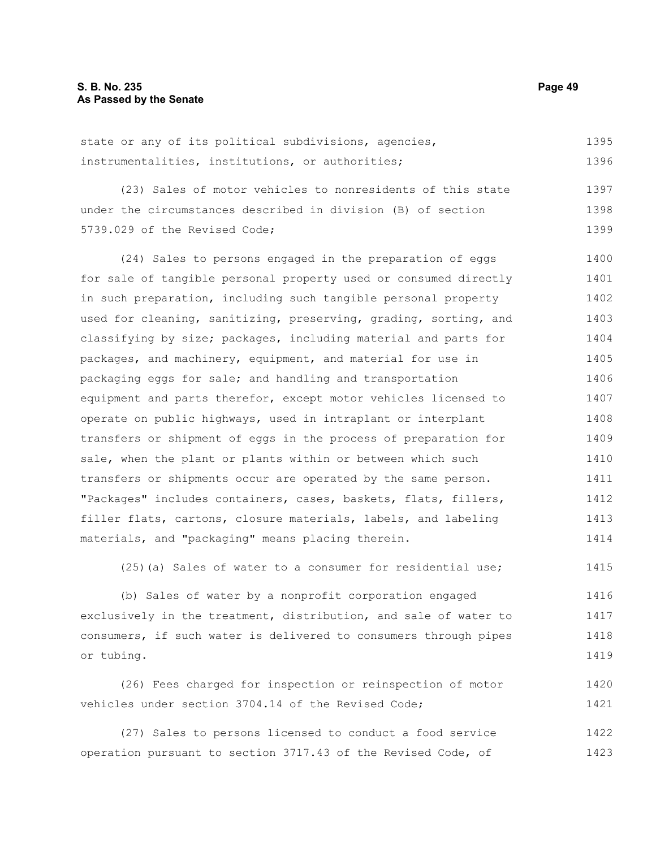| state or any of its political subdivisions, agencies, | 1395 |
|-------------------------------------------------------|------|
| instrumentalities, institutions, or authorities;      | 1396 |

(23) Sales of motor vehicles to nonresidents of this state under the circumstances described in division (B) of section 5739.029 of the Revised Code; 1397 1398 1399

(24) Sales to persons engaged in the preparation of eggs for sale of tangible personal property used or consumed directly in such preparation, including such tangible personal property used for cleaning, sanitizing, preserving, grading, sorting, and classifying by size; packages, including material and parts for packages, and machinery, equipment, and material for use in packaging eggs for sale; and handling and transportation equipment and parts therefor, except motor vehicles licensed to operate on public highways, used in intraplant or interplant transfers or shipment of eggs in the process of preparation for sale, when the plant or plants within or between which such transfers or shipments occur are operated by the same person. "Packages" includes containers, cases, baskets, flats, fillers, filler flats, cartons, closure materials, labels, and labeling materials, and "packaging" means placing therein. 1400 1401 1402 1403 1404 1405 1406 1407 1408 1409 1410 1411 1412 1413 1414

(25)(a) Sales of water to a consumer for residential use; 1415

(b) Sales of water by a nonprofit corporation engaged exclusively in the treatment, distribution, and sale of water to consumers, if such water is delivered to consumers through pipes or tubing. 1416 1417 1418 1419

(26) Fees charged for inspection or reinspection of motor vehicles under section 3704.14 of the Revised Code; 1420 1421

(27) Sales to persons licensed to conduct a food service operation pursuant to section 3717.43 of the Revised Code, of 1422 1423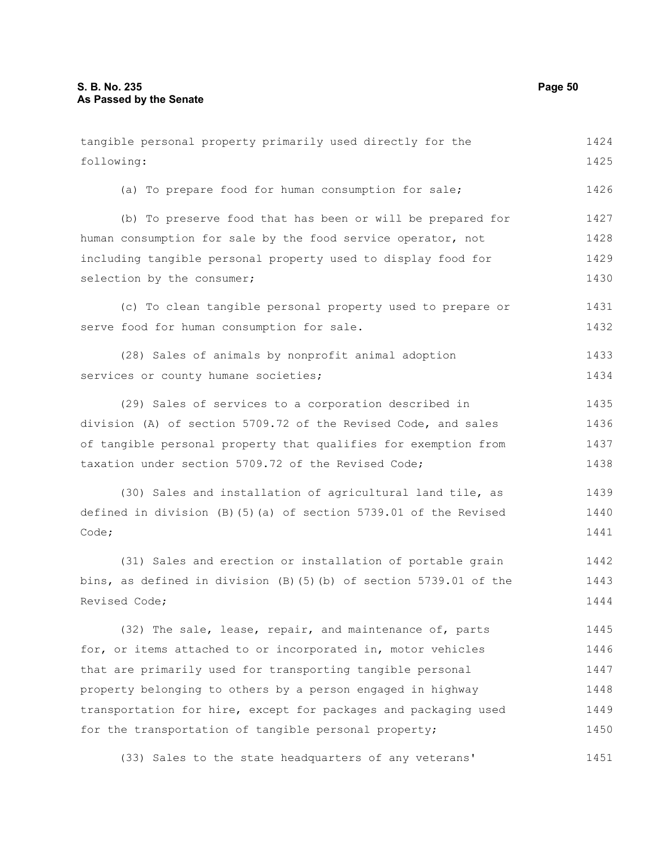tangible personal property primarily used directly for the following: (a) To prepare food for human consumption for sale; (b) To preserve food that has been or will be prepared for human consumption for sale by the food service operator, not including tangible personal property used to display food for selection by the consumer; (c) To clean tangible personal property used to prepare or serve food for human consumption for sale. (28) Sales of animals by nonprofit animal adoption services or county humane societies; (29) Sales of services to a corporation described in division (A) of section 5709.72 of the Revised Code, and sales of tangible personal property that qualifies for exemption from taxation under section 5709.72 of the Revised Code; (30) Sales and installation of agricultural land tile, as defined in division (B)(5)(a) of section 5739.01 of the Revised Code; (31) Sales and erection or installation of portable grain bins, as defined in division (B)(5)(b) of section 5739.01 of the Revised Code; (32) The sale, lease, repair, and maintenance of, parts for, or items attached to or incorporated in, motor vehicles that are primarily used for transporting tangible personal property belonging to others by a person engaged in highway transportation for hire, except for packages and packaging used 1424 1425 1426 1427 1428 1429 1430 1431 1432 1433 1434 1435 1436 1437 1438 1439 1440 1441 1442 1443 1444 1445 1446 1447 1448 1449

(33) Sales to the state headquarters of any veterans' 1451

for the transportation of tangible personal property;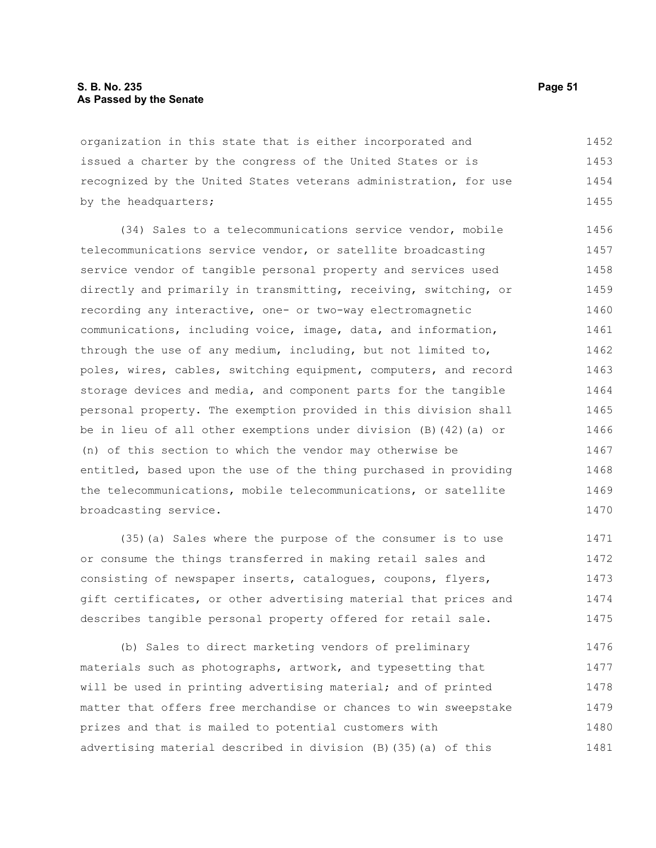organization in this state that is either incorporated and issued a charter by the congress of the United States or is recognized by the United States veterans administration, for use by the headquarters; 1452 1453 1454 1455

(34) Sales to a telecommunications service vendor, mobile telecommunications service vendor, or satellite broadcasting service vendor of tangible personal property and services used directly and primarily in transmitting, receiving, switching, or recording any interactive, one- or two-way electromagnetic communications, including voice, image, data, and information, through the use of any medium, including, but not limited to, poles, wires, cables, switching equipment, computers, and record storage devices and media, and component parts for the tangible personal property. The exemption provided in this division shall be in lieu of all other exemptions under division (B)(42)(a) or (n) of this section to which the vendor may otherwise be entitled, based upon the use of the thing purchased in providing the telecommunications, mobile telecommunications, or satellite broadcasting service. 1456 1457 1458 1459 1460 1461 1462 1463 1464 1465 1466 1467 1468 1469 1470

(35)(a) Sales where the purpose of the consumer is to use or consume the things transferred in making retail sales and consisting of newspaper inserts, catalogues, coupons, flyers, gift certificates, or other advertising material that prices and describes tangible personal property offered for retail sale. 1471 1472 1473 1474 1475

(b) Sales to direct marketing vendors of preliminary materials such as photographs, artwork, and typesetting that will be used in printing advertising material; and of printed matter that offers free merchandise or chances to win sweepstake prizes and that is mailed to potential customers with advertising material described in division (B)(35)(a) of this 1476 1477 1478 1479 1480 1481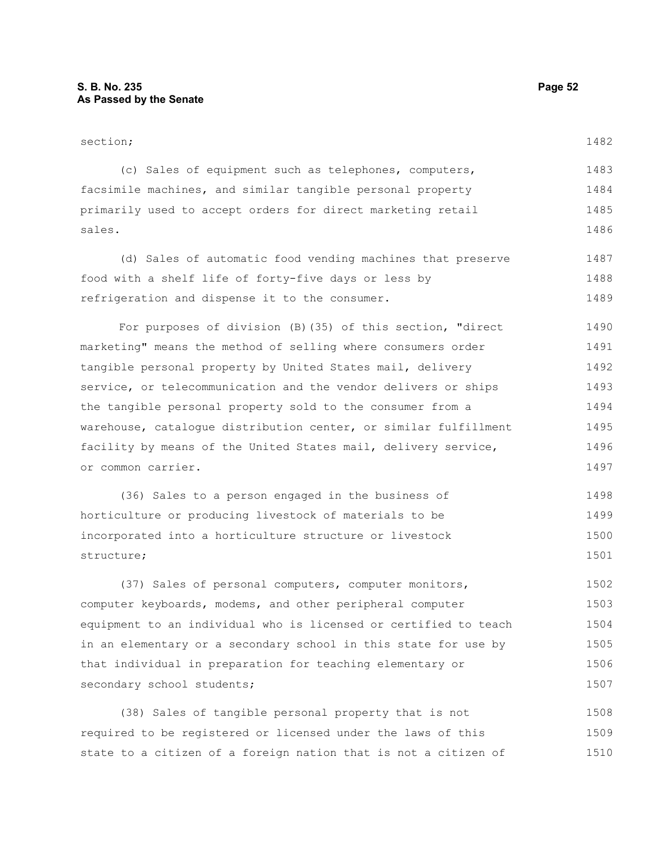| section;                                                         | 1482 |
|------------------------------------------------------------------|------|
| (c) Sales of equipment such as telephones, computers,            | 1483 |
| facsimile machines, and similar tangible personal property       | 1484 |
| primarily used to accept orders for direct marketing retail      | 1485 |
| sales.                                                           | 1486 |
| (d) Sales of automatic food vending machines that preserve       | 1487 |
| food with a shelf life of forty-five days or less by             | 1488 |
| refrigeration and dispense it to the consumer.                   | 1489 |
| For purposes of division (B) (35) of this section, "direct       | 1490 |
| marketing" means the method of selling where consumers order     | 1491 |
| tangible personal property by United States mail, delivery       | 1492 |
| service, or telecommunication and the vendor delivers or ships   | 1493 |
| the tangible personal property sold to the consumer from a       | 1494 |
| warehouse, cataloque distribution center, or similar fulfillment | 1495 |
| facility by means of the United States mail, delivery service,   | 1496 |
| or common carrier.                                               | 1497 |
| (36) Sales to a person engaged in the business of                | 1498 |
| horticulture or producing livestock of materials to be           | 1499 |
| incorporated into a horticulture structure or livestock          | 1500 |
| structure;                                                       | 1501 |
|                                                                  |      |

(37) Sales of personal computers, computer monitors, computer keyboards, modems, and other peripheral computer equipment to an individual who is licensed or certified to teach in an elementary or a secondary school in this state for use by that individual in preparation for teaching elementary or secondary school students; 1502 1503 1504 1505 1506 1507

(38) Sales of tangible personal property that is not required to be registered or licensed under the laws of this state to a citizen of a foreign nation that is not a citizen of 1508 1509 1510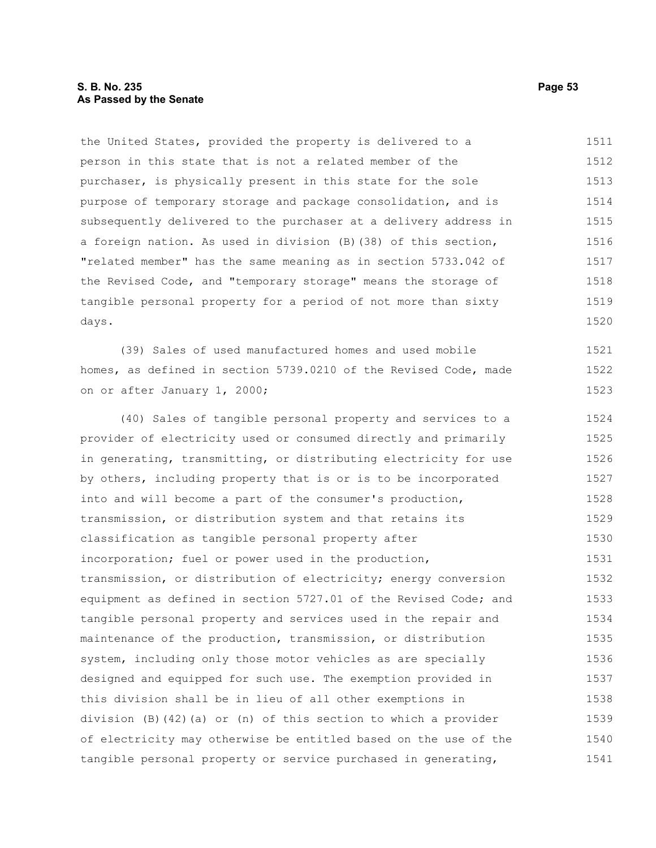# **S. B. No. 235 Page 53 As Passed by the Senate**

the United States, provided the property is delivered to a person in this state that is not a related member of the purchaser, is physically present in this state for the sole purpose of temporary storage and package consolidation, and is subsequently delivered to the purchaser at a delivery address in a foreign nation. As used in division (B)(38) of this section, "related member" has the same meaning as in section 5733.042 of the Revised Code, and "temporary storage" means the storage of tangible personal property for a period of not more than sixty days. (39) Sales of used manufactured homes and used mobile homes, as defined in section 5739.0210 of the Revised Code, made on or after January 1, 2000; (40) Sales of tangible personal property and services to a provider of electricity used or consumed directly and primarily in generating, transmitting, or distributing electricity for use by others, including property that is or is to be incorporated into and will become a part of the consumer's production, transmission, or distribution system and that retains its classification as tangible personal property after incorporation; fuel or power used in the production, transmission, or distribution of electricity; energy conversion equipment as defined in section 5727.01 of the Revised Code; and tangible personal property and services used in the repair and maintenance of the production, transmission, or distribution system, including only those motor vehicles as are specially designed and equipped for such use. The exemption provided in this division shall be in lieu of all other exemptions in division (B)(42)(a) or (n) of this section to which a provider of electricity may otherwise be entitled based on the use of the tangible personal property or service purchased in generating, 1511 1512 1513 1514 1515 1516 1517 1518 1519 1520 1521 1522 1523 1524 1525 1526 1527 1528 1529 1530 1531 1532 1533 1534 1535 1536 1537 1538 1539 1540 1541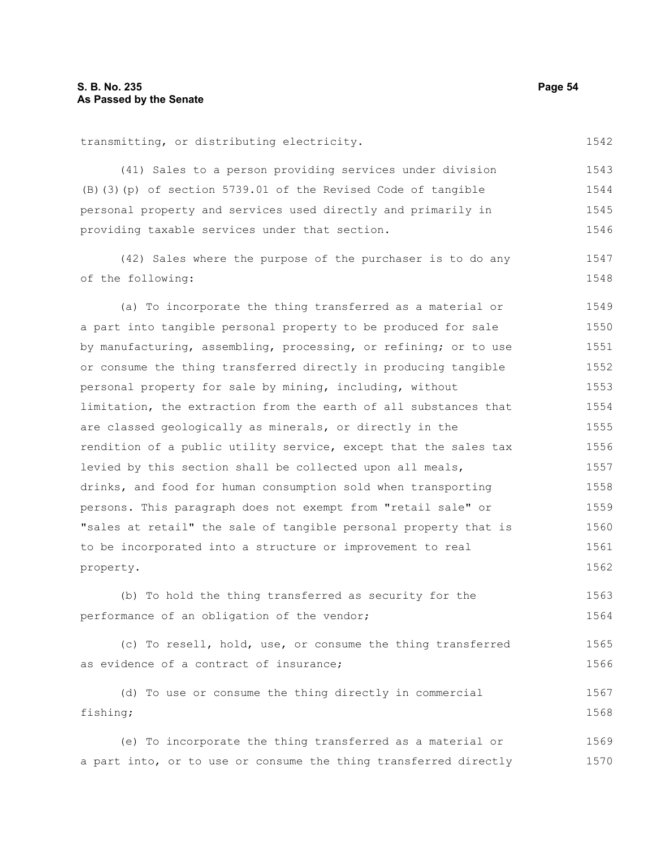transmitting, or distributing electricity.

as evidence of a contract of insurance;

| (B) (3) (p) of section 5739.01 of the Revised Code of tangible   | 1544 |
|------------------------------------------------------------------|------|
| personal property and services used directly and primarily in    | 1545 |
| providing taxable services under that section.                   | 1546 |
| (42) Sales where the purpose of the purchaser is to do any       | 1547 |
| of the following:                                                | 1548 |
| (a) To incorporate the thing transferred as a material or        | 1549 |
| a part into tangible personal property to be produced for sale   | 1550 |
| by manufacturing, assembling, processing, or refining; or to use | 1551 |
| or consume the thing transferred directly in producing tangible  | 1552 |
| personal property for sale by mining, including, without         | 1553 |
| limitation, the extraction from the earth of all substances that | 1554 |
| are classed geologically as minerals, or directly in the         | 1555 |
| rendition of a public utility service, except that the sales tax | 1556 |
| levied by this section shall be collected upon all meals,        | 1557 |
| drinks, and food for human consumption sold when transporting    | 1558 |
| persons. This paragraph does not exempt from "retail sale" or    | 1559 |
| "sales at retail" the sale of tangible personal property that is | 1560 |
| to be incorporated into a structure or improvement to real       | 1561 |
| property.                                                        | 1562 |
| (b) To hold the thing transferred as security for the            | 1563 |
| performance of an obligation of the vendor;                      | 1564 |
| (c) To resell, hold, use, or consume the thing transferred       | 1565 |

(41) Sales to a person providing services under division

(d) To use or consume the thing directly in commercial fishing; 1567 1568

(e) To incorporate the thing transferred as a material or a part into, or to use or consume the thing transferred directly 1569 1570

1542

1543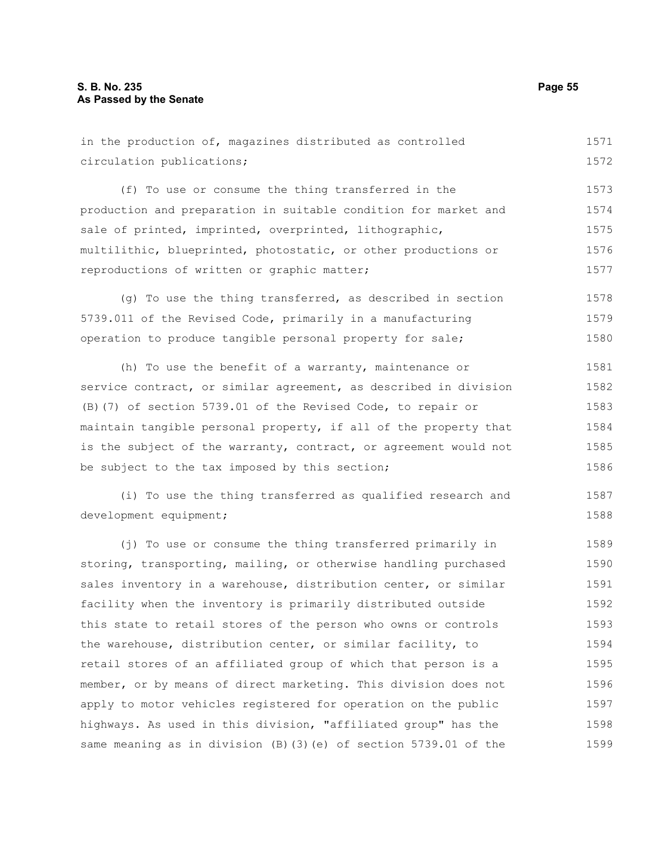in the production of, magazines distributed as controlled circulation publications; (f) To use or consume the thing transferred in the production and preparation in suitable condition for market and sale of printed, imprinted, overprinted, lithographic, multilithic, blueprinted, photostatic, or other productions or reproductions of written or graphic matter; 1571 1572 1573 1574 1575 1576 1577

(g) To use the thing transferred, as described in section 5739.011 of the Revised Code, primarily in a manufacturing operation to produce tangible personal property for sale; 1578 1579 1580

(h) To use the benefit of a warranty, maintenance or service contract, or similar agreement, as described in division (B)(7) of section 5739.01 of the Revised Code, to repair or maintain tangible personal property, if all of the property that is the subject of the warranty, contract, or agreement would not be subject to the tax imposed by this section; 1581 1582 1583 1584 1585 1586

(i) To use the thing transferred as qualified research and development equipment; 1587 1588

(j) To use or consume the thing transferred primarily in storing, transporting, mailing, or otherwise handling purchased sales inventory in a warehouse, distribution center, or similar facility when the inventory is primarily distributed outside this state to retail stores of the person who owns or controls the warehouse, distribution center, or similar facility, to retail stores of an affiliated group of which that person is a member, or by means of direct marketing. This division does not apply to motor vehicles registered for operation on the public highways. As used in this division, "affiliated group" has the same meaning as in division (B)(3)(e) of section 5739.01 of the 1589 1590 1591 1592 1593 1594 1595 1596 1597 1598 1599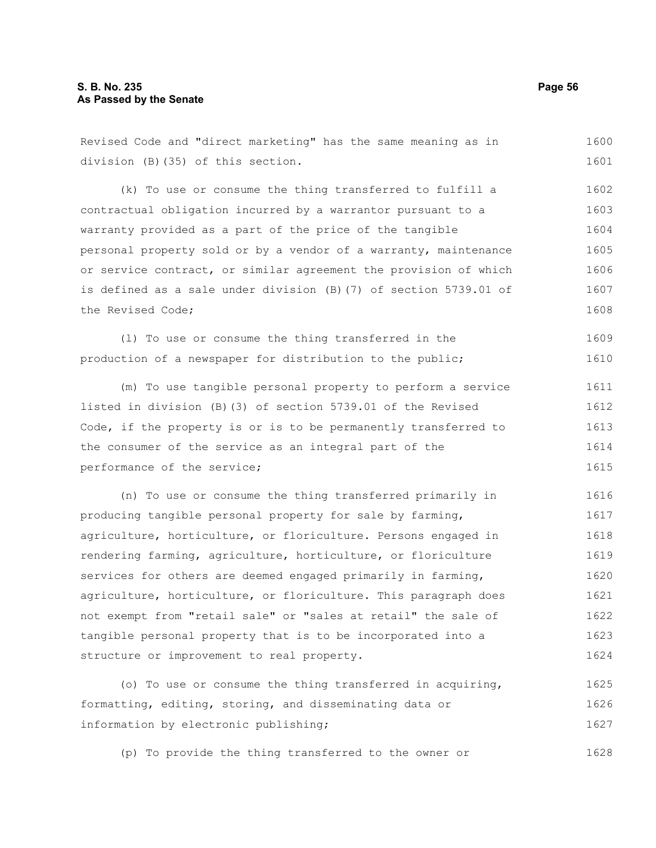# **S. B. No. 235 Page 56 As Passed by the Senate**

Revised Code and "direct marketing" has the same meaning as in division (B)(35) of this section. (k) To use or consume the thing transferred to fulfill a contractual obligation incurred by a warrantor pursuant to a warranty provided as a part of the price of the tangible personal property sold or by a vendor of a warranty, maintenance or service contract, or similar agreement the provision of which is defined as a sale under division (B)(7) of section 5739.01 of the Revised Code; (l) To use or consume the thing transferred in the production of a newspaper for distribution to the public; (m) To use tangible personal property to perform a service listed in division (B)(3) of section 5739.01 of the Revised Code, if the property is or is to be permanently transferred to the consumer of the service as an integral part of the performance of the service; (n) To use or consume the thing transferred primarily in producing tangible personal property for sale by farming, 1600 1601 1602 1603 1604 1605 1606 1607 1608 1609 1610 1611 1612 1613 1614 1615 1616 1617

agriculture, horticulture, or floriculture. Persons engaged in rendering farming, agriculture, horticulture, or floriculture services for others are deemed engaged primarily in farming, agriculture, horticulture, or floriculture. This paragraph does not exempt from "retail sale" or "sales at retail" the sale of tangible personal property that is to be incorporated into a structure or improvement to real property. 1618 1619 1620 1621 1622 1623 1624

(o) To use or consume the thing transferred in acquiring, formatting, editing, storing, and disseminating data or information by electronic publishing; 1625 1626 1627

(p) To provide the thing transferred to the owner or 1628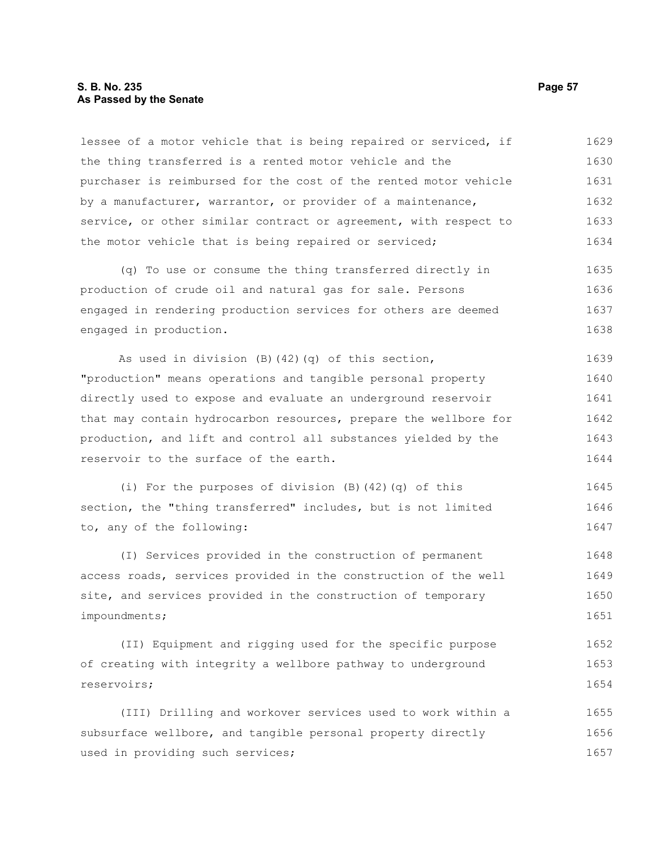### **S. B. No. 235 Page 57 As Passed by the Senate**

lessee of a motor vehicle that is being repaired or serviced, if the thing transferred is a rented motor vehicle and the purchaser is reimbursed for the cost of the rented motor vehicle by a manufacturer, warrantor, or provider of a maintenance, service, or other similar contract or agreement, with respect to the motor vehicle that is being repaired or serviced; 1629 1630 1631 1632 1633 1634

(q) To use or consume the thing transferred directly in production of crude oil and natural gas for sale. Persons engaged in rendering production services for others are deemed engaged in production. 1635 1636 1637 1638

As used in division (B)(42)(q) of this section, "production" means operations and tangible personal property directly used to expose and evaluate an underground reservoir that may contain hydrocarbon resources, prepare the wellbore for production, and lift and control all substances yielded by the reservoir to the surface of the earth. 1639 1640 1641 1642 1643 1644

(i) For the purposes of division (B)(42)(q) of this section, the "thing transferred" includes, but is not limited to, any of the following: 1645 1646 1647

(I) Services provided in the construction of permanent access roads, services provided in the construction of the well site, and services provided in the construction of temporary impoundments; 1648 1649 1650 1651

(II) Equipment and rigging used for the specific purpose of creating with integrity a wellbore pathway to underground reservoirs; 1652 1653 1654

(III) Drilling and workover services used to work within a subsurface wellbore, and tangible personal property directly used in providing such services; 1655 1656 1657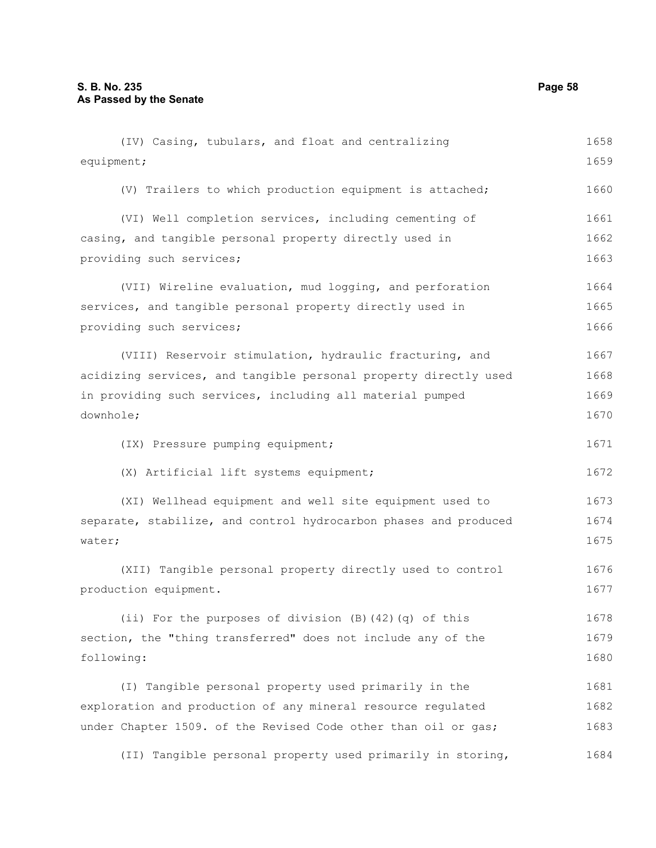| (IV) Casing, tubulars, and float and centralizing                | 1658 |
|------------------------------------------------------------------|------|
| equipment;                                                       | 1659 |
| (V) Trailers to which production equipment is attached;          | 1660 |
| (VI) Well completion services, including cementing of            | 1661 |
| casing, and tangible personal property directly used in          | 1662 |
| providing such services;                                         | 1663 |
| (VII) Wireline evaluation, mud logging, and perforation          | 1664 |
| services, and tangible personal property directly used in        | 1665 |
| providing such services;                                         | 1666 |
| (VIII) Reservoir stimulation, hydraulic fracturing, and          | 1667 |
| acidizing services, and tangible personal property directly used | 1668 |
| in providing such services, including all material pumped        | 1669 |
| downhole;                                                        | 1670 |
| (IX) Pressure pumping equipment;                                 | 1671 |
| (X) Artificial lift systems equipment;                           | 1672 |
| (XI) Wellhead equipment and well site equipment used to          | 1673 |
| separate, stabilize, and control hydrocarbon phases and produced | 1674 |
| water;                                                           | 1675 |
| (XII) Tangible personal property directly used to control        | 1676 |
| production equipment.                                            | 1677 |
| (ii) For the purposes of division (B) (42) (q) of this           | 1678 |
| section, the "thing transferred" does not include any of the     | 1679 |
| following:                                                       | 1680 |
| (I) Tangible personal property used primarily in the             | 1681 |
| exploration and production of any mineral resource regulated     | 1682 |
| under Chapter 1509. of the Revised Code other than oil or gas;   | 1683 |
| (II) Tangible personal property used primarily in storing,       | 1684 |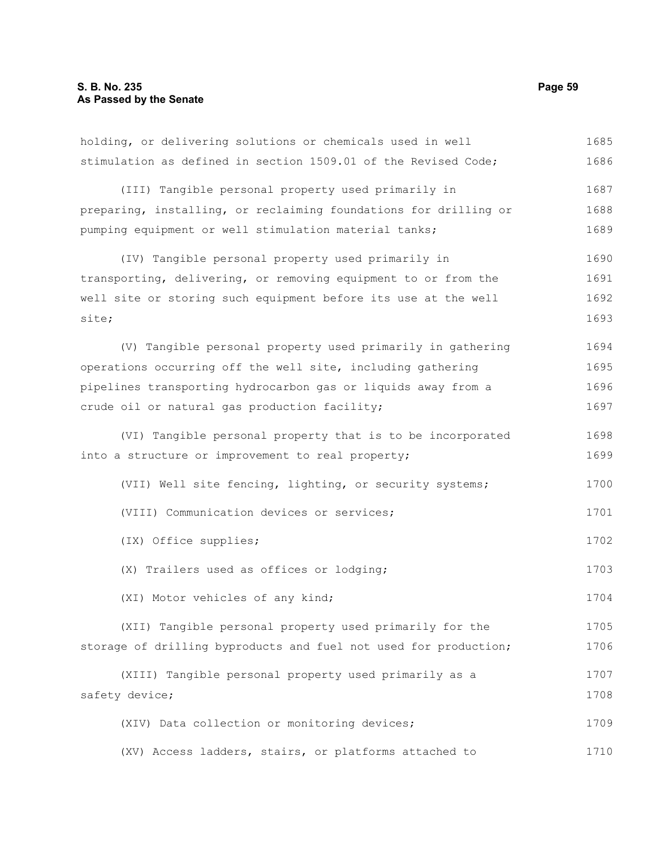holding, or delivering solutions or chemicals used in well stimulation as defined in section 1509.01 of the Revised Code; (III) Tangible personal property used primarily in preparing, installing, or reclaiming foundations for drilling or pumping equipment or well stimulation material tanks; (IV) Tangible personal property used primarily in transporting, delivering, or removing equipment to or from the well site or storing such equipment before its use at the well site; (V) Tangible personal property used primarily in gathering operations occurring off the well site, including gathering pipelines transporting hydrocarbon gas or liquids away from a crude oil or natural gas production facility; (VI) Tangible personal property that is to be incorporated into a structure or improvement to real property; (VII) Well site fencing, lighting, or security systems; (VIII) Communication devices or services; (IX) Office supplies; (X) Trailers used as offices or lodging; (XI) Motor vehicles of any kind; (XII) Tangible personal property used primarily for the storage of drilling byproducts and fuel not used for production; (XIII) Tangible personal property used primarily as a safety device; (XIV) Data collection or monitoring devices; (XV) Access ladders, stairs, or platforms attached to 1685 1686 1687 1688 1689 1690 1691 1692 1693 1694 1695 1696 1697 1698 1699 1700 1701 1702 1703 1704 1705 1706 1707 1708 1709 1710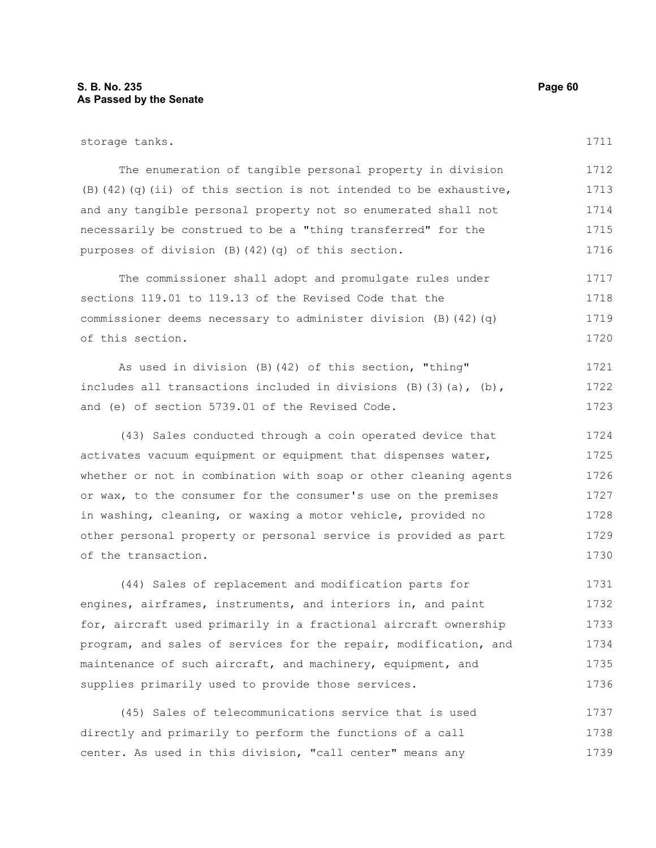# **S. B. No. 235 Page 60 As Passed by the Senate**

1738 1739

| storage tanks.                                                          | 1711 |
|-------------------------------------------------------------------------|------|
| The enumeration of tangible personal property in division               | 1712 |
| (B) $(42)$ (q) $(ii)$ of this section is not intended to be exhaustive, | 1713 |
| and any tangible personal property not so enumerated shall not          | 1714 |
| necessarily be construed to be a "thing transferred" for the            | 1715 |
| purposes of division (B) (42) (q) of this section.                      | 1716 |
| The commissioner shall adopt and promulgate rules under                 | 1717 |
| sections 119.01 to 119.13 of the Revised Code that the                  | 1718 |
| commissioner deems necessary to administer division $(B)$ (42) (q)      | 1719 |
| of this section.                                                        | 1720 |
| As used in division (B) (42) of this section, "thing"                   | 1721 |
| includes all transactions included in divisions $(B)$ (3) (a), (b),     | 1722 |
| and (e) of section 5739.01 of the Revised Code.                         | 1723 |
| (43) Sales conducted through a coin operated device that                | 1724 |
| activates vacuum equipment or equipment that dispenses water,           | 1725 |
| whether or not in combination with soap or other cleaning agents        | 1726 |
| or wax, to the consumer for the consumer's use on the premises          | 1727 |
| in washing, cleaning, or waxing a motor vehicle, provided no            | 1728 |
| other personal property or personal service is provided as part         | 1729 |
| of the transaction.                                                     | 1730 |
| (44) Sales of replacement and modification parts for                    | 1731 |
| engines, airframes, instruments, and interiors in, and paint            | 1732 |
| for, aircraft used primarily in a fractional aircraft ownership         | 1733 |
| program, and sales of services for the repair, modification, and        | 1734 |
| maintenance of such aircraft, and machinery, equipment, and             | 1735 |
| supplies primarily used to provide those services.                      | 1736 |
| (45) Sales of telecommunications service that is used                   | 1737 |
| directly and primarily to perform the functions of a call               | 1738 |

center. As used in this division, "call center" means any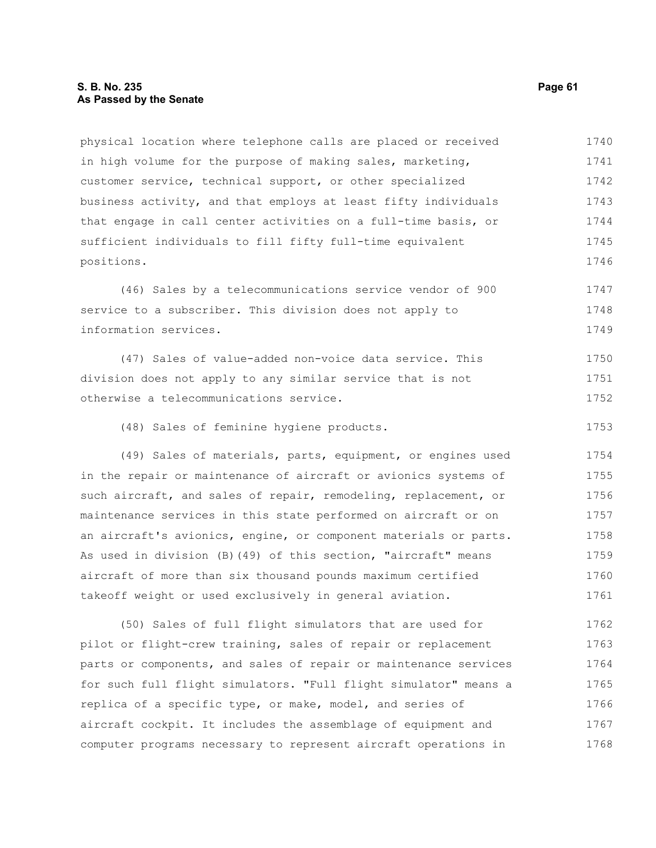# **S. B. No. 235 Page 61 As Passed by the Senate**

physical location where telephone calls are placed or received in high volume for the purpose of making sales, marketing, customer service, technical support, or other specialized business activity, and that employs at least fifty individuals that engage in call center activities on a full-time basis, or sufficient individuals to fill fifty full-time equivalent positions. 1740 1741 1742 1743 1744 1745 1746

(46) Sales by a telecommunications service vendor of 900 service to a subscriber. This division does not apply to information services. 1747 1748 1749

(47) Sales of value-added non-voice data service. This division does not apply to any similar service that is not otherwise a telecommunications service. 1750 1751 1752

(48) Sales of feminine hygiene products. 1753

(49) Sales of materials, parts, equipment, or engines used in the repair or maintenance of aircraft or avionics systems of such aircraft, and sales of repair, remodeling, replacement, or maintenance services in this state performed on aircraft or on an aircraft's avionics, engine, or component materials or parts. As used in division (B)(49) of this section, "aircraft" means aircraft of more than six thousand pounds maximum certified takeoff weight or used exclusively in general aviation. 1754 1755 1756 1757 1758 1759 1760 1761

(50) Sales of full flight simulators that are used for pilot or flight-crew training, sales of repair or replacement parts or components, and sales of repair or maintenance services for such full flight simulators. "Full flight simulator" means a replica of a specific type, or make, model, and series of aircraft cockpit. It includes the assemblage of equipment and computer programs necessary to represent aircraft operations in 1762 1763 1764 1765 1766 1767 1768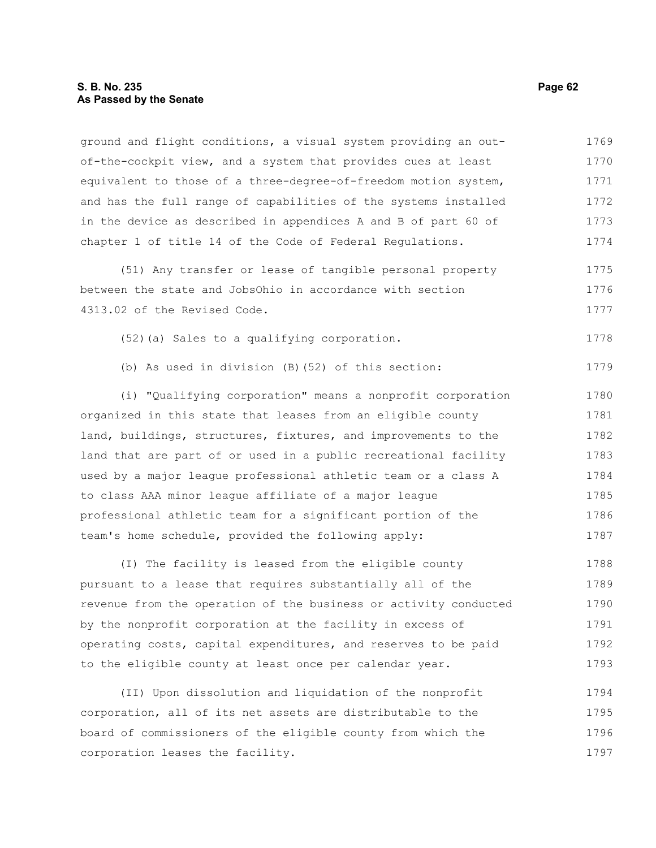# **S. B. No. 235 Page 62 As Passed by the Senate**

ground and flight conditions, a visual system providing an outof-the-cockpit view, and a system that provides cues at least equivalent to those of a three-degree-of-freedom motion system, and has the full range of capabilities of the systems installed in the device as described in appendices A and B of part 60 of chapter 1 of title 14 of the Code of Federal Regulations. 1769 1770 1771 1772 1773 1774

(51) Any transfer or lease of tangible personal property between the state and JobsOhio in accordance with section 4313.02 of the Revised Code. 1775 1776 1777

(52)(a) Sales to a qualifying corporation. 1778

(b) As used in division (B)(52) of this section:

(i) "Qualifying corporation" means a nonprofit corporation organized in this state that leases from an eligible county land, buildings, structures, fixtures, and improvements to the land that are part of or used in a public recreational facility used by a major league professional athletic team or a class A to class AAA minor league affiliate of a major league professional athletic team for a significant portion of the team's home schedule, provided the following apply: 1780 1781 1782 1783 1784 1785 1786 1787

(I) The facility is leased from the eligible county pursuant to a lease that requires substantially all of the revenue from the operation of the business or activity conducted by the nonprofit corporation at the facility in excess of operating costs, capital expenditures, and reserves to be paid to the eligible county at least once per calendar year. 1788 1789 1790 1791 1792 1793

(II) Upon dissolution and liquidation of the nonprofit corporation, all of its net assets are distributable to the board of commissioners of the eligible county from which the corporation leases the facility. 1794 1795 1796 1797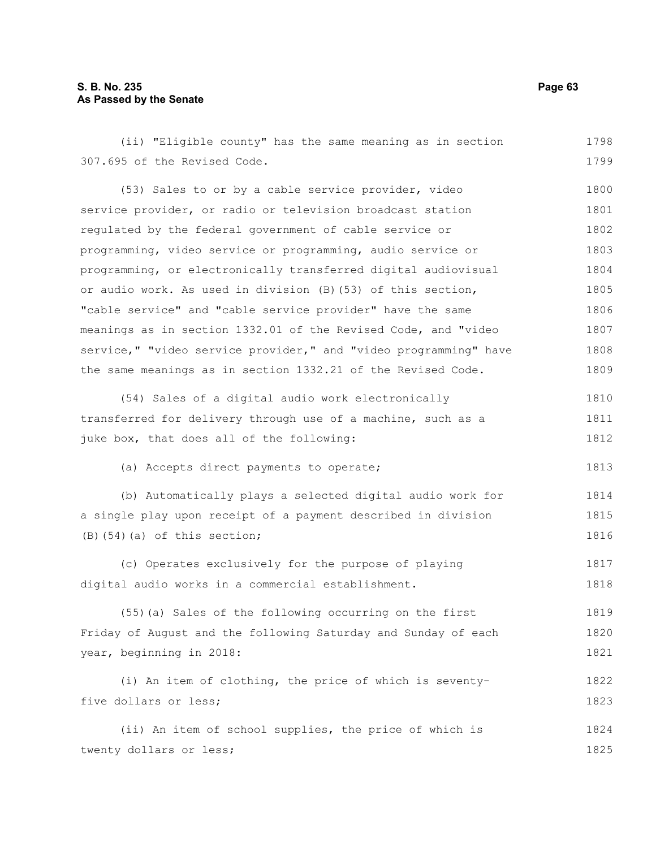# **S. B. No. 235 Page 63 As Passed by the Senate**

(ii) "Eligible county" has the same meaning as in section 307.695 of the Revised Code. (53) Sales to or by a cable service provider, video service provider, or radio or television broadcast station regulated by the federal government of cable service or programming, video service or programming, audio service or programming, or electronically transferred digital audiovisual or audio work. As used in division (B)(53) of this section, "cable service" and "cable service provider" have the same meanings as in section 1332.01 of the Revised Code, and "video service," "video service provider," and "video programming" have the same meanings as in section 1332.21 of the Revised Code. (54) Sales of a digital audio work electronically transferred for delivery through use of a machine, such as a juke box, that does all of the following: (a) Accepts direct payments to operate; (b) Automatically plays a selected digital audio work for a single play upon receipt of a payment described in division  $(B)$ (54)(a) of this section; (c) Operates exclusively for the purpose of playing digital audio works in a commercial establishment. (55)(a) Sales of the following occurring on the first Friday of August and the following Saturday and Sunday of each year, beginning in 2018: (i) An item of clothing, the price of which is seventyfive dollars or less; 1798 1799 1800 1801 1802 1803 1804 1805 1806 1807 1808 1809 1810 1811 1812 1813 1814 1815 1816 1817 1818 1819 1820 1821 1822 1823

(ii) An item of school supplies, the price of which is twenty dollars or less; 1824 1825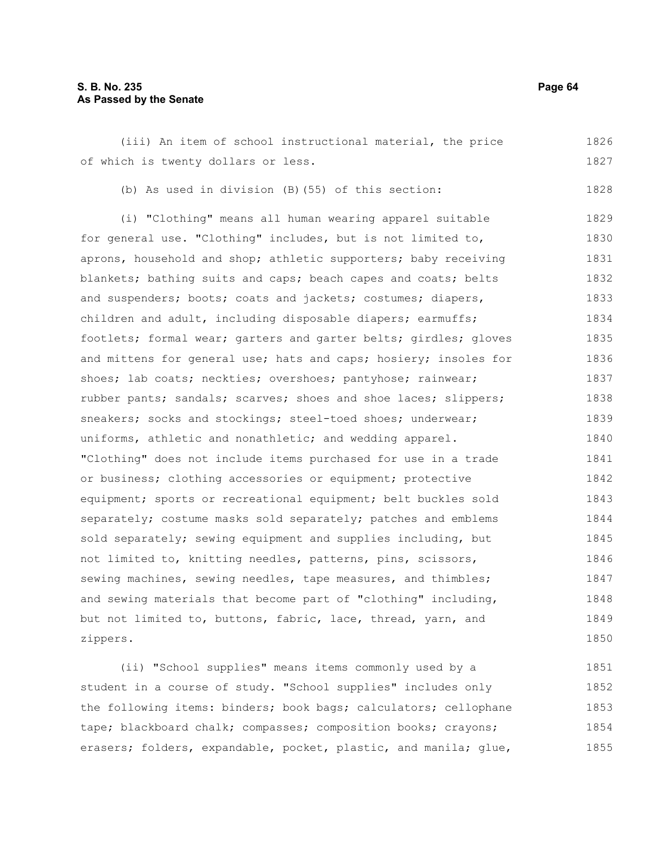### **S. B. No. 235 Page 64 As Passed by the Senate**

(iii) An item of school instructional material, the price of which is twenty dollars or less. 1826 1827

(b) As used in division (B)(55) of this section:

(i) "Clothing" means all human wearing apparel suitable for general use. "Clothing" includes, but is not limited to, aprons, household and shop; athletic supporters; baby receiving blankets; bathing suits and caps; beach capes and coats; belts and suspenders; boots; coats and jackets; costumes; diapers, children and adult, including disposable diapers; earmuffs; footlets; formal wear; garters and garter belts; girdles; gloves and mittens for general use; hats and caps; hosiery; insoles for shoes; lab coats; neckties; overshoes; pantyhose; rainwear; rubber pants; sandals; scarves; shoes and shoe laces; slippers; sneakers; socks and stockings; steel-toed shoes; underwear; uniforms, athletic and nonathletic; and wedding apparel. "Clothing" does not include items purchased for use in a trade or business; clothing accessories or equipment; protective equipment; sports or recreational equipment; belt buckles sold separately; costume masks sold separately; patches and emblems sold separately; sewing equipment and supplies including, but not limited to, knitting needles, patterns, pins, scissors, sewing machines, sewing needles, tape measures, and thimbles; and sewing materials that become part of "clothing" including, but not limited to, buttons, fabric, lace, thread, yarn, and zippers. 1829 1830 1831 1832 1833 1834 1835 1836 1837 1838 1839 1840 1841 1842 1843 1844 1845 1846 1847 1848 1849 1850

(ii) "School supplies" means items commonly used by a student in a course of study. "School supplies" includes only the following items: binders; book bags; calculators; cellophane tape; blackboard chalk; compasses; composition books; crayons; erasers; folders, expandable, pocket, plastic, and manila; glue, 1851 1852 1853 1854 1855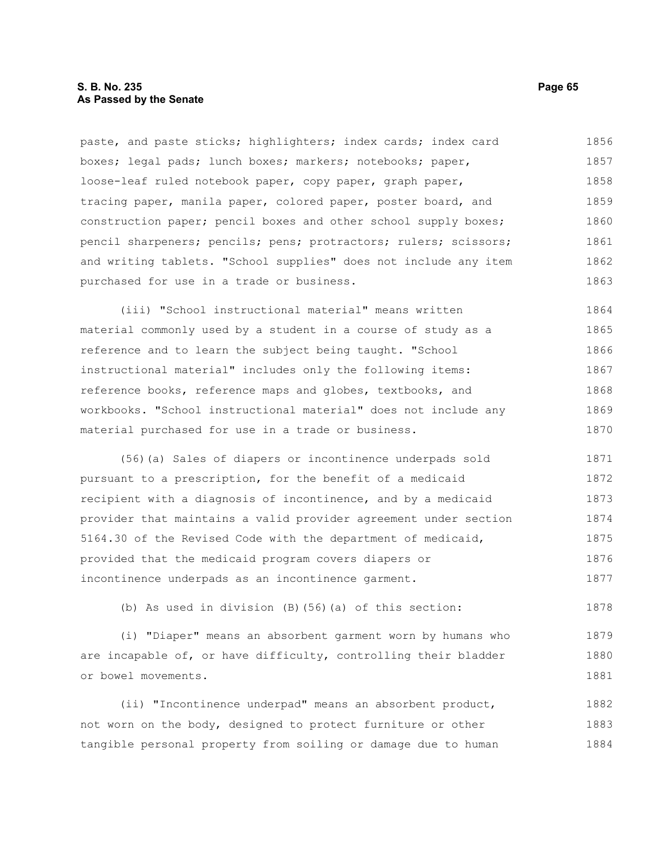# **S. B. No. 235 Page 65 As Passed by the Senate**

paste, and paste sticks; highlighters; index cards; index card boxes; legal pads; lunch boxes; markers; notebooks; paper, loose-leaf ruled notebook paper, copy paper, graph paper, tracing paper, manila paper, colored paper, poster board, and construction paper; pencil boxes and other school supply boxes; pencil sharpeners; pencils; pens; protractors; rulers; scissors; and writing tablets. "School supplies" does not include any item purchased for use in a trade or business. 1856 1857 1858 1859 1860 1861 1862 1863

(iii) "School instructional material" means written material commonly used by a student in a course of study as a reference and to learn the subject being taught. "School instructional material" includes only the following items: reference books, reference maps and globes, textbooks, and workbooks. "School instructional material" does not include any material purchased for use in a trade or business. 1864 1865 1866 1867 1868 1869 1870

(56)(a) Sales of diapers or incontinence underpads sold pursuant to a prescription, for the benefit of a medicaid recipient with a diagnosis of incontinence, and by a medicaid provider that maintains a valid provider agreement under section 5164.30 of the Revised Code with the department of medicaid, provided that the medicaid program covers diapers or incontinence underpads as an incontinence garment. 1871 1872 1873 1874 1875 1876 1877

(b) As used in division (B)(56)(a) of this section:

(i) "Diaper" means an absorbent garment worn by humans who are incapable of, or have difficulty, controlling their bladder or bowel movements. 1879 1880 1881

(ii) "Incontinence underpad" means an absorbent product, not worn on the body, designed to protect furniture or other tangible personal property from soiling or damage due to human 1882 1883 1884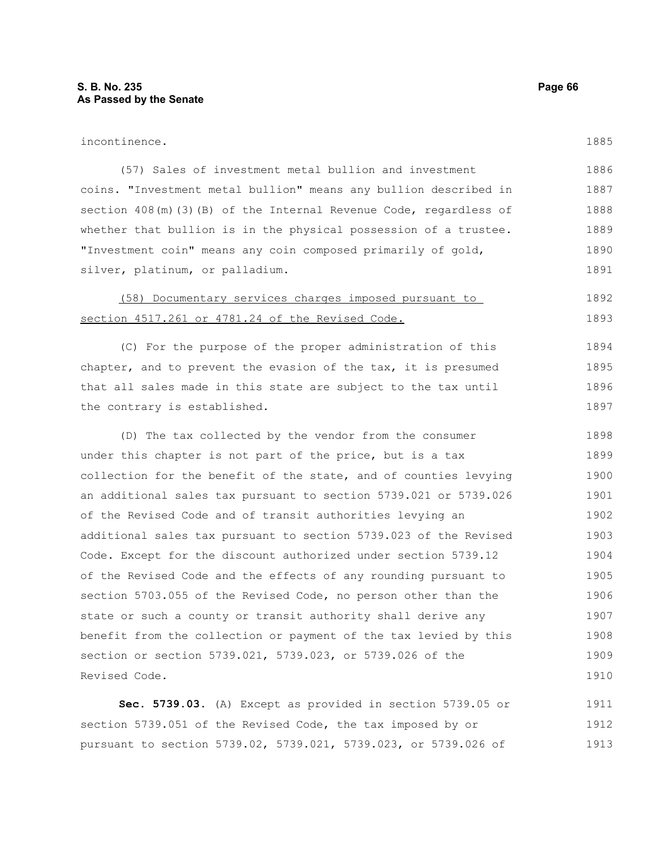Revised Code.

1909 1910

| incontinence.                                                      | 1885 |
|--------------------------------------------------------------------|------|
| (57) Sales of investment metal bullion and investment              | 1886 |
| coins. "Investment metal bullion" means any bullion described in   | 1887 |
| section 408(m) (3) (B) of the Internal Revenue Code, regardless of | 1888 |
| whether that bullion is in the physical possession of a trustee.   | 1889 |
| "Investment coin" means any coin composed primarily of gold,       | 1890 |
| silver, platinum, or palladium.                                    | 1891 |
| (58) Documentary services charges imposed pursuant to              | 1892 |
| section 4517.261 or 4781.24 of the Revised Code.                   | 1893 |
| (C) For the purpose of the proper administration of this           | 1894 |
| chapter, and to prevent the evasion of the tax, it is presumed     | 1895 |
| that all sales made in this state are subject to the tax until     | 1896 |
| the contrary is established.                                       | 1897 |
| (D) The tax collected by the vendor from the consumer              | 1898 |
| under this chapter is not part of the price, but is a tax          | 1899 |
| collection for the benefit of the state, and of counties levying   | 1900 |
| an additional sales tax pursuant to section 5739.021 or 5739.026   | 1901 |
| of the Revised Code and of transit authorities levying an          | 1902 |
| additional sales tax pursuant to section 5739.023 of the Revised   | 1903 |
| Code. Except for the discount authorized under section 5739.12     | 1904 |
| of the Revised Code and the effects of any rounding pursuant to    | 1905 |
| section 5703.055 of the Revised Code, no person other than the     | 1906 |
| state or such a county or transit authority shall derive any       | 1907 |
| benefit from the collection or payment of the tax levied by this   | 1908 |

**Sec. 5739.03.** (A) Except as provided in section 5739.05 or section 5739.051 of the Revised Code, the tax imposed by or pursuant to section 5739.02, 5739.021, 5739.023, or 5739.026 of 1911 1912 1913

section or section 5739.021, 5739.023, or 5739.026 of the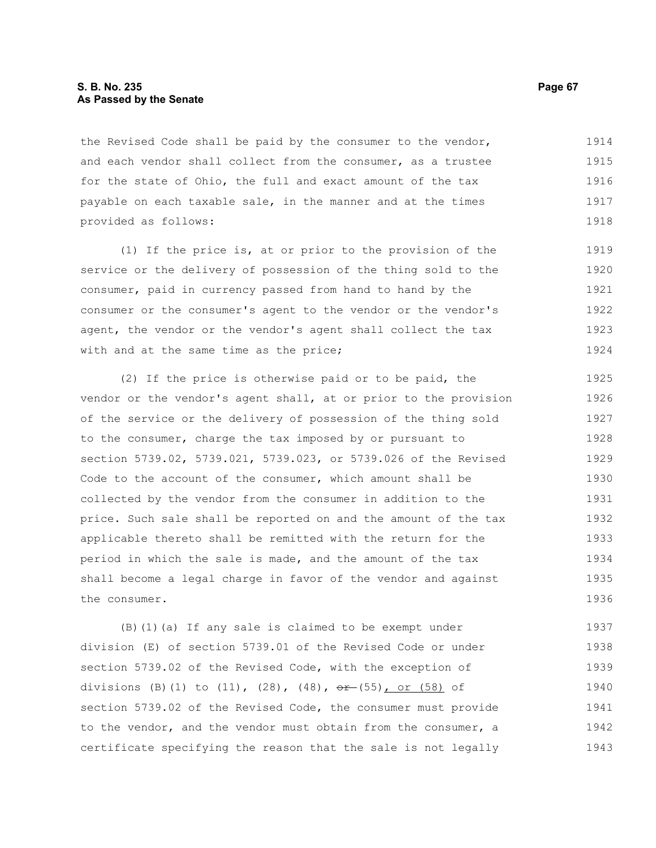### **S. B. No. 235 Page 67 As Passed by the Senate**

the Revised Code shall be paid by the consumer to the vendor, and each vendor shall collect from the consumer, as a trustee for the state of Ohio, the full and exact amount of the tax payable on each taxable sale, in the manner and at the times provided as follows: 1914 1915 1916 1917 1918

(1) If the price is, at or prior to the provision of the service or the delivery of possession of the thing sold to the consumer, paid in currency passed from hand to hand by the consumer or the consumer's agent to the vendor or the vendor's agent, the vendor or the vendor's agent shall collect the tax with and at the same time as the price; 1919 1920 1921 1922 1923 1924

(2) If the price is otherwise paid or to be paid, the vendor or the vendor's agent shall, at or prior to the provision of the service or the delivery of possession of the thing sold to the consumer, charge the tax imposed by or pursuant to section 5739.02, 5739.021, 5739.023, or 5739.026 of the Revised Code to the account of the consumer, which amount shall be collected by the vendor from the consumer in addition to the price. Such sale shall be reported on and the amount of the tax applicable thereto shall be remitted with the return for the period in which the sale is made, and the amount of the tax shall become a legal charge in favor of the vendor and against the consumer. 1925 1926 1927 1928 1929 1930 1931 1932 1933 1934 1935 1936

(B)(1)(a) If any sale is claimed to be exempt under division (E) of section 5739.01 of the Revised Code or under section 5739.02 of the Revised Code, with the exception of divisions (B)(1) to  $(11)$ ,  $(28)$ ,  $(48)$ ,  $\theta$   $\theta$  +  $(55)$ , or  $(58)$  of section 5739.02 of the Revised Code, the consumer must provide to the vendor, and the vendor must obtain from the consumer, a certificate specifying the reason that the sale is not legally 1937 1938 1939 1940 1941 1942 1943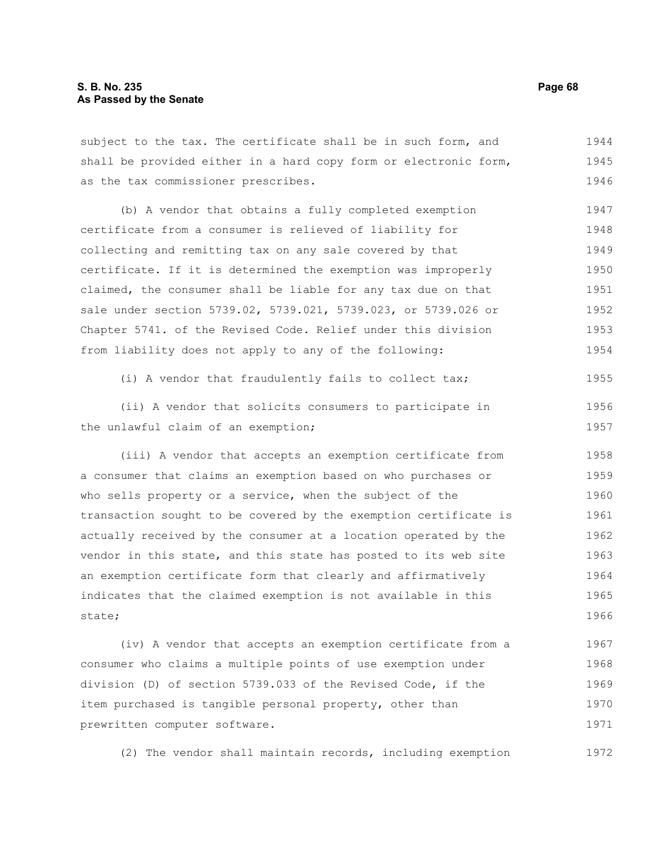# **S. B. No. 235 Page 68 As Passed by the Senate**

subject to the tax. The certificate shall be in such form, and shall be provided either in a hard copy form or electronic form, as the tax commissioner prescribes. 1944 1945 1946

(b) A vendor that obtains a fully completed exemption certificate from a consumer is relieved of liability for collecting and remitting tax on any sale covered by that certificate. If it is determined the exemption was improperly claimed, the consumer shall be liable for any tax due on that sale under section 5739.02, 5739.021, 5739.023, or 5739.026 or Chapter 5741. of the Revised Code. Relief under this division from liability does not apply to any of the following: 1947 1948 1949 1950 1951 1952 1953 1954

(i) A vendor that fraudulently fails to collect tax; 1955

(ii) A vendor that solicits consumers to participate in the unlawful claim of an exemption; 1956 1957

(iii) A vendor that accepts an exemption certificate from a consumer that claims an exemption based on who purchases or who sells property or a service, when the subject of the transaction sought to be covered by the exemption certificate is actually received by the consumer at a location operated by the vendor in this state, and this state has posted to its web site an exemption certificate form that clearly and affirmatively indicates that the claimed exemption is not available in this state; 1958 1959 1960 1961 1962 1963 1964 1965 1966

(iv) A vendor that accepts an exemption certificate from a consumer who claims a multiple points of use exemption under division (D) of section 5739.033 of the Revised Code, if the item purchased is tangible personal property, other than prewritten computer software. 1967 1968 1969 1970 1971

(2) The vendor shall maintain records, including exemption 1972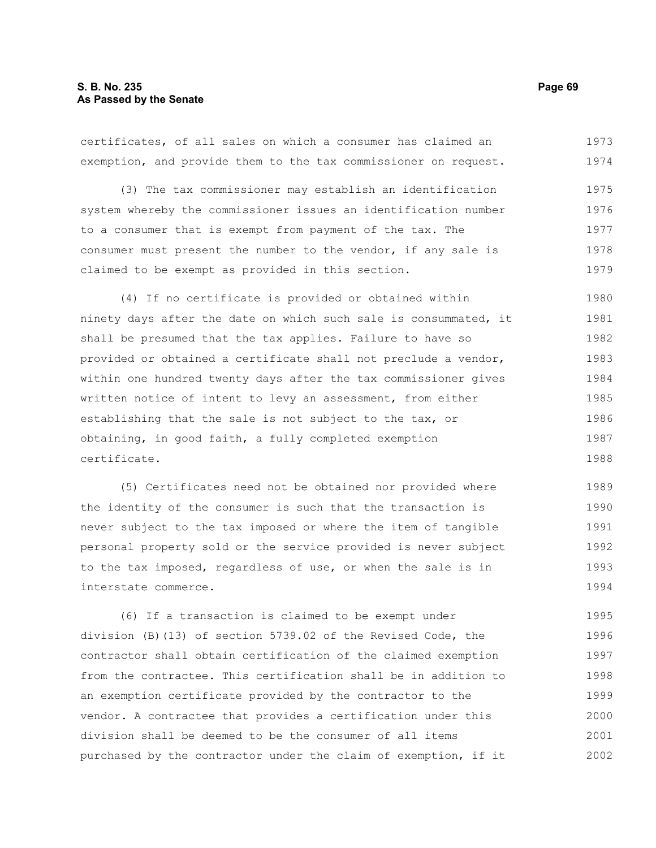# **S. B. No. 235 Page 69 As Passed by the Senate**

certificates, of all sales on which a consumer has claimed an exemption, and provide them to the tax commissioner on request. 1973 1974

(3) The tax commissioner may establish an identification system whereby the commissioner issues an identification number to a consumer that is exempt from payment of the tax. The consumer must present the number to the vendor, if any sale is claimed to be exempt as provided in this section. 1975 1976 1977 1978 1979

(4) If no certificate is provided or obtained within ninety days after the date on which such sale is consummated, it shall be presumed that the tax applies. Failure to have so provided or obtained a certificate shall not preclude a vendor, within one hundred twenty days after the tax commissioner gives written notice of intent to levy an assessment, from either establishing that the sale is not subject to the tax, or obtaining, in good faith, a fully completed exemption certificate. 1980 1981 1982 1983 1984 1985 1986 1987 1988

(5) Certificates need not be obtained nor provided where the identity of the consumer is such that the transaction is never subject to the tax imposed or where the item of tangible personal property sold or the service provided is never subject to the tax imposed, regardless of use, or when the sale is in interstate commerce. 1989 1990 1991 1992 1993 1994

(6) If a transaction is claimed to be exempt under division (B)(13) of section 5739.02 of the Revised Code, the contractor shall obtain certification of the claimed exemption from the contractee. This certification shall be in addition to an exemption certificate provided by the contractor to the vendor. A contractee that provides a certification under this division shall be deemed to be the consumer of all items purchased by the contractor under the claim of exemption, if it 1995 1996 1997 1998 1999 2000 2001 2002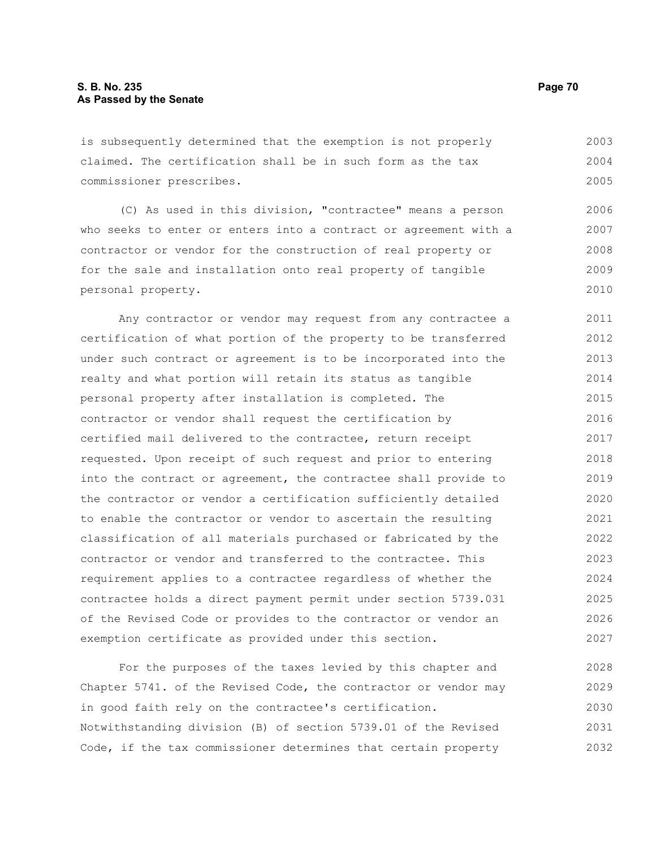is subsequently determined that the exemption is not properly claimed. The certification shall be in such form as the tax commissioner prescribes. 2003 2004 2005

(C) As used in this division, "contractee" means a person who seeks to enter or enters into a contract or agreement with a contractor or vendor for the construction of real property or for the sale and installation onto real property of tangible personal property. 2006 2007 2008 2009 2010

Any contractor or vendor may request from any contractee a certification of what portion of the property to be transferred under such contract or agreement is to be incorporated into the realty and what portion will retain its status as tangible personal property after installation is completed. The contractor or vendor shall request the certification by certified mail delivered to the contractee, return receipt requested. Upon receipt of such request and prior to entering into the contract or agreement, the contractee shall provide to the contractor or vendor a certification sufficiently detailed to enable the contractor or vendor to ascertain the resulting classification of all materials purchased or fabricated by the contractor or vendor and transferred to the contractee. This requirement applies to a contractee regardless of whether the contractee holds a direct payment permit under section 5739.031 of the Revised Code or provides to the contractor or vendor an exemption certificate as provided under this section. 2011 2012 2013 2014 2015 2016 2017 2018 2019 2020 2021 2022 2023 2024 2025 2026 2027

For the purposes of the taxes levied by this chapter and Chapter 5741. of the Revised Code, the contractor or vendor may in good faith rely on the contractee's certification. Notwithstanding division (B) of section 5739.01 of the Revised Code, if the tax commissioner determines that certain property 2028 2029 2030 2031 2032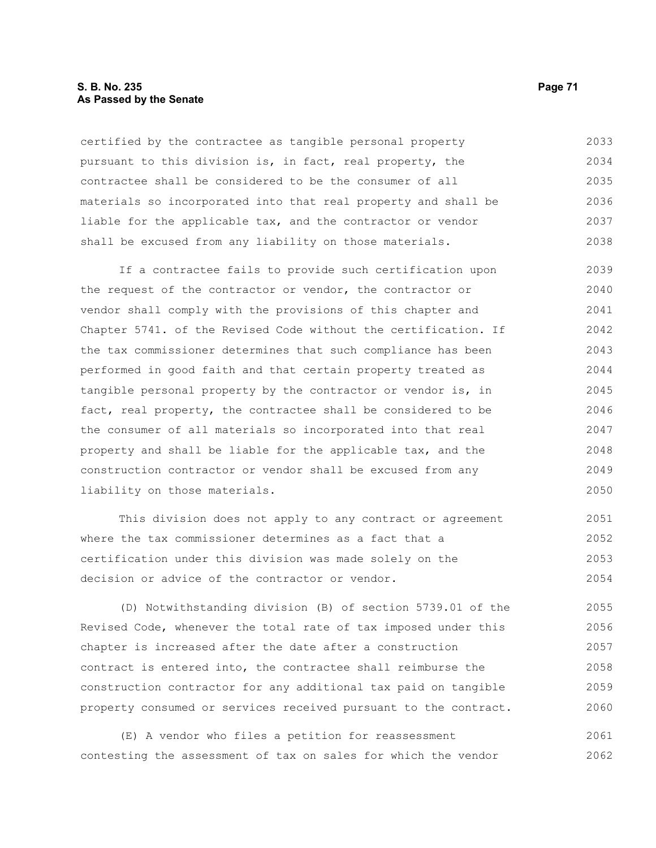# **S. B. No. 235 Page 71 As Passed by the Senate**

certified by the contractee as tangible personal property pursuant to this division is, in fact, real property, the contractee shall be considered to be the consumer of all materials so incorporated into that real property and shall be liable for the applicable tax, and the contractor or vendor shall be excused from any liability on those materials. 2033 2034 2035 2036 2037 2038

If a contractee fails to provide such certification upon the request of the contractor or vendor, the contractor or vendor shall comply with the provisions of this chapter and Chapter 5741. of the Revised Code without the certification. If the tax commissioner determines that such compliance has been performed in good faith and that certain property treated as tangible personal property by the contractor or vendor is, in fact, real property, the contractee shall be considered to be the consumer of all materials so incorporated into that real property and shall be liable for the applicable tax, and the construction contractor or vendor shall be excused from any liability on those materials. 2039 2040 2041 2042 2043 2044 2045 2046 2047 2048 2049 2050

This division does not apply to any contract or agreement where the tax commissioner determines as a fact that a certification under this division was made solely on the decision or advice of the contractor or vendor. 2051 2052 2053 2054

(D) Notwithstanding division (B) of section 5739.01 of the Revised Code, whenever the total rate of tax imposed under this chapter is increased after the date after a construction contract is entered into, the contractee shall reimburse the construction contractor for any additional tax paid on tangible property consumed or services received pursuant to the contract. 2055 2056 2057 2058 2059 2060

(E) A vendor who files a petition for reassessment contesting the assessment of tax on sales for which the vendor 2061 2062